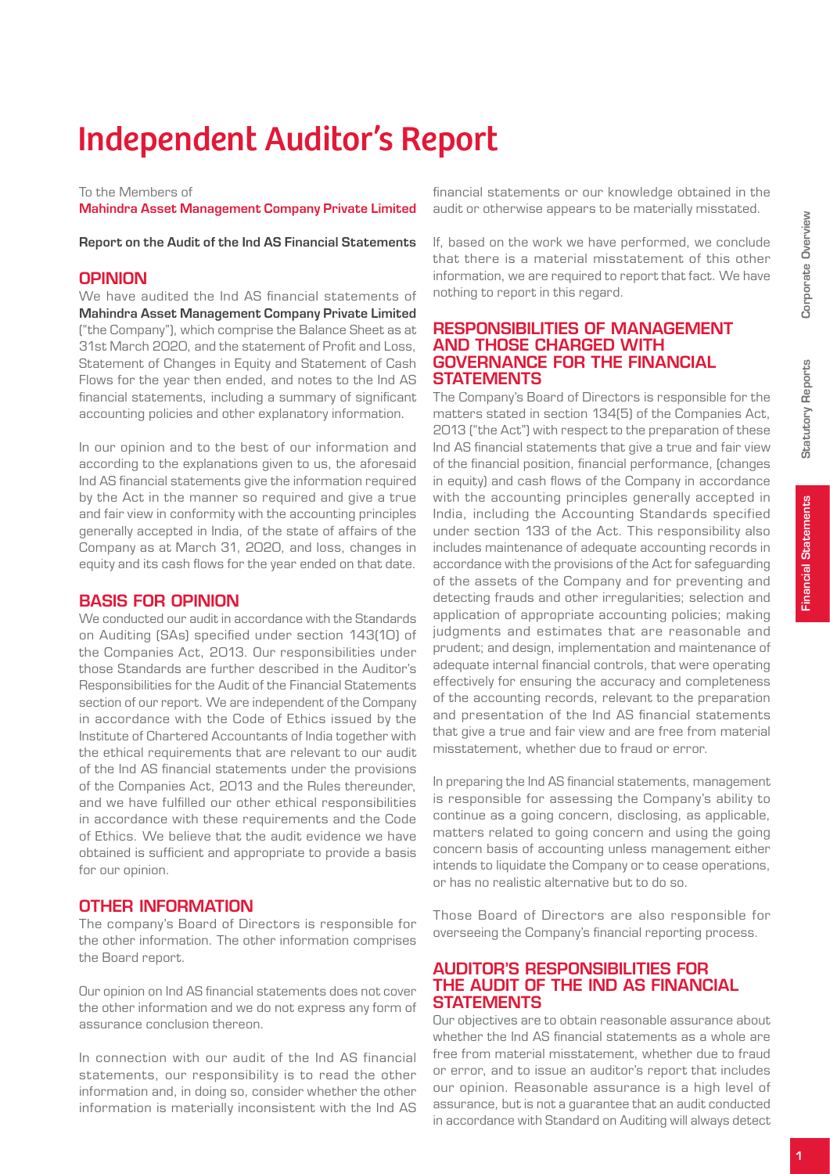Statutory Reports

**Statutory Reports** 

Financial Statements

**Financial Statements** 

# Independent Auditor's Report

#### To the Members of

Mahindra Asset Management Company Private Limited

Report on the Audit of the Ind AS Financial Statements

## **OPINION**

We have audited the Ind AS financial statements of Mahindra Asset Management Company Private Limited ("the Company"), which comprise the Balance Sheet as at 31st March 2020, and the statement of Profit and Loss, Statement of Changes in Equity and Statement of Cash Flows for the year then ended, and notes to the Ind AS financial statements, including a summary of significant accounting policies and other explanatory information.

In our opinion and to the best of our information and according to the explanations given to us, the aforesaid Ind AS financial statements give the information required by the Act in the manner so required and give a true and fair view in conformity with the accounting principles generally accepted in India, of the state of affairs of the Company as at March 31, 2020, and loss, changes in equity and its cash flows for the year ended on that date.

## Basis for Opinion

We conducted our audit in accordance with the Standards on Auditing (SAs) specified under section 143(10) of the Companies Act, 2013. Our responsibilities under those Standards are further described in the Auditor's Responsibilities for the Audit of the Financial Statements section of our report. We are independent of the Company in accordance with the Code of Ethics issued by the Institute of Chartered Accountants of India together with the ethical requirements that are relevant to our audit of the Ind AS financial statements under the provisions of the Companies Act, 2013 and the Rules thereunder, and we have fulfilled our other ethical responsibilities in accordance with these requirements and the Code of Ethics. We believe that the audit evidence we have obtained is sufficient and appropriate to provide a basis for our opinion.

## Other Information

The company's Board of Directors is responsible for the other information. The other information comprises the Board report.

Our opinion on Ind AS financial statements does not cover the other information and we do not express any form of assurance conclusion thereon.

In connection with our audit of the Ind AS financial statements, our responsibility is to read the other information and, in doing so, consider whether the other information is materially inconsistent with the Ind AS

financial statements or our knowledge obtained in the audit or otherwise appears to be materially misstated.

If, based on the work we have performed, we conclude that there is a material misstatement of this other information, we are required to report that fact. We have nothing to report in this regard.

#### Responsibilities of Management and Those Charged with Governance for the Financial **STATEMENTS**

The Company's Board of Directors is responsible for the matters stated in section 134(5) of the Companies Act, 2013 ("the Act") with respect to the preparation of these Ind AS financial statements that give a true and fair view of the financial position, financial performance, (changes in equity) and cash flows of the Company in accordance with the accounting principles generally accepted in India, including the Accounting Standards specified under section 133 of the Act. This responsibility also includes maintenance of adequate accounting records in accordance with the provisions of the Act for safeguarding of the assets of the Company and for preventing and detecting frauds and other irregularities; selection and application of appropriate accounting policies; making judgments and estimates that are reasonable and prudent; and design, implementation and maintenance of adequate internal financial controls, that were operating effectively for ensuring the accuracy and completeness of the accounting records, relevant to the preparation and presentation of the Ind AS financial statements that give a true and fair view and are free from material misstatement, whether due to fraud or error.

In preparing the Ind AS financial statements, management is responsible for assessing the Company's ability to continue as a going concern, disclosing, as applicable, matters related to going concern and using the going concern basis of accounting unless management either intends to liquidate the Company or to cease operations, or has no realistic alternative but to do so.

Those Board of Directors are also responsible for overseeing the Company's financial reporting process.

#### Auditor's Responsibilities for the Audit of the Ind AS Financial **STATEMENTS**

Our objectives are to obtain reasonable assurance about whether the Ind AS financial statements as a whole are free from material misstatement, whether due to fraud or error, and to issue an auditor's report that includes our opinion. Reasonable assurance is a high level of assurance, but is not a guarantee that an audit conducted in accordance with Standard on Auditing will always detect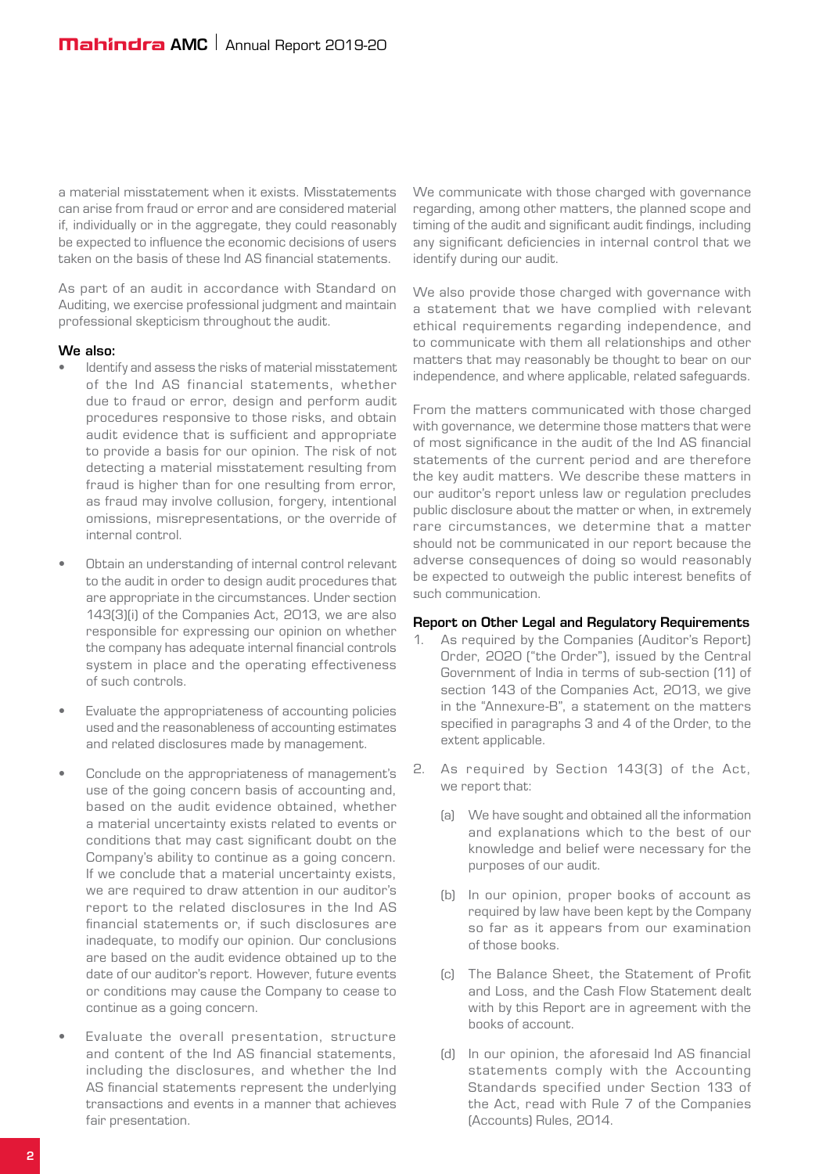a material misstatement when it exists. Misstatements can arise from fraud or error and are considered material if, individually or in the aggregate, they could reasonably be expected to influence the economic decisions of users taken on the basis of these Ind AS financial statements.

As part of an audit in accordance with Standard on Auditing, we exercise professional judgment and maintain professional skepticism throughout the audit.

#### We also:

- Identify and assess the risks of material misstatement of the Ind AS financial statements, whether due to fraud or error, design and perform audit procedures responsive to those risks, and obtain audit evidence that is sufficient and appropriate to provide a basis for our opinion. The risk of not detecting a material misstatement resulting from fraud is higher than for one resulting from error, as fraud may involve collusion, forgery, intentional omissions, misrepresentations, or the override of internal control.
- Obtain an understanding of internal control relevant to the audit in order to design audit procedures that are appropriate in the circumstances. Under section 143(3)(i) of the Companies Act, 2013, we are also responsible for expressing our opinion on whether the company has adequate internal financial controls system in place and the operating effectiveness of such controls.
- Evaluate the appropriateness of accounting policies used and the reasonableness of accounting estimates and related disclosures made by management.
- Conclude on the appropriateness of management's use of the going concern basis of accounting and, based on the audit evidence obtained, whether a material uncertainty exists related to events or conditions that may cast significant doubt on the Company's ability to continue as a going concern. If we conclude that a material uncertainty exists, we are required to draw attention in our auditor's report to the related disclosures in the Ind AS financial statements or, if such disclosures are inadequate, to modify our opinion. Our conclusions are based on the audit evidence obtained up to the date of our auditor's report. However, future events or conditions may cause the Company to cease to continue as a going concern.
- Evaluate the overall presentation, structure and content of the Ind AS financial statements, including the disclosures, and whether the Ind AS financial statements represent the underlying transactions and events in a manner that achieves fair presentation.

We communicate with those charged with governance regarding, among other matters, the planned scope and timing of the audit and significant audit findings, including any significant deficiencies in internal control that we identify during our audit.

We also provide those charged with governance with a statement that we have complied with relevant ethical requirements regarding independence, and to communicate with them all relationships and other matters that may reasonably be thought to bear on our independence, and where applicable, related safeguards.

From the matters communicated with those charged with governance, we determine those matters that were of most significance in the audit of the Ind AS financial statements of the current period and are therefore the key audit matters. We describe these matters in our auditor's report unless law or regulation precludes public disclosure about the matter or when, in extremely rare circumstances, we determine that a matter should not be communicated in our report because the adverse consequences of doing so would reasonably be expected to outweigh the public interest benefits of such communication.

#### Report on Other Legal and Regulatory Requirements

- 1. As required by the Companies (Auditor's Report) Order, 2020 ("the Order"), issued by the Central Government of India in terms of sub-section (11) of section 143 of the Companies Act, 2013, we give in the "Annexure-B", a statement on the matters specified in paragraphs 3 and 4 of the Order, to the extent applicable.
- 2. As required by Section 143(3) of the Act, we report that:
	- (a) We have sought and obtained all the information and explanations which to the best of our knowledge and belief were necessary for the purposes of our audit.
	- (b) In our opinion, proper books of account as required by law have been kept by the Company so far as it appears from our examination of those books.
	- (c) The Balance Sheet, the Statement of Profit and Loss, and the Cash Flow Statement dealt with by this Report are in agreement with the books of account.
	- (d) In our opinion, the aforesaid Ind AS financial statements comply with the Accounting Standards specified under Section 133 of the Act, read with Rule 7 of the Companies (Accounts) Rules, 2014.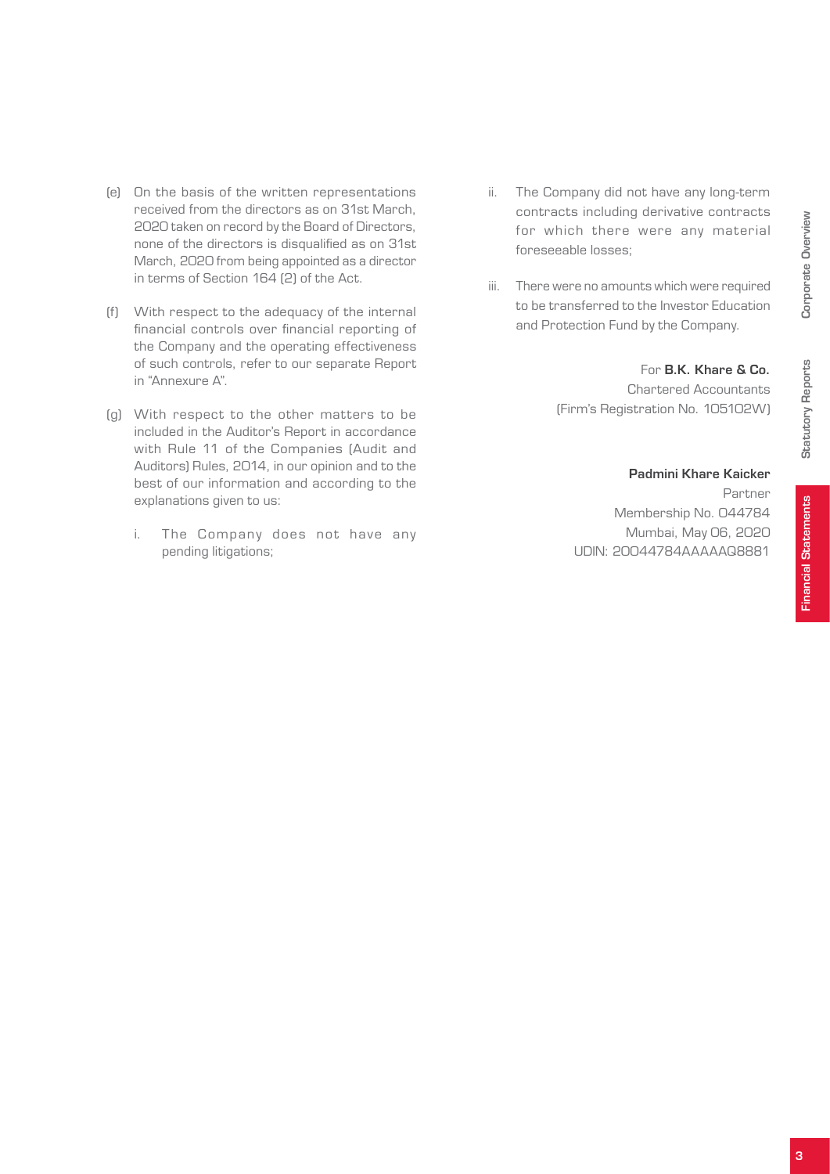Corporate Overview Corporate Overview

Financial Statements

**Financial Statements** 

#### Padmini Khare Kaicker

For B.K. Khare & Co. Chartered Accountants

Partner Membership No. 044784 Mumbai, May 06, 2020 UDIN: 20044784AAAAAQ8881

(Firm's Registration No. 105102W)

- (e) On the basis of the written representations received from the directors as on 31st March, 2020 taken on record by the Board of Directors, none of the directors is disqualified as on 31st March, 2020 from being appointed as a director in terms of Section 164 (2) of the Act.
- (f) With respect to the adequacy of the internal financial controls over financial reporting of the Company and the operating effectiveness of such controls, refer to our separate Report in "Annexure A".
- (g) With respect to the other matters to be included in the Auditor's Report in accordance with Rule 11 of the Companies (Audit and Auditors) Rules, 2014, in our opinion and to the best of our information and according to the explanations given to us:
	- i. The Company does not have any pending litigations;
- ii. The Company did not have any long-term contracts including derivative contracts for which there were any material foreseeable losses;
- iii. There were no amounts which were required to be transferred to the Investor Education and Protection Fund by the Company.

3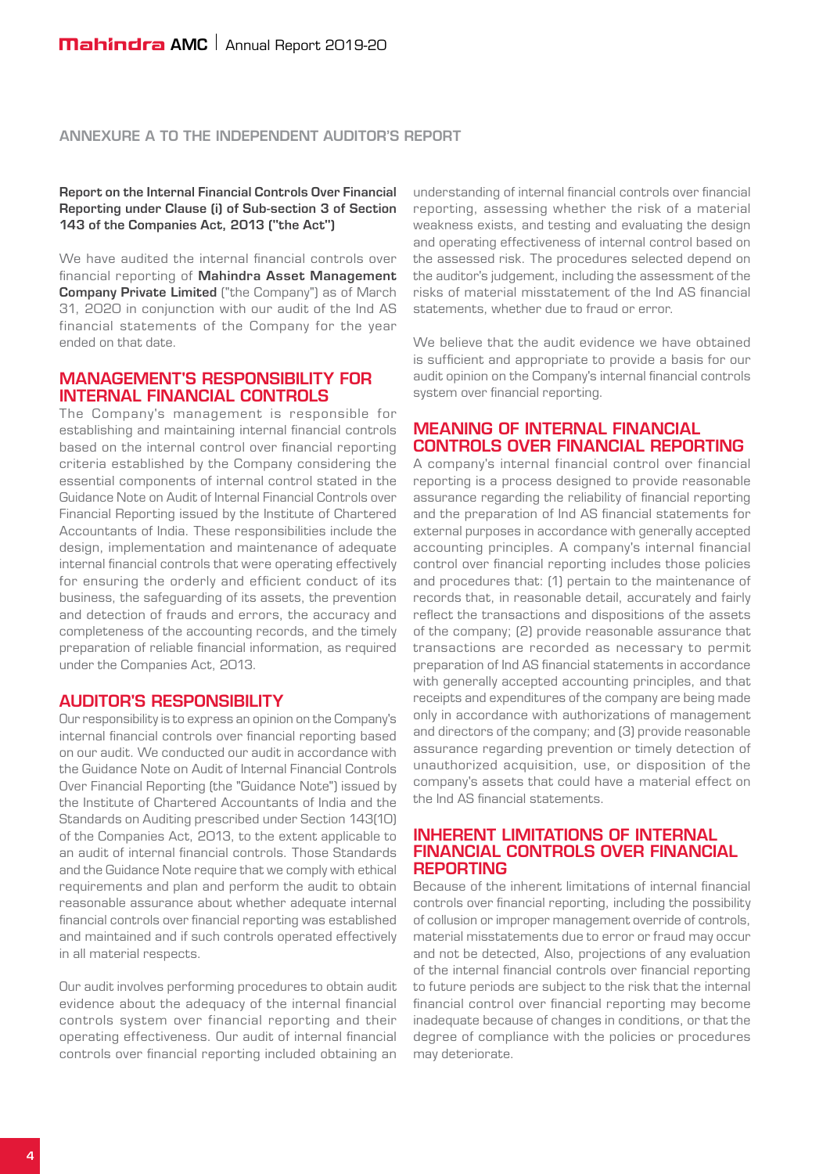#### Annexure A to the Independent Auditor's Report

Report on the Internal Financial Controls Over Financial Reporting under Clause (i) of Sub-section 3 of Section 143 of the Companies Act, 2013 ("the Act")

We have audited the internal financial controls over financial reporting of Mahindra Asset Management Company Private Limited ("the Company") as of March 31, 2020 in conjunction with our audit of the Ind AS financial statements of the Company for the year ended on that date.

#### Management's Responsibility for Internal Financial Controls

The Company's management is responsible for establishing and maintaining internal financial controls based on the internal control over financial reporting criteria established by the Company considering the essential components of internal control stated in the Guidance Note on Audit of Internal Financial Controls over Financial Reporting issued by the Institute of Chartered Accountants of India. These responsibilities include the design, implementation and maintenance of adequate internal financial controls that were operating effectively for ensuring the orderly and efficient conduct of its business, the safeguarding of its assets, the prevention and detection of frauds and errors, the accuracy and completeness of the accounting records, and the timely preparation of reliable financial information, as required under the Companies Act, 2013.

#### AUDITOR'S RESPONSIBILITY

Our responsibility is to express an opinion on the Company's internal financial controls over financial reporting based on our audit. We conducted our audit in accordance with the Guidance Note on Audit of Internal Financial Controls Over Financial Reporting (the "Guidance Note") issued by the Institute of Chartered Accountants of India and the Standards on Auditing prescribed under Section 143(10) of the Companies Act, 2013, to the extent applicable to an audit of internal financial controls. Those Standards and the Guidance Note require that we comply with ethical requirements and plan and perform the audit to obtain reasonable assurance about whether adequate internal financial controls over financial reporting was established and maintained and if such controls operated effectively in all material respects.

Our audit involves performing procedures to obtain audit evidence about the adequacy of the internal financial controls system over financial reporting and their operating effectiveness. Our audit of internal financial controls over financial reporting included obtaining an understanding of internal financial controls over financial reporting, assessing whether the risk of a material weakness exists, and testing and evaluating the design and operating effectiveness of internal control based on the assessed risk. The procedures selected depend on the auditor's judgement, including the assessment of the risks of material misstatement of the Ind AS financial statements, whether due to fraud or error.

We believe that the audit evidence we have obtained is sufficient and appropriate to provide a basis for our audit opinion on the Company's internal financial controls system over financial reporting.

#### Meaning of Internal Financial Controls over Financial Reporting

A company's internal financial control over financial reporting is a process designed to provide reasonable assurance regarding the reliability of financial reporting and the preparation of Ind AS financial statements for external purposes in accordance with generally accepted accounting principles. A company's internal financial control over financial reporting includes those policies and procedures that: (1) pertain to the maintenance of records that, in reasonable detail, accurately and fairly reflect the transactions and dispositions of the assets of the company; (2) provide reasonable assurance that transactions are recorded as necessary to permit preparation of Ind AS financial statements in accordance with generally accepted accounting principles, and that receipts and expenditures of the company are being made only in accordance with authorizations of management and directors of the company; and (3) provide reasonable assurance regarding prevention or timely detection of unauthorized acquisition, use, or disposition of the company's assets that could have a material effect on the Ind AS financial statements.

#### INHERENT LIMITATIONS OF INTERNAL Financial Controls over Financial **REPORTING**

Because of the inherent limitations of internal financial controls over financial reporting, including the possibility of collusion or improper management override of controls, material misstatements due to error or fraud may occur and not be detected, Also, projections of any evaluation of the internal financial controls over financial reporting to future periods are subject to the risk that the internal financial control over financial reporting may become inadequate because of changes in conditions, or that the degree of compliance with the policies or procedures may deteriorate.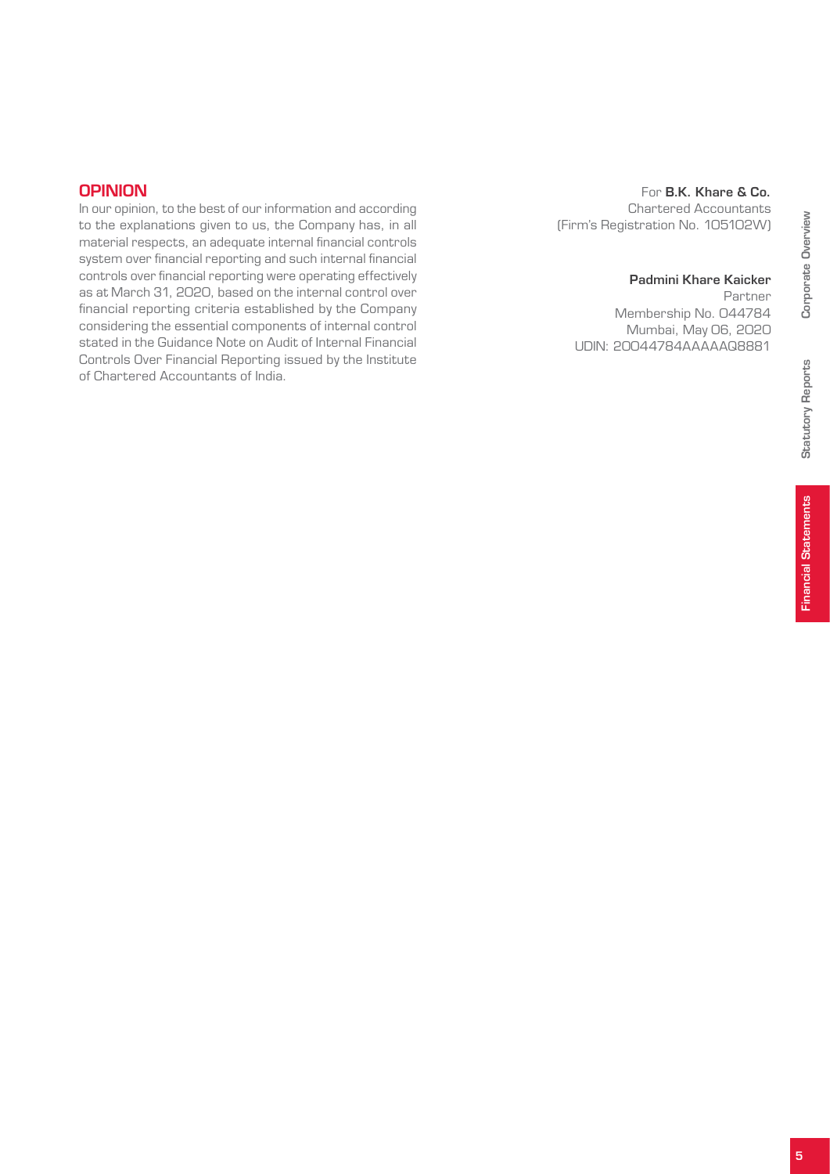#### **OPINION**

In our opinion, to the best of our information and according to the explanations given to us, the Company has, in all material respects, an adequate internal financial controls system over financial reporting and such internal financial controls over financial reporting were operating effectively as at March 31, 2020, based on the internal control over financial reporting criteria established by the Company considering the essential components of internal control stated in the Guidance Note on Audit of Internal Financial Controls Over Financial Reporting issued by the Institute of Chartered Accountants of India.

#### For B.K. Khare & Co. Chartered Accountants (Firm's Registration No. 105102W)

#### Padmini Khare Kaicker

Partner Membership No. 044784 Mumbai, May 06, 2020 UDIN: 20044784AAAAAQ8881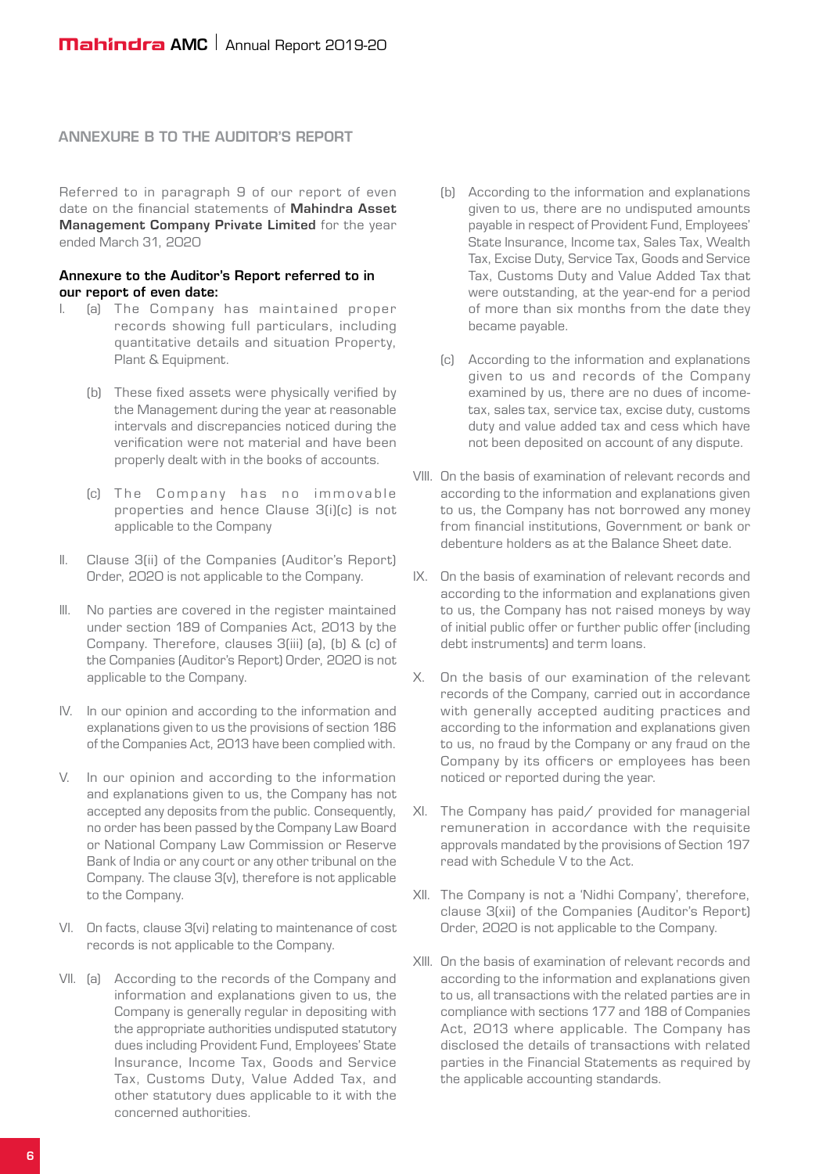#### ANNEXURE B TO THE AUDITOR'S REPORT

Referred to in paragraph 9 of our report of even date on the financial statements of Mahindra Asset Management Company Private Limited for the year ended March 31, 2020

#### Annexure to the Auditor's Report referred to in our report of even date:

- I. (a) The Company has maintained proper records showing full particulars, including quantitative details and situation Property, Plant & Equipment.
	- (b) These fixed assets were physically verified by the Management during the year at reasonable intervals and discrepancies noticed during the verification were not material and have been properly dealt with in the books of accounts.
	- (c) The Company has no immovable proper ties and hence Clause 3(i)(c) is not applicable to the Company
- II. Clause 3(ii) of the Companies (Auditor's Report) Order, 2020 is not applicable to the Company.
- III. No parties are covered in the register maintained under section 189 of Companies Act, 2013 by the Company. Therefore, clauses 3(iii) (a), (b) & (c) of the Companies (Auditor's Report) Order, 2020 is not applicable to the Company.
- IV. In our opinion and according to the information and explanations given to us the provisions of section 186 of the Companies Act, 2013 have been complied with.
- V. In our opinion and according to the information and explanations given to us, the Company has not accepted any deposits from the public. Consequently, no order has been passed by the Company Law Board or National Company Law Commission or Reserve Bank of India or any court or any other tribunal on the Company. The clause 3(v), therefore is not applicable to the Company.
- VI. On facts, clause 3(vi) relating to maintenance of cost records is not applicable to the Company.
- VII. (a) According to the records of the Company and information and explanations given to us, the Company is generally regular in depositing with the appropriate authorities undisputed statutory dues including Provident Fund, Employees' State Insurance, Income Tax, Goods and Service Tax, Customs Duty, Value Added Tax, and other statutory dues applicable to it with the concerned authorities.
- (b) According to the information and explanations given to us, there are no undisputed amounts payable in respect of Provident Fund, Employees' State Insurance, Income tax, Sales Tax, Wealth Tax, Excise Duty, Service Tax, Goods and Service Tax, Customs Duty and Value Added Tax that were outstanding, at the year-end for a period of more than six months from the date they became payable.
- (c) According to the information and explanations given to us and records of the Company examined by us, there are no dues of incometax, sales tax, service tax, excise duty, customs duty and value added tax and cess which have not been deposited on account of any dispute.
- VIII. On the basis of examination of relevant records and according to the information and explanations given to us, the Company has not borrowed any money from financial institutions, Government or bank or debenture holders as at the Balance Sheet date.
- IX. On the basis of examination of relevant records and according to the information and explanations given to us, the Company has not raised moneys by way of initial public offer or further public offer (including debt instruments) and term loans.
- X. On the basis of our examination of the relevant records of the Company, carried out in accordance with generally accepted auditing practices and according to the information and explanations given to us, no fraud by the Company or any fraud on the Company by its officers or employees has been noticed or reported during the year.
- XI. The Company has paid/ provided for managerial remuneration in accordance with the requisite approvals mandated by the provisions of Section 197 read with Schedule V to the Act.
- XII. The Company is not a 'Nidhi Company', therefore, clause 3(xii) of the Companies (Auditor's Report) Order, 2020 is not applicable to the Company.
- XIII. On the basis of examination of relevant records and according to the information and explanations given to us, all transactions with the related parties are in compliance with sections 177 and 188 of Companies Act, 2013 where applicable. The Company has disclosed the details of transactions with related parties in the Financial Statements as required by the applicable accounting standards.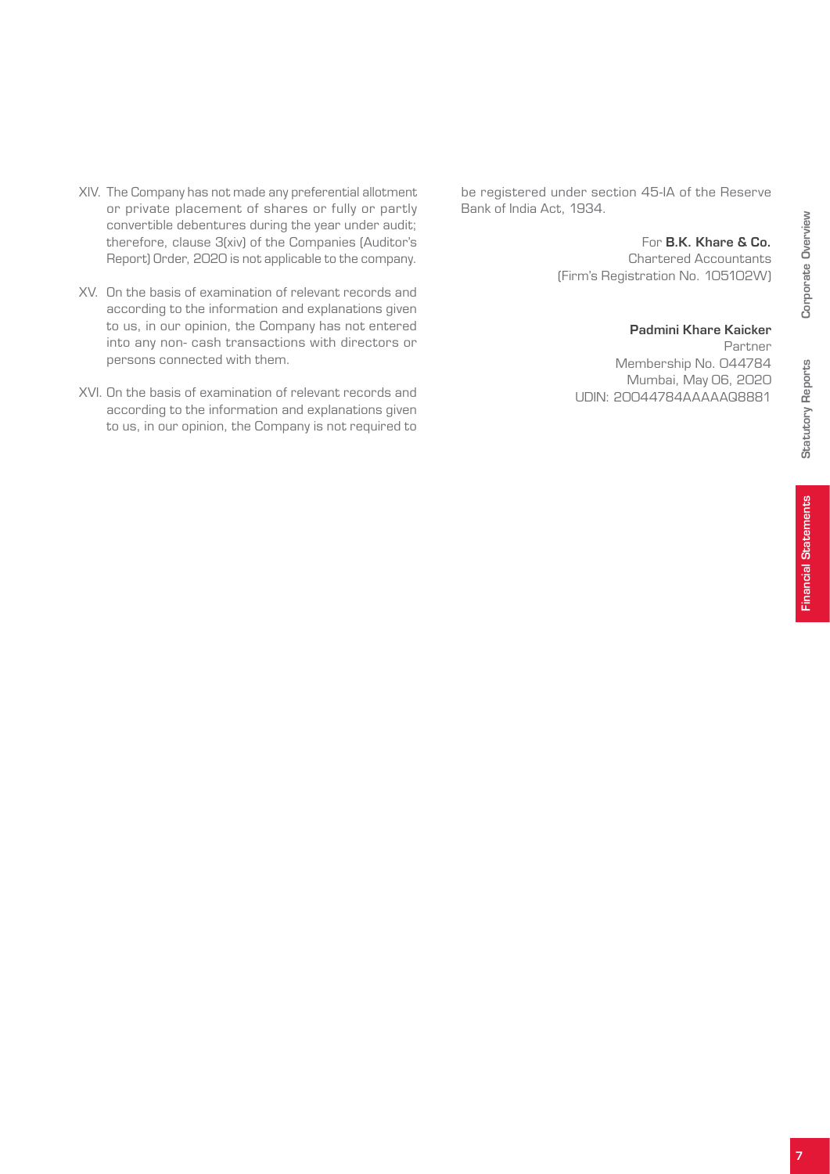- XIV. The Company has not made any preferential allotment or private placement of shares or fully or partly convertible debentures during the year under audit; therefore, clause 3(xiv) of the Companies (Auditor's Report) Order, 2020 is not applicable to the company.
- XV. On the basis of examination of relevant records and according to the information and explanations given to us, in our opinion, the Company has not entered into any non- cash transactions with directors or persons connected with them.
- XVI. On the basis of examination of relevant records and according to the information and explanations given to us, in our opinion, the Company is not required to

be registered under section 45-IA of the Reserve Bank of India Act, 1934.

#### For B.K. Khare & Co.

Chartered Accountants (Firm's Registration No. 105102W)

#### Padmini Khare Kaicker

Partner Membership No. 044784 Mumbai, May 06, 2020 UDIN: 20044784AAAAAQ8881

Statutory Reports

Statutory Reports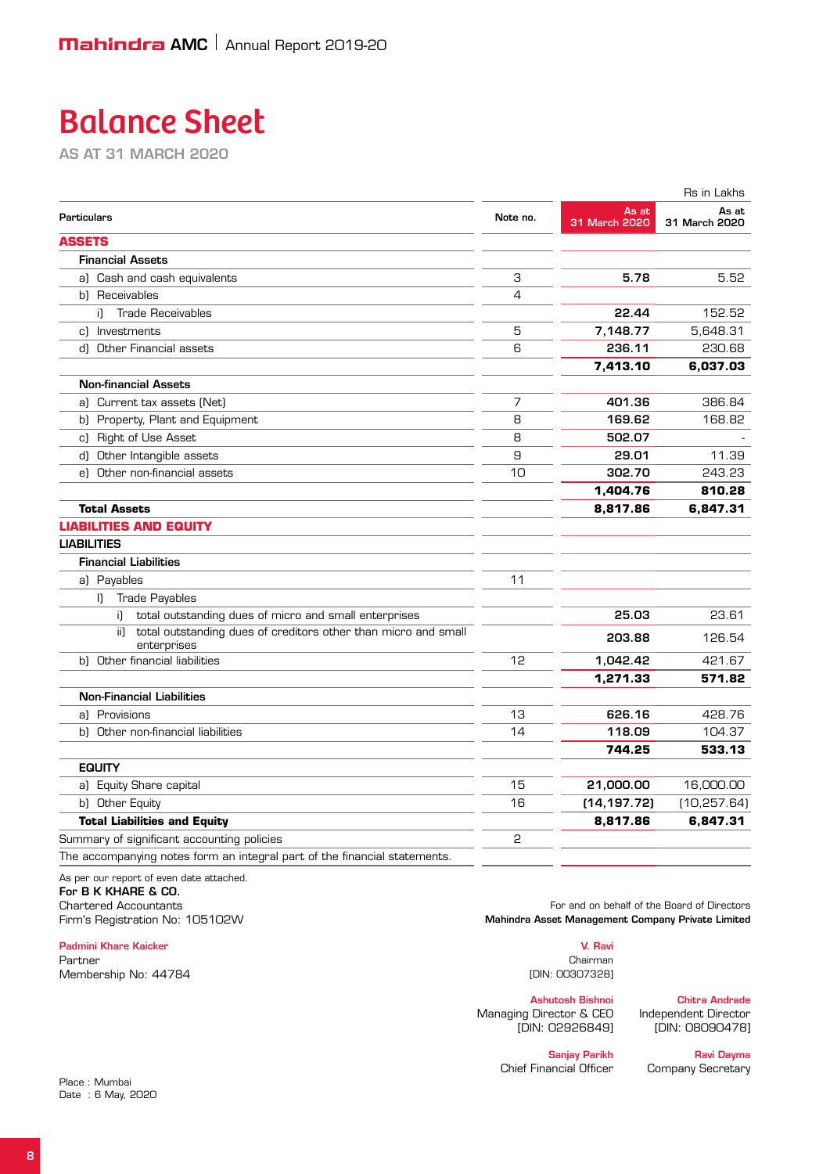# Balance Sheet

as at 31 March 2020

|                                                                                      |          |                        | Rs in Lakhs            |
|--------------------------------------------------------------------------------------|----------|------------------------|------------------------|
| <b>Particulars</b>                                                                   | Note no. | As at<br>31 March 2020 | As at<br>31 March 2020 |
| <b>ASSETS</b>                                                                        |          |                        |                        |
| <b>Financial Assets</b>                                                              |          |                        |                        |
| a) Cash and cash equivalents                                                         | З        | 5.78                   | 5.52                   |
| b) Receivables                                                                       | 4        |                        |                        |
| <b>Trade Receivables</b><br>i).                                                      |          | 22.44                  | 152.52                 |
| c) Investments                                                                       | 5        | 7,148.77               | 5,648.31               |
| d) Other Financial assets                                                            | 6        | 236.11                 | 230.68                 |
|                                                                                      |          | 7,413.10               | 6,037.03               |
| <b>Non-financial Assets</b>                                                          |          |                        |                        |
| a) Current tax assets (Net)                                                          | 7        | 401.36                 | 386.84                 |
| b) Property, Plant and Equipment                                                     | 8        | 169.62                 | 168.82                 |
| c) Right of Use Asset                                                                | 8        | 502.07                 |                        |
| d) Other Intangible assets                                                           | 9        | 29.01                  | 11.39                  |
| e) Other non-financial assets                                                        | 10       | 302.70                 | 243.23                 |
|                                                                                      |          | 1,404.76               | 810.28                 |
| <b>Total Assets</b>                                                                  |          | 8,817.86               | 6,847.31               |
| <b>LIABILITIES AND EQUITY</b>                                                        |          |                        |                        |
| <b>LIABILITIES</b>                                                                   |          |                        |                        |
| <b>Financial Liabilities</b>                                                         |          |                        |                        |
| a) Payables                                                                          | 11       |                        |                        |
| <b>Trade Payables</b><br>$\mathbf{L}$                                                |          |                        |                        |
| total outstanding dues of micro and small enterprises<br>i).                         |          | 25.03                  | 23.61                  |
| ii)<br>total outstanding dues of creditors other than micro and small<br>enterprises |          | 203.88                 | 126.54                 |
| b) Other financial liabilities                                                       | 12       | 1,042.42               | 421.67                 |
|                                                                                      |          | 1,271.33               | 571.82                 |
| <b>Non-Financial Liabilities</b>                                                     |          |                        |                        |
| al Provisions                                                                        | 13       | 626.16                 | 428.76                 |
| b) Other non-financial liabilities                                                   | 14       | 118.09                 | 104.37                 |
|                                                                                      |          | 744.25                 | 533.13                 |
| <b>EQUITY</b>                                                                        |          |                        |                        |
| a) Equity Share capital                                                              | 15       | 21,000.00              | 16,000.00              |
| b) Other Equity                                                                      | 16       | (14, 197.72)           | (10, 257.64)           |
| <b>Total Liabilities and Equity</b>                                                  |          | 8,817.86               | 6,847.31               |
| Summary of significant accounting policies                                           | 2        |                        |                        |
| The accompanying notes form an integral part of the financial statements.            |          |                        |                        |

As per our report of even date attached. For **B K KHARE & CO.**<br>Chartered Accountants

Padmini Khare Kaicker V. Ravi

Partner Chairman (1999), and the contract of the contract of the contract of the chairman chairman (1999), contract of the contract of the contract of the contract of the contract of the contract of the contract of the con Membership No: 44784 **DIN:** 00307328]

For and on behalf of the Board of Directors Firm's Registration No: 105102W Mahindra Asset Management Company Private Limited

Ashutosh Bishnoi **Chitra Andrade**<br>Director & CEO Independent Director Managing Director & CEO<br>IDIN: 02926849]

[DIN: 08090478]

Chief Financial Officer Company Secretary

Sanjay Parikh Ravi Dayma

Place : Mumbai Date : 6 May, 2020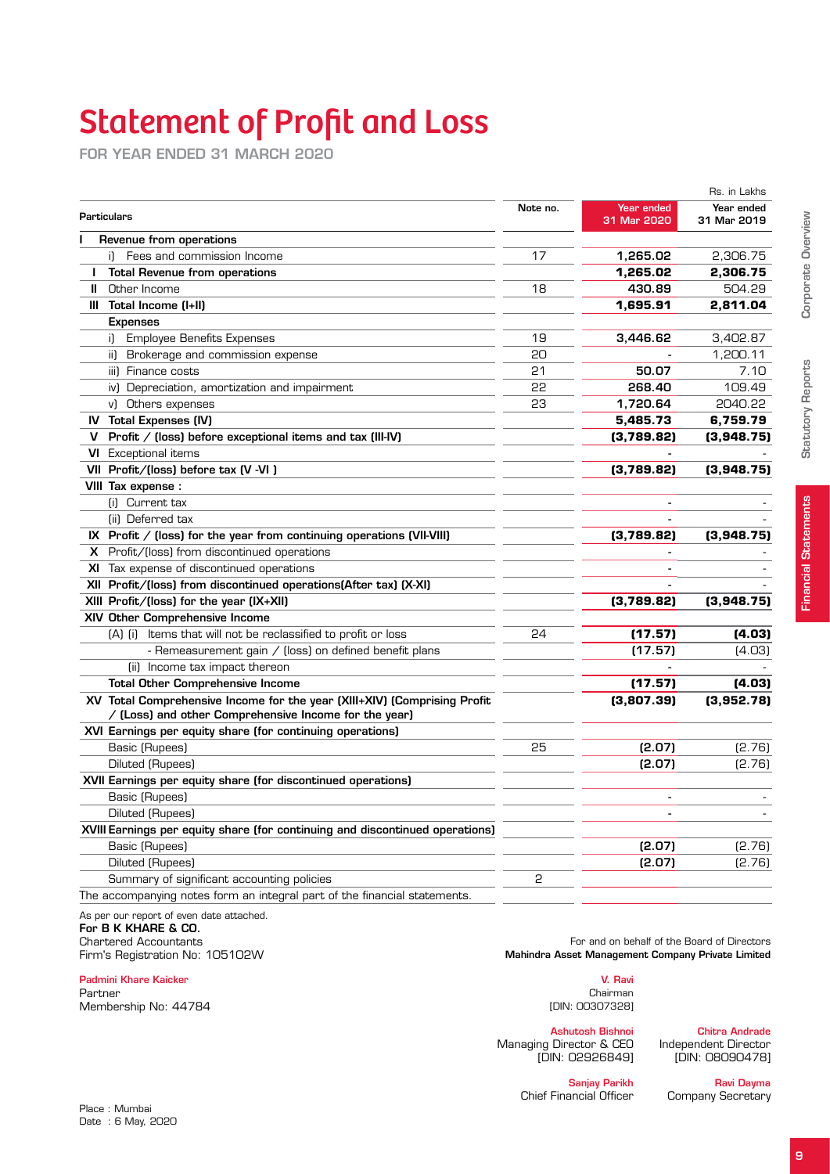# Statement of Profit and Loss

for year ended 31 March 2020

|    |                                                                                                                                   |    |                           | Rs. in Lakhs              |
|----|-----------------------------------------------------------------------------------------------------------------------------------|----|---------------------------|---------------------------|
|    | <b>Particulars</b><br>Revenue from operations                                                                                     |    | Year ended<br>31 Mar 2020 | Year ended<br>31 Mar 2019 |
|    |                                                                                                                                   |    |                           |                           |
|    | i) Fees and commission Income                                                                                                     | 17 | 1,265.02                  | 2,306.75                  |
| J. | <b>Total Revenue from operations</b>                                                                                              |    | 1,265.02                  | 2,306.75                  |
| Ш  | Other Income                                                                                                                      | 18 | 430.89                    | 504.29                    |
|    | III Total Income (I+II)                                                                                                           |    | 1,695.91                  | 2,811.04                  |
|    | <b>Expenses</b>                                                                                                                   |    |                           |                           |
|    | <b>Employee Benefits Expenses</b><br>i).                                                                                          | 19 | 3,446.62                  | 3,402.87                  |
|    | ii) Brokerage and commission expense                                                                                              | 20 |                           | 1,200.11                  |
|    | iii) Finance costs                                                                                                                | 21 | 50.07                     | 7.10                      |
|    | iv) Depreciation, amortization and impairment                                                                                     | 22 | 268.40                    | 109.49                    |
|    | v) Others expenses                                                                                                                | 23 | 1.720.64                  | 2040.22                   |
|    | <b>IV</b> Total Expenses (IV)                                                                                                     |    | 5,485.73                  | 6,759.79                  |
| v. | Profit / (loss) before exceptional items and tax (III-IV)                                                                         |    | (3,789.82)                | (3,948.75)                |
|    | <b>VI</b> Exceptional items                                                                                                       |    |                           |                           |
|    | VII Profit/(loss) before tax (V -VI)                                                                                              |    | (3,789.82)                | (3,948.75)                |
|    | VIII Tax expense :                                                                                                                |    |                           |                           |
|    | (i) Current tax                                                                                                                   |    |                           |                           |
|    | (ii) Deferred tax                                                                                                                 |    | $\blacksquare$            |                           |
|    | IX Profit $/$ (loss) for the year from continuing operations (VII-VIII)                                                           |    | (3,789.82)                | (3,948.75)                |
|    | X Profit/(loss) from discontinued operations                                                                                      |    |                           |                           |
|    | XI Tax expense of discontinued operations                                                                                         |    |                           |                           |
|    | XII Profit/(loss) from discontinued operations(After tax) (X-XI)                                                                  |    |                           |                           |
|    | XIII Profit/(loss) for the year (IX+XII)                                                                                          |    | (3,789.82)                | (3,948.75)                |
|    | XIV Other Comprehensive Income                                                                                                    |    |                           |                           |
|    | (A) (i) Items that will not be reclassified to profit or loss                                                                     | 24 | (17.57)                   | (4.03)                    |
|    | - Remeasurement gain / (loss) on defined benefit plans                                                                            |    | (17.57)                   | (4.03)                    |
|    | (ii) Income tax impact thereon                                                                                                    |    |                           |                           |
|    | <b>Total Other Comprehensive Income</b>                                                                                           |    | (17.57)                   | (4.03)                    |
|    | XV Total Comprehensive Income for the year (XIII+XIV) (Comprising Profit<br>/ (Loss) and other Comprehensive Income for the year) |    | (3,807.39)                | (3,952.78)                |
|    | XVI Earnings per equity share (for continuing operations)                                                                         |    |                           |                           |
|    | Basic (Rupees)                                                                                                                    | 25 | (2.07)                    | [2.76]                    |
|    | Diluted (Rupees)                                                                                                                  |    | (2.07)                    | [2.76]                    |
|    | XVII Earnings per equity share (for discontinued operations)                                                                      |    |                           |                           |
|    | Basic (Rupees)                                                                                                                    |    | $\blacksquare$            |                           |
|    | Diluted (Rupees)                                                                                                                  |    |                           |                           |
|    | XVIII Earnings per equity share (for continuing and discontinued operations)                                                      |    |                           |                           |
|    | Basic (Rupees)                                                                                                                    |    | (2.07)                    | (2.76)                    |
|    | Diluted (Rupees)                                                                                                                  |    | (2.07)                    | [2.76]                    |
|    | Summary of significant accounting policies                                                                                        | 2  |                           |                           |
|    | The accompanying notes form an integral part of the financial statements.                                                         |    |                           |                           |

| 948.75) |  |
|---------|--|
|         |  |
| (4.03)  |  |
| (4.03)  |  |
|         |  |
| (4.03)  |  |

As per our report of even date attached.

# For B K KHARE & CO.<br>Chartered Accountants

#### Padmini Khare Kaicker V. Ravi

Partner Chairman (1999) and the contract of the contract of the contract of the chairman chairman (1999) and the contract of the contract of the contract of the contract of the contract of the contract of the contract of t Membership No: 44784 **Membership No: 44784 IDIN: 00307328]** 

Chartered Accountants<br>For and on behalf of the Board of Directors<br>Mahindra Asset Management Company Private Limited<br>Mahindra Asset Management Company Private Limited Mahindra Asset Management Company Private Limited

Managing Director & CEO<br>IDIN: 02926849]

Ashutosh Bishnoi<br>Director & CEO lndependent Director [DIN: 02926849] [DIN: 08090478]

**Sanjay Parikh Ravi Dayma**<br>Chief Financial Officer Company Secretary

Company Secretary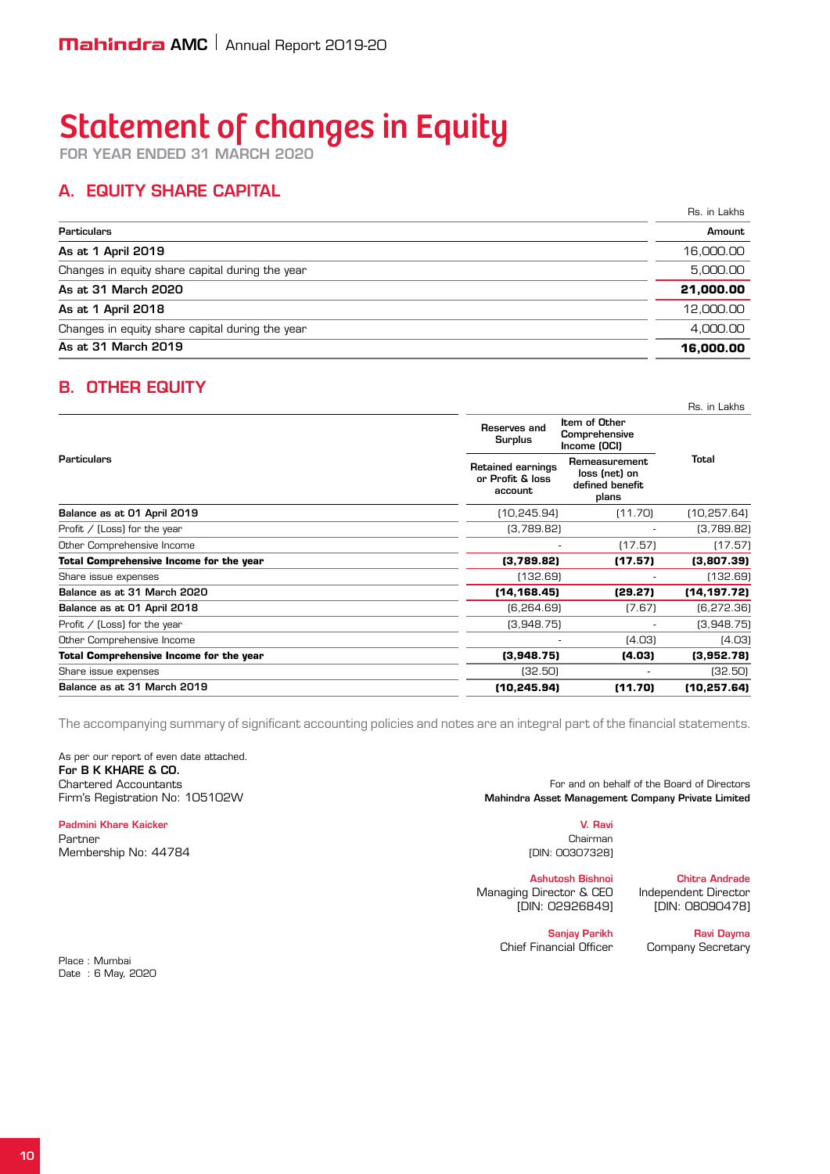# Statement of changes in Equity

for year ended 31 March 2020

## A. Equity share capital

Rs. in Lakhs

| <b>Particulars</b>                              |           |
|-------------------------------------------------|-----------|
| As at 1 April 2019                              | 16,000.00 |
| Changes in equity share capital during the year | 5.000.00  |
| As at 31 March 2020                             | 21,000.00 |
| As at 1 April 2018                              | 12,000,00 |
| Changes in equity share capital during the year | 4.000.00  |
| As at 31 March 2019                             | 16,000,00 |

#### B. Other Equity

|                                                |                                                         |                                                            | Rs. in Lakhs |
|------------------------------------------------|---------------------------------------------------------|------------------------------------------------------------|--------------|
|                                                | Reserves and<br><b>Surplus</b>                          | Item of Other<br>Comprehensive<br>Income (OCI)             |              |
| Particulars                                    | <b>Retained earnings</b><br>or Profit & loss<br>account | Remeasurement<br>loss (net) on<br>defined benefit<br>plans | Total        |
| Balance as at 01 April 2019                    | (10, 245.94)                                            | (11.70)                                                    | (10, 257.64) |
| Profit $/$ (Loss) for the year                 | (3,789.82)                                              |                                                            | (3,789.82)   |
| Other Comprehensive Income                     |                                                         | (17.57)                                                    | (17.57)      |
| <b>Total Comprehensive Income for the year</b> | (3,789.82)                                              | (17.57)                                                    | (3,807.39)   |
| Share issue expenses                           | (132.69)                                                |                                                            | (132.69)     |
| Balance as at 31 March 2020                    | (14, 168.45)                                            | (29.27)                                                    | (14, 197.72) |
| Balance as at 01 April 2018                    | (6, 264.69)                                             | (7.67)                                                     | (6, 272.36)  |
| Profit / (Loss) for the year                   | (3,948.75)                                              |                                                            | (3,948.75)   |
| Other Comprehensive Income                     |                                                         | (4.03)                                                     | (4.03)       |
| Total Comprehensive Income for the year        | (3,948.75)                                              | (4.03)                                                     | (3,952.78)   |
| Share issue expenses                           | (32.50)                                                 |                                                            | (32.50)      |
| Balance as at 31 March 2019                    | (10, 245.94)                                            | (11.70)                                                    | (10.257.64)  |

The accompanying summary of significant accounting policies and notes are an integral part of the financial statements.

As per our report of even date attached. For B K KHARE & CO.

#### Padmini Khare Kaicker V. Ravi

Place : Mumbai Date : 6 May, 2020

Partner Chairman (Chairman Chairman Chairman) and the chairman chairman chairman chairman chairman chairman ch Membership No: 44784 **[DIN: 00307328]** [DIN: 00307328]

Chartered Accountants **For and Offer Accountants** For and on behalf of the Board of Directors Firm's Registration No: 105102W Mahindra Asset Management Company Private Limited

Managing Director & CEO

Ashutosh Bishnoi Chitra Andrade [DIN: 02926849] [DIN: 08090478]

Chief Financial Officer Company Secretary

Sanjay Parikh Ravi Dayma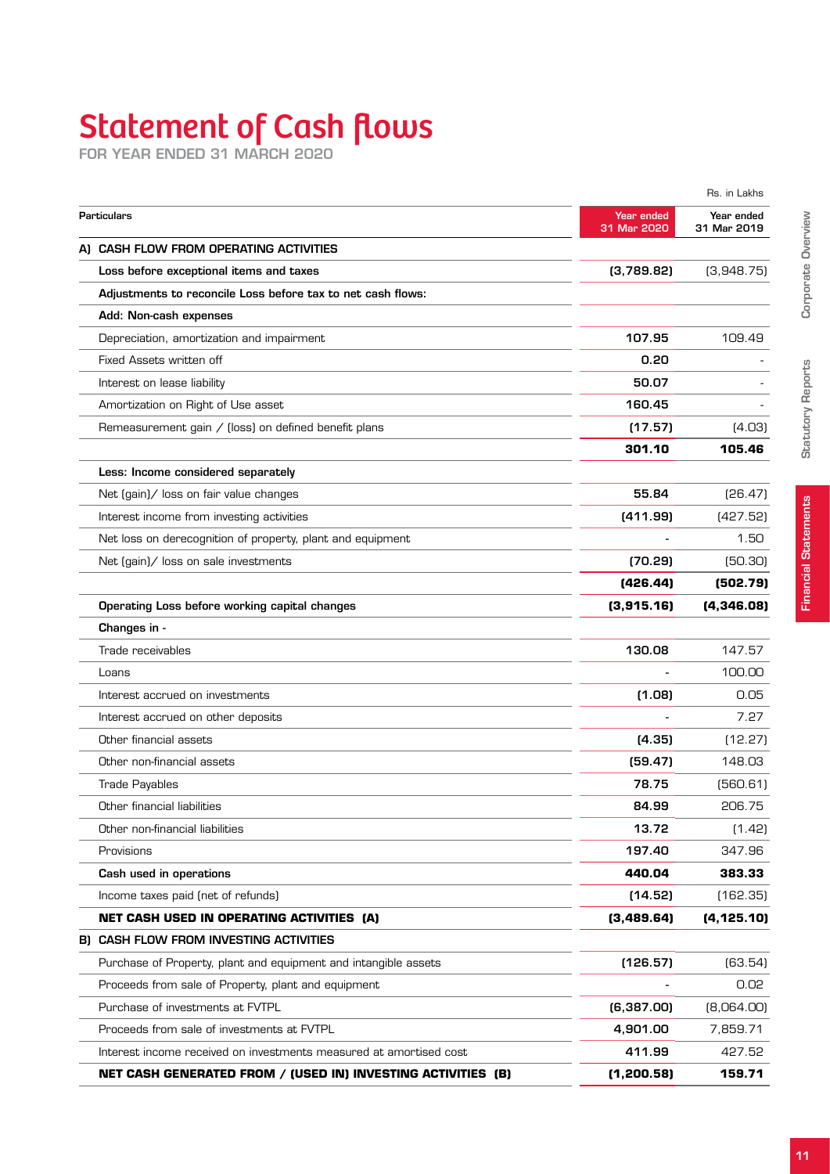# Statement of Cash flows

for year ended 31 March 2020

|                                                                    |                           | Rs. in Lakhs              |
|--------------------------------------------------------------------|---------------------------|---------------------------|
| <b>Particulars</b>                                                 | Year ended<br>31 Mar 2020 | Year ended<br>31 Mar 2019 |
| A) CASH FLOW FROM OPERATING ACTIVITIES                             |                           |                           |
| Loss before exceptional items and taxes                            | (3,789.82)                | (3,948.75)                |
| Adjustments to reconcile Loss before tax to net cash flows:        |                           |                           |
| Add: Non-cash expenses                                             |                           |                           |
| Depreciation, amortization and impairment                          | 107.95                    | 109.49                    |
| Fixed Assets written off                                           | 0.20                      |                           |
| Interest on lease liability                                        | 50.07                     |                           |
| Amortization on Right of Use asset                                 | 160.45                    |                           |
| Remeasurement gain / (loss) on defined benefit plans               | (17.57)                   | (4.03)                    |
|                                                                    | 301.10                    | 105.46                    |
| Less: Income considered separately                                 |                           |                           |
| Net (gain)/ loss on fair value changes                             | 55.84                     | [26.47]                   |
| Interest income from investing activities                          | (411.99)                  | (427.52)                  |
| Net loss on derecognition of property, plant and equipment         |                           | 1.50                      |
| Net (gain)/ loss on sale investments                               | (70.29)                   | [50.30]                   |
|                                                                    | (426.44)                  | (502.79)                  |
| Operating Loss before working capital changes                      | (3,915.16)                | (4, 346.08)               |
| Changes in -                                                       |                           |                           |
| Trade receivables                                                  | 130.08                    | 147.57                    |
| Loans                                                              |                           | 100.00                    |
| Interest accrued on investments                                    | (1.08)                    | 0.05                      |
| Interest accrued on other deposits                                 |                           | 7.27                      |
| Other financial assets                                             | (4.35)                    | (12.27)                   |
| Other non-financial assets                                         | (59.47)                   | 148.03                    |
| <b>Trade Payables</b>                                              | 78.75                     | (560.61)                  |
| Other financial liabilities                                        | 84.99                     | 206.75                    |
| Other non-financial liabilities                                    | 13.72                     | (1.42)                    |
| Provisions                                                         | 197.40                    | 347.96                    |
| Cash used in operations                                            | 440.04                    | 383.33                    |
| Income taxes paid (net of refunds)                                 | (14.52)                   | (162.35)                  |
| <b>NET CASH USED IN OPERATING ACTIVITIES (A)</b>                   | (3,489.64)                | (4, 125.10)               |
| B) CASH FLOW FROM INVESTING ACTIVITIES                             |                           |                           |
| Purchase of Property, plant and equipment and intangible assets    | (126.57)                  | (63.54)                   |
| Proceeds from sale of Property, plant and equipment                |                           | 0.02                      |
| Purchase of investments at FVTPL                                   | (6,387.00)                | [8,064.00]                |
| Proceeds from sale of investments at FVTPL                         | 4,901.00                  | 7,859.71                  |
| Interest income received on investments measured at amortised cost | 411.99                    | 427.52                    |
| NET CASH GENERATED FROM / (USED IN) INVESTING ACTIVITIES (B)       | (1, 200.58)               | 159.71                    |
|                                                                    |                           |                           |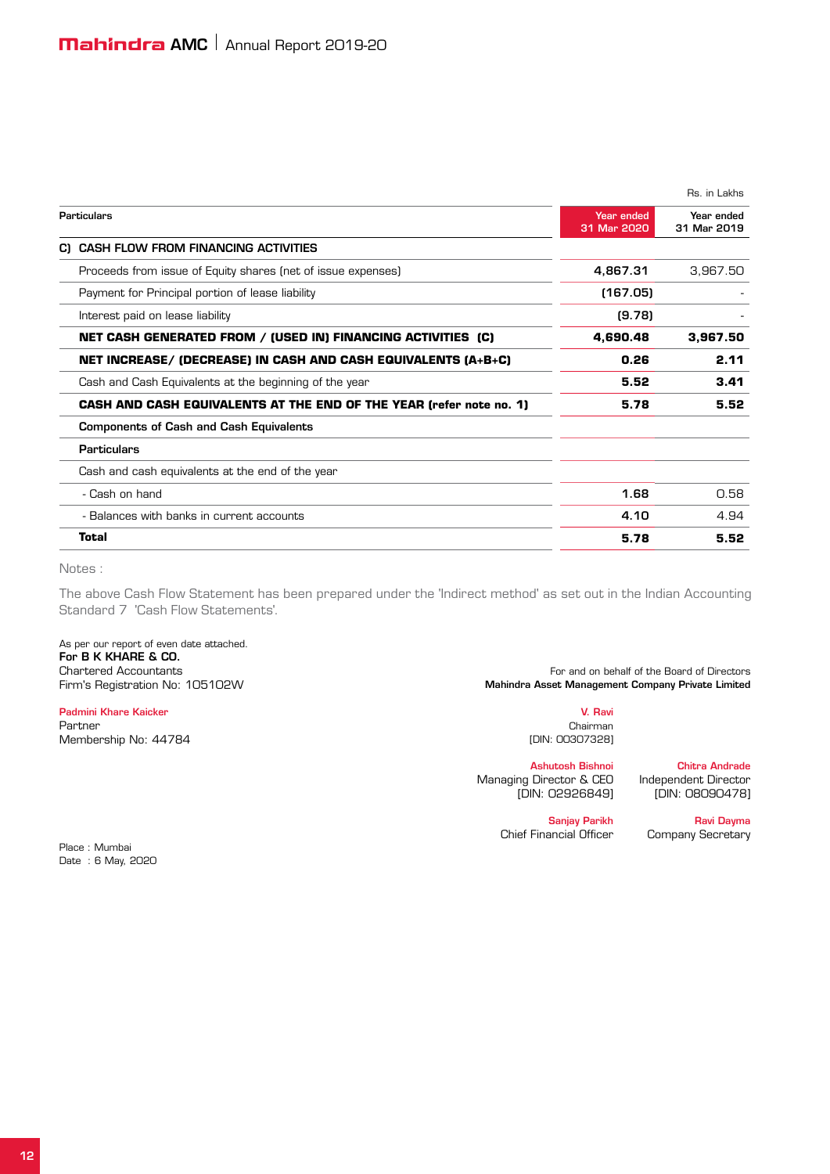|                                                                            |                           | Rs. in Lakhs              |
|----------------------------------------------------------------------------|---------------------------|---------------------------|
| <b>Particulars</b>                                                         | Year ended<br>31 Mar 2020 | Year ended<br>31 Mar 2019 |
| <b>CASH FLOW FROM FINANCING ACTIVITIES</b><br>C)                           |                           |                           |
| Proceeds from issue of Equity shares (net of issue expenses)               | 4,867.31                  | 3.967.50                  |
| Payment for Principal portion of lease liability                           | (167.05)                  |                           |
| Interest paid on lease liability                                           | (9.78)                    |                           |
| NET CASH GENERATED FROM / (USED IN) FINANCING ACTIVITIES (C)               | 4,690.48                  | 3,967.50                  |
| NET INCREASE/ (DECREASE) IN CASH AND CASH EQUIVALENTS (A+B+C)              | 0.26                      | 2.11                      |
| Cash and Cash Equivalents at the beginning of the year                     | 5.52                      | 3.41                      |
| <b>CASH AND CASH EQUIVALENTS AT THE END OF THE YEAR (refer note no. 1)</b> | 5.78                      | 5.52                      |
| <b>Components of Cash and Cash Equivalents</b>                             |                           |                           |
| <b>Particulars</b>                                                         |                           |                           |
| Cash and cash equivalents at the end of the year                           |                           |                           |
| - Cash on hand                                                             | 1.68                      | 0.58                      |
| - Balances with banks in current accounts                                  | 4.10                      | 4.94                      |
| Total                                                                      | 5.78                      | 5.52                      |

Notes :

The above Cash Flow Statement has been prepared under the 'Indirect method' as set out in the Indian Accounting Standard 7 'Cash Flow Statements'.

As per our report of even date attached. For B K KHARE & CO.

Padmini Khare Kaicker V. Ravi Partner Chairman (Chairman Chairman) and the contract of the contract of the contract of the chairman (Chairman Membership No: 44784 **[DIN: 00307328]** 

Chartered Accountants<br>For and on behalf of the Board of Directors<br>Mahindra Asset Management Company Private Limited<br>Mahindra Asset Management Company Private Limited Mahindra Asset Management Company Private Limited

Ashutosh Bishnoi Chitra Andrade Managing Director & CEO Independent Director [DIN: 02926849] [DIN: 08090478]

Sanjay Parikh Ravi Dayma<br>Chief Financial Officer Company Secretary

Company Secretary

Place : Mumbai Date : 6 May, 2020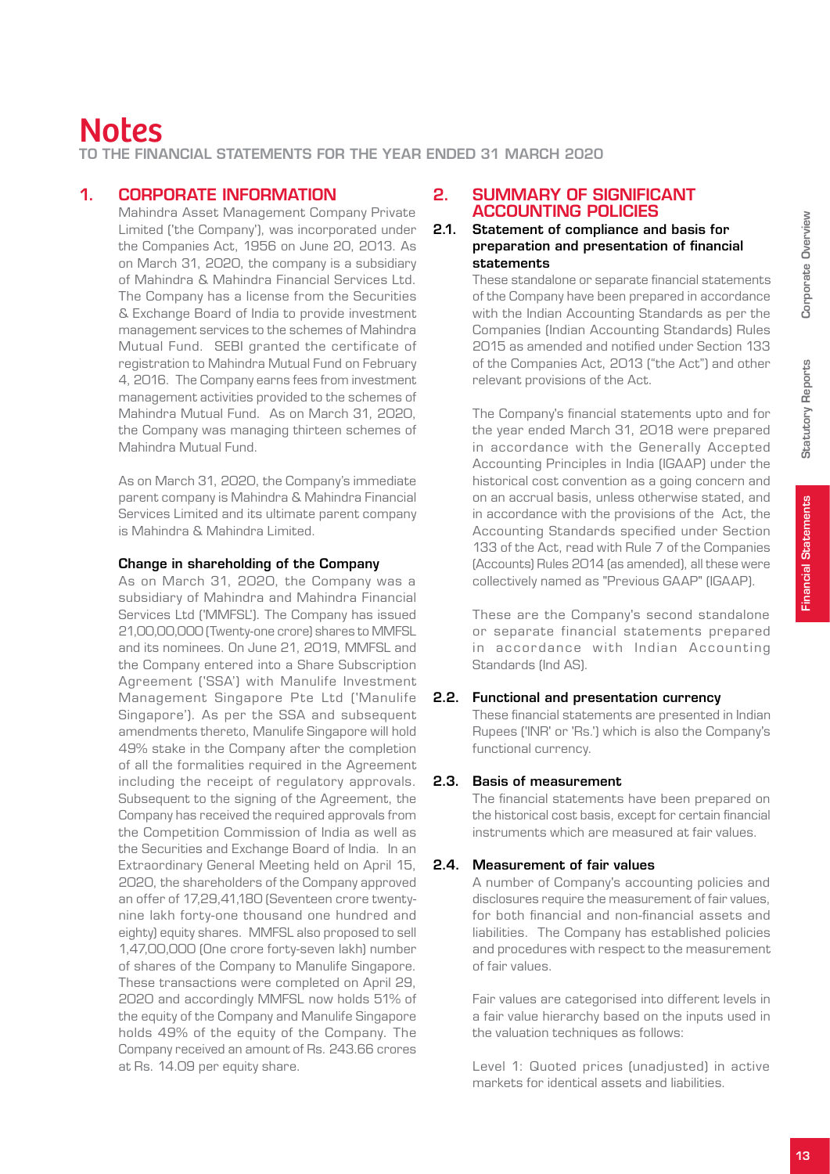to the Financial Statements for the year ended 31 March 2020

#### 1. CORPORATE INFORMATION

Mahindra Asset Management Company Private Limited ('the Company'), was incorporated under the Companies Act, 1956 on June 20, 2013. As on March 31, 2020, the company is a subsidiary of Mahindra & Mahindra Financial Services Ltd. The Company has a license from the Securities & Exchange Board of India to provide investment management services to the schemes of Mahindra Mutual Fund. SEBI granted the certificate of registration to Mahindra Mutual Fund on February 4, 2016. The Company earns fees from investment management activities provided to the schemes of Mahindra Mutual Fund. As on March 31, 2020, the Company was managing thirteen schemes of Mahindra Mutual Fund.

As on March 31, 2020, the Company's immediate parent company is Mahindra & Mahindra Financial Services Limited and its ultimate parent company is Mahindra & Mahindra Limited.

#### Change in shareholding of the Company

As on March 31, 2020, the Company was a subsidiary of Mahindra and Mahindra Financial Services Ltd ('MMFSL'). The Company has issued 21,00,00,000 (Twenty-one crore) shares to MMFSL and its nominees. On June 21, 2019, MMFSL and the Company entered into a Share Subscription Agreement ('SSA') with Manulife Investment Management Singapore Pte Ltd ('Manulife Singapore'). As per the SSA and subsequent amendments thereto, Manulife Singapore will hold 49% stake in the Company after the completion of all the formalities required in the Agreement including the receipt of regulatory approvals. Subsequent to the signing of the Agreement, the Company has received the required approvals from the Competition Commission of India as well as the Securities and Exchange Board of India. In an Extraordinary General Meeting held on April 15, 2020, the shareholders of the Company approved an offer of 17,29,41,180 (Seventeen crore twentynine lakh forty-one thousand one hundred and eighty) equity shares. MMFSL also proposed to sell 1,47,00,000 (One crore forty-seven lakh) number of shares of the Company to Manulife Singapore. These transactions were completed on April 29, 2020 and accordingly MMFSL now holds 51% of the equity of the Company and Manulife Singapore holds 49% of the equity of the Company. The Company received an amount of Rs. 243.66 crores at Rs. 14.09 per equity share.

#### 2. SUMMARY OF SIGNIFICANT ACCOUNTING POLICIES

#### 2.1. Statement of compliance and basis for preparation and presentation of financial statements

These standalone or separate financial statements of the Company have been prepared in accordance with the Indian Accounting Standards as per the Companies (Indian Accounting Standards) Rules 2015 as amended and notified under Section 133 of the Companies Act, 2013 ("the Act") and other relevant provisions of the Act.

The Company's financial statements upto and for the year ended March 31, 2018 were prepared in accordance with the Generally Accepted Accounting Principles in India (IGAAP) under the historical cost convention as a going concern and on an accrual basis, unless otherwise stated, and in accordance with the provisions of the Act, the Accounting Standards specified under Section 133 of the Act, read with Rule 7 of the Companies (Accounts) Rules 2014 (as amended), all these were collectively named as "Previous GAAP" (IGAAP).

These are the Company's second standalone or separate financial statements prepared in accordance with Indian Accounting Standards (Ind AS).

#### 2.2. Functional and presentation currency

These financial statements are presented in Indian Rupees ('INR' or 'Rs.') which is also the Company's functional currency.

#### 2.3. Basis of measurement

The financial statements have been prepared on the historical cost basis, except for certain financial instruments which are measured at fair values.

#### 2.4. Measurement of fair values

A number of Company's accounting policies and disclosures require the measurement of fair values, for both financial and non-financial assets and liabilities. The Company has established policies and procedures with respect to the measurement of fair values.

Fair values are categorised into different levels in a fair value hierarchy based on the inputs used in the valuation techniques as follows:

Level 1: Quoted prices (unadjusted) in active markets for identical assets and liabilities.

Statutory Reports

**Statutory Reports**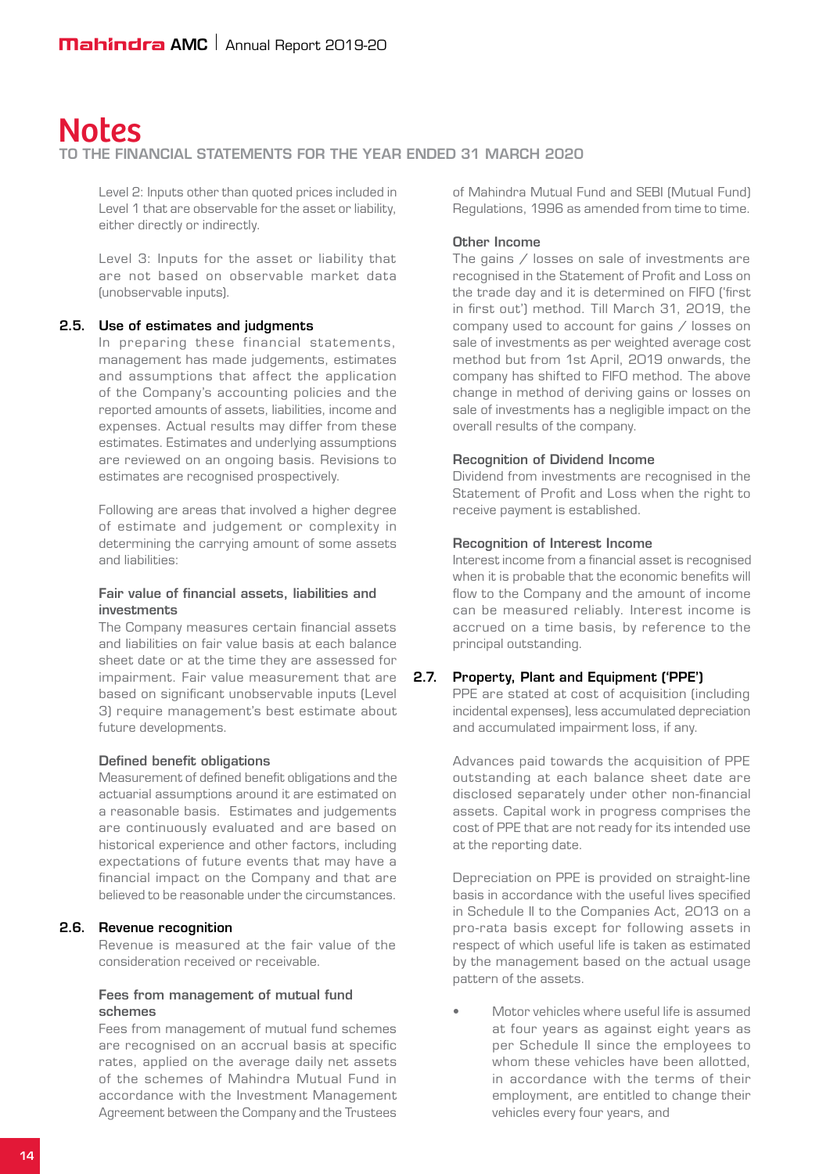#### to the Financial Statements for the year ended 31 March 2020

Level 2: Inputs other than quoted prices included in Level 1 that are observable for the asset or liability, either directly or indirectly.

Level 3: Inputs for the asset or liability that are not based on observable market data (unobservable inputs).

#### 2.5. Use of estimates and judgments

In preparing these financial statements, management has made judgements, estimates and assumptions that affect the application of the Company's accounting policies and the reported amounts of assets, liabilities, income and expenses. Actual results may differ from these estimates. Estimates and underlying assumptions are reviewed on an ongoing basis. Revisions to estimates are recognised prospectively.

Following are areas that involved a higher degree of estimate and judgement or complexity in determining the carrying amount of some assets and liabilities:

#### Fair value of financial assets, liabilities and investments

The Company measures certain financial assets and liabilities on fair value basis at each balance sheet date or at the time they are assessed for impairment. Fair value measurement that are based on significant unobservable inputs (Level 3) require management's best estimate about future developments.

#### Defined benefit obligations

Measurement of defined benefit obligations and the actuarial assumptions around it are estimated on a reasonable basis. Estimates and judgements are continuously evaluated and are based on historical experience and other factors, including expectations of future events that may have a financial impact on the Company and that are believed to be reasonable under the circumstances.

#### 2.6. Revenue recognition

Revenue is measured at the fair value of the consideration received or receivable.

#### Fees from management of mutual fund schemes

Fees from management of mutual fund schemes are recognised on an accrual basis at specific rates, applied on the average daily net assets of the schemes of Mahindra Mutual Fund in accordance with the Investment Management Agreement between the Company and the Trustees

of Mahindra Mutual Fund and SEBI (Mutual Fund) Regulations, 1996 as amended from time to time.

#### Other Income

The gains / losses on sale of investments are recognised in the Statement of Profit and Loss on the trade day and it is determined on FIFO ('first in first out') method. Till March 31, 2019, the company used to account for gains / losses on sale of investments as per weighted average cost method but from 1st April, 2019 onwards, the company has shifted to FIFO method. The above change in method of deriving gains or losses on sale of investments has a negligible impact on the overall results of the company.

#### Recognition of Dividend Income

Dividend from investments are recognised in the Statement of Profit and Loss when the right to receive payment is established.

#### Recognition of Interest Income

Interest income from a financial asset is recognised when it is probable that the economic benefits will flow to the Company and the amount of income can be measured reliably. Interest income is accrued on a time basis, by reference to the principal outstanding.

#### 2.7. Property, Plant and Equipment ('PPE')

PPE are stated at cost of acquisition (including incidental expenses), less accumulated depreciation and accumulated impairment loss, if any.

Advances paid towards the acquisition of PPE outstanding at each balance sheet date are disclosed separately under other non-financial assets. Capital work in progress comprises the cost of PPE that are not ready for its intended use at the reporting date.

Depreciation on PPE is provided on straight-line basis in accordance with the useful lives specified in Schedule II to the Companies Act, 2013 on a pro-rata basis except for following assets in respect of which useful life is taken as estimated by the management based on the actual usage pattern of the assets.

 • Motor vehicles where useful life is assumed at four years as against eight years as per Schedule II since the employees to whom these vehicles have been allotted. in accordance with the terms of their employment, are entitled to change their vehicles every four years, and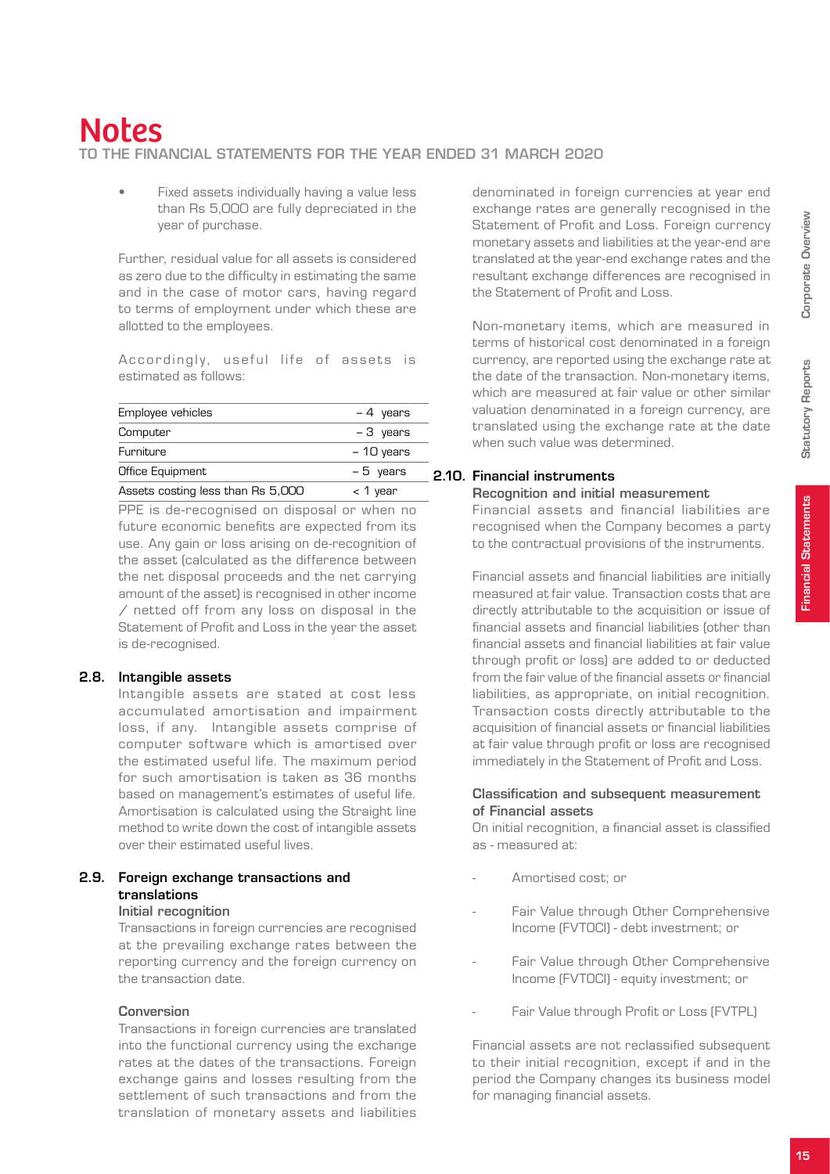# Notes to the Financial Statements for the year ended 31 March 2020

Fixed assets individually having a value less than Rs 5,000 are fully depreciated in the year of purchase.

Further, residual value for all assets is considered as zero due to the difficulty in estimating the same and in the case of motor cars, having regard to terms of employment under which these are allotted to the employees.

Accordingly, useful life of assets is estimated as follows:

| Employee vehicles                 | $-4$ years  |
|-----------------------------------|-------------|
| Computer                          | $-3$ years  |
| Furniture                         | $-10$ years |
| Office Equipment                  | $-5$ years  |
| Assets costing less than Rs 5,000 | $<$ 1 year  |

PPE is de-recognised on disposal or when no future economic benefits are expected from its use. Any gain or loss arising on de-recognition of the asset (calculated as the difference between the net disposal proceeds and the net carrying amount of the asset) is recognised in other income  $\overline{\phantom{a}}$  netted off from any loss on disposal in the Statement of Profit and Loss in the year the asset is de-recognised.

#### 2.8. Intangible assets

Intangible assets are stated at cost less accumulated amortisation and impairment loss, if any. Intangible assets comprise of computer software which is amortised over the estimated useful life. The maximum period for such amortisation is taken as 36 months based on management's estimates of useful life. Amortisation is calculated using the Straight line method to write down the cost of intangible assets over their estimated useful lives.

## 2.9. Foreign exchange transactions and translations

## Initial recognition

Transactions in foreign currencies are recognised at the prevailing exchange rates between the reporting currency and the foreign currency on the transaction date.

#### Conversion

Transactions in foreign currencies are translated into the functional currency using the exchange rates at the dates of the transactions. Foreign exchange gains and losses resulting from the settlement of such transactions and from the translation of monetary assets and liabilities

denominated in foreign currencies at year end exchange rates are generally recognised in the Statement of Profit and Loss. Foreign currency monetary assets and liabilities at the year-end are translated at the year-end exchange rates and the resultant exchange differences are recognised in the Statement of Profit and Loss.

Non-monetary items, which are measured in terms of historical cost denominated in a foreign currency, are reported using the exchange rate at the date of the transaction. Non-monetary items, which are measured at fair value or other similar valuation denominated in a foreign currency, are translated using the exchange rate at the date when such value was determined.

## 2.10. Financial instruments

#### Recognition and initial measurement

Financial assets and financial liabilities are recognised when the Company becomes a party to the contractual provisions of the instruments.

Financial assets and financial liabilities are initially measured at fair value. Transaction costs that are directly attributable to the acquisition or issue of financial assets and financial liabilities (other than financial assets and financial liabilities at fair value through profit or loss) are added to or deducted from the fair value of the financial assets or financial liabilities, as appropriate, on initial recognition. Transaction costs directly attributable to the acquisition of financial assets or financial liabilities at fair value through profit or loss are recognised immediately in the Statement of Profit and Loss.

#### Classification and subsequent measurement of Financial assets

On initial recognition, a financial asset is classified as - measured at:

- Amortised cost; or
- Fair Value through Other Comprehensive Income (FVTOCI) - debt investment; or
- Fair Value through Other Comprehensive Income (FVTOCI) - equity investment; or
- Fair Value through Profit or Loss (FVTPL)

Financial assets are not reclassified subsequent to their initial recognition, except if and in the period the Company changes its business model for managing financial assets.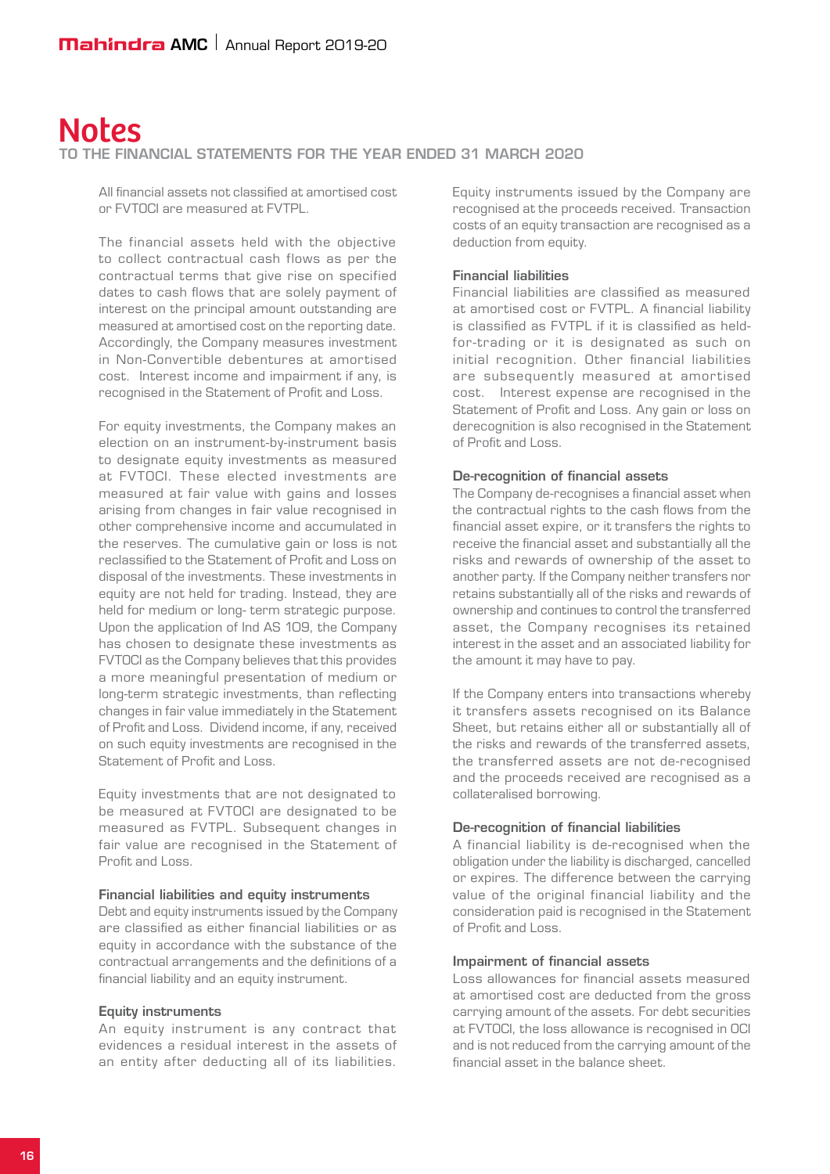to the Financial Statements for the year ended 31 March 2020

All financial assets not classified at amortised cost or FVTOCI are measured at FVTPL.

The financial assets held with the objective to collect contractual cash flows as per the contractual terms that give rise on specified dates to cash flows that are solely payment of interest on the principal amount outstanding are measured at amortised cost on the reporting date. Accordingly, the Company measures investment in Non-Convertible debentures at amortised cost. Interest income and impairment if any, is recognised in the Statement of Profit and Loss.

For equity investments, the Company makes an election on an instrument-by-instrument basis to designate equity investments as measured at FVTOCI. These elected investments are measured at fair value with gains and losses arising from changes in fair value recognised in other comprehensive income and accumulated in the reserves. The cumulative gain or loss is not reclassified to the Statement of Profit and Loss on disposal of the investments. These investments in equity are not held for trading. Instead, they are held for medium or long- term strategic purpose. Upon the application of Ind AS 109, the Company has chosen to designate these investments as FVTOCI as the Company believes that this provides a more meaningful presentation of medium or long-term strategic investments, than reflecting changes in fair value immediately in the Statement of Profit and Loss. Dividend income, if any, received on such equity investments are recognised in the Statement of Profit and Loss.

Equity investments that are not designated to be measured at FVTOCI are designated to be measured as FVTPL. Subsequent changes in fair value are recognised in the Statement of Profit and Loss.

#### Financial liabilities and equity instruments

Debt and equity instruments issued by the Company are classified as either financial liabilities or as equity in accordance with the substance of the contractual arrangements and the definitions of a financial liability and an equity instrument.

#### Equity instruments

An equity instrument is any contract that evidences a residual interest in the assets of an entity after deducting all of its liabilities. Equity instruments issued by the Company are recognised at the proceeds received. Transaction costs of an equity transaction are recognised as a deduction from equity.

#### Financial liabilities

Financial liabilities are classified as measured at amortised cost or FVTPL. A financial liability is classified as FVTPL if it is classified as heldfor-trading or it is designated as such on initial recognition. Other financial liabilities are subsequently measured at amortised cost. Interest expense are recognised in the Statement of Profit and Loss. Any gain or loss on derecognition is also recognised in the Statement of Profit and Loss.

#### De-recognition of financial assets

The Company de-recognises a financial asset when the contractual rights to the cash flows from the financial asset expire, or it transfers the rights to receive the financial asset and substantially all the risks and rewards of ownership of the asset to another party. If the Company neither transfers nor retains substantially all of the risks and rewards of ownership and continues to control the transferred asset, the Company recognises its retained interest in the asset and an associated liability for the amount it may have to pay.

If the Company enters into transactions whereby it transfers assets recognised on its Balance Sheet, but retains either all or substantially all of the risks and rewards of the transferred assets, the transferred assets are not de-recognised and the proceeds received are recognised as a collateralised borrowing.

#### De-recognition of financial liabilities

A financial liability is de-recognised when the obligation under the liability is discharged, cancelled or expires. The difference between the carrying value of the original financial liability and the consideration paid is recognised in the Statement of Profit and Loss.

#### Impairment of financial assets

Loss allowances for financial assets measured at amortised cost are deducted from the gross carrying amount of the assets. For debt securities at FVTOCI, the loss allowance is recognised in OCI and is not reduced from the carrying amount of the financial asset in the balance sheet.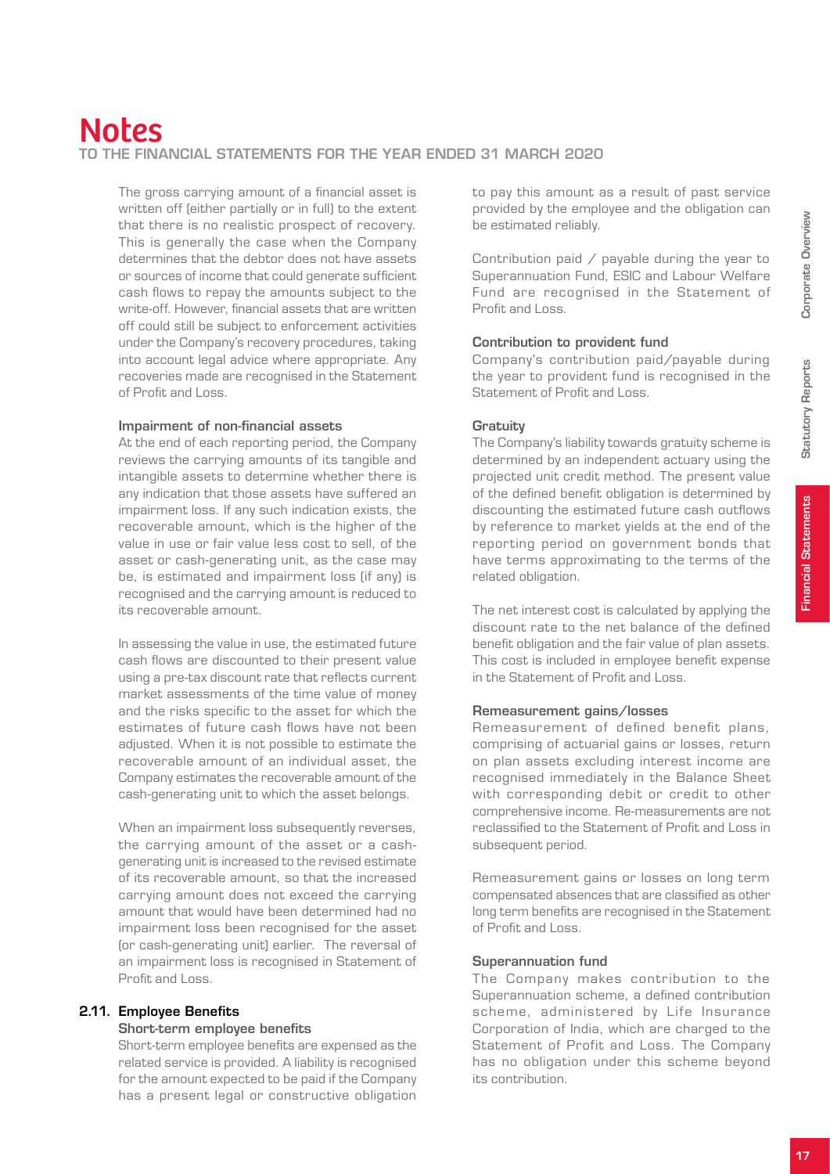# Notes to the Financial Statements for the year ended 31 March 2020

The gross carrying amount of a financial asset is written off (either partially or in full) to the extent that there is no realistic prospect of recovery. This is generally the case when the Company determines that the debtor does not have assets or sources of income that could generate sufficient cash flows to repay the amounts subject to the write-off. However, financial assets that are written off could still be subject to enforcement activities under the Company's recovery procedures, taking into account legal advice where appropriate. Any recoveries made are recognised in the Statement of Profit and Loss.

#### Impairment of non-financial assets

At the end of each reporting period, the Company reviews the carrying amounts of its tangible and intangible assets to determine whether there is any indication that those assets have suffered an impairment loss. If any such indication exists, the recoverable amount, which is the higher of the value in use or fair value less cost to sell, of the asset or cash-generating unit, as the case may be, is estimated and impairment loss (if any) is recognised and the carrying amount is reduced to its recoverable amount.

In assessing the value in use, the estimated future cash flows are discounted to their present value using a pre-tax discount rate that reflects current market assessments of the time value of money and the risks specific to the asset for which the estimates of future cash flows have not been adjusted. When it is not possible to estimate the recoverable amount of an individual asset, the Company estimates the recoverable amount of the cash-generating unit to which the asset belongs.

When an impairment loss subsequently reverses, the carrying amount of the asset or a cashgenerating unit is increased to the revised estimate of its recoverable amount, so that the increased carrying amount does not exceed the carrying amount that would have been determined had no impairment loss been recognised for the asset (or cash-generating unit) earlier. The reversal of an impairment loss is recognised in Statement of Profit and Loss.

## 2.11. Employee Benefits

#### Short-term employee benefits

Short-term employee benefits are expensed as the related service is provided. A liability is recognised for the amount expected to be paid if the Company has a present legal or constructive obligation

to pay this amount as a result of past service provided by the employee and the obligation can be estimated reliably.

Contribution paid / payable during the year to Superannuation Fund, ESIC and Labour Welfare Fund are recognised in the Statement of Profit and Loss.

#### Contribution to provident fund

Company's contribution paid/payable during the year to provident fund is recognised in the Statement of Profit and Loss.

#### **Gratuity**

The Company's liability towards gratuity scheme is determined by an independent actuary using the projected unit credit method. The present value of the defined benefit obligation is determined by discounting the estimated future cash outflows by reference to market yields at the end of the reporting period on government bonds that have terms approximating to the terms of the related obligation.

The net interest cost is calculated by applying the discount rate to the net balance of the defined benefit obligation and the fair value of plan assets. This cost is included in employee benefit expense in the Statement of Profit and Loss.

## Remeasurement gains/losses

Remeasurement of defined benefit plans, comprising of actuarial gains or losses, return on plan assets excluding interest income are recognised immediately in the Balance Sheet with corresponding debit or credit to other comprehensive income. Re-measurements are not reclassified to the Statement of Profit and Loss in subsequent period.

Remeasurement gains or losses on long term compensated absences that are classified as other long term benefits are recognised in the Statement of Profit and Loss.

#### Superannuation fund

The Company makes contribution to the Superannuation scheme, a defined contribution scheme, administered by Life Insurance Corporation of India, which are charged to the Statement of Profit and Loss. The Company has no obligation under this scheme beyond its contribution.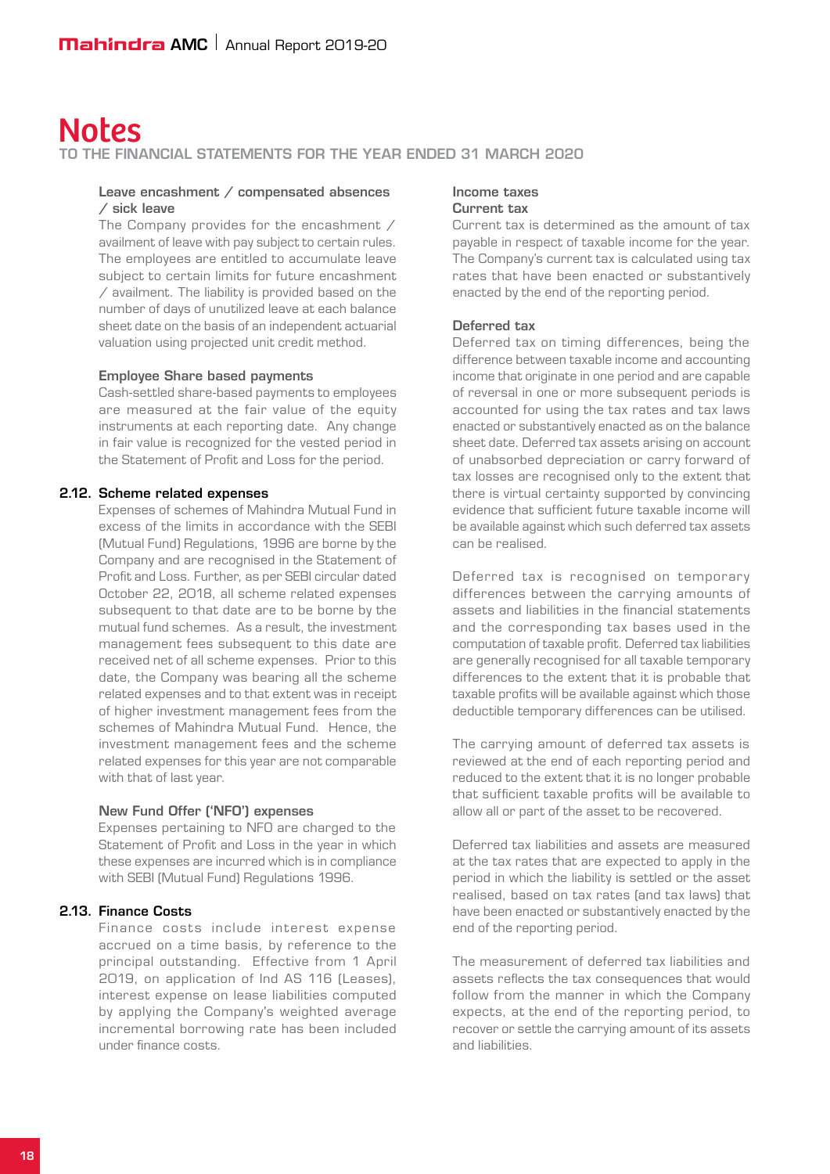#### to the Financial Statements for the year ended 31 March 2020

#### Leave encashment / compensated absences / sick leave

The Company provides for the encashment / availment of leave with pay subject to certain rules. The employees are entitled to accumulate leave subject to certain limits for future encashment / availment. The liability is provided based on the number of days of unutilized leave at each balance sheet date on the basis of an independent actuarial valuation using projected unit credit method.

#### Employee Share based payments

Cash-settled share-based payments to employees are measured at the fair value of the equity instruments at each reporting date. Any change in fair value is recognized for the vested period in the Statement of Profit and Loss for the period.

#### 2.12. Scheme related expenses

Expenses of schemes of Mahindra Mutual Fund in excess of the limits in accordance with the SEBI (Mutual Fund) Regulations, 1996 are borne by the Company and are recognised in the Statement of Profit and Loss. Further, as per SEBI circular dated October 22, 2018, all scheme related expenses subsequent to that date are to be borne by the mutual fund schemes. As a result, the investment management fees subsequent to this date are received net of all scheme expenses. Prior to this date, the Company was bearing all the scheme related expenses and to that extent was in receipt of higher investment management fees from the schemes of Mahindra Mutual Fund. Hence, the investment management fees and the scheme related expenses for this year are not comparable with that of last year.

#### New Fund Offer ('NFO') expenses

Expenses pertaining to NFO are charged to the Statement of Profit and Loss in the year in which these expenses are incurred which is in compliance with SEBI (Mutual Fund) Regulations 1996.

#### 2.13. Finance Costs

Finance costs include interest expense accrued on a time basis, by reference to the principal outstanding. Effective from 1 April 2019, on application of Ind AS 116 (Leases), interest expense on lease liabilities computed by applying the Company's weighted average incremental borrowing rate has been included under finance costs.

#### Income taxes Current tax

Current tax is determined as the amount of tax payable in respect of taxable income for the year. The Company's current tax is calculated using tax rates that have been enacted or substantively enacted by the end of the reporting period.

#### Deferred tax

Deferred tax on timing differences, being the difference between taxable income and accounting income that originate in one period and are capable of reversal in one or more subsequent periods is accounted for using the tax rates and tax laws enacted or substantively enacted as on the balance sheet date. Deferred tax assets arising on account of unabsorbed depreciation or carry forward of tax losses are recognised only to the extent that there is virtual certainty supported by convincing evidence that sufficient future taxable income will be available against which such deferred tax assets can be realised.

Deferred tax is recognised on temporary differences between the carrying amounts of assets and liabilities in the financial statements and the corresponding tax bases used in the computation of taxable profit. Deferred tax liabilities are generally recognised for all taxable temporary differences to the extent that it is probable that taxable profits will be available against which those deductible temporary differences can be utilised.

The carrying amount of deferred tax assets is reviewed at the end of each reporting period and reduced to the extent that it is no longer probable that sufficient taxable profits will be available to allow all or part of the asset to be recovered.

Deferred tax liabilities and assets are measured at the tax rates that are expected to apply in the period in which the liability is settled or the asset realised, based on tax rates (and tax laws) that have been enacted or substantively enacted by the end of the reporting period.

The measurement of deferred tax liabilities and assets reflects the tax consequences that would follow from the manner in which the Company expects, at the end of the reporting period, to recover or settle the carrying amount of its assets and liabilities.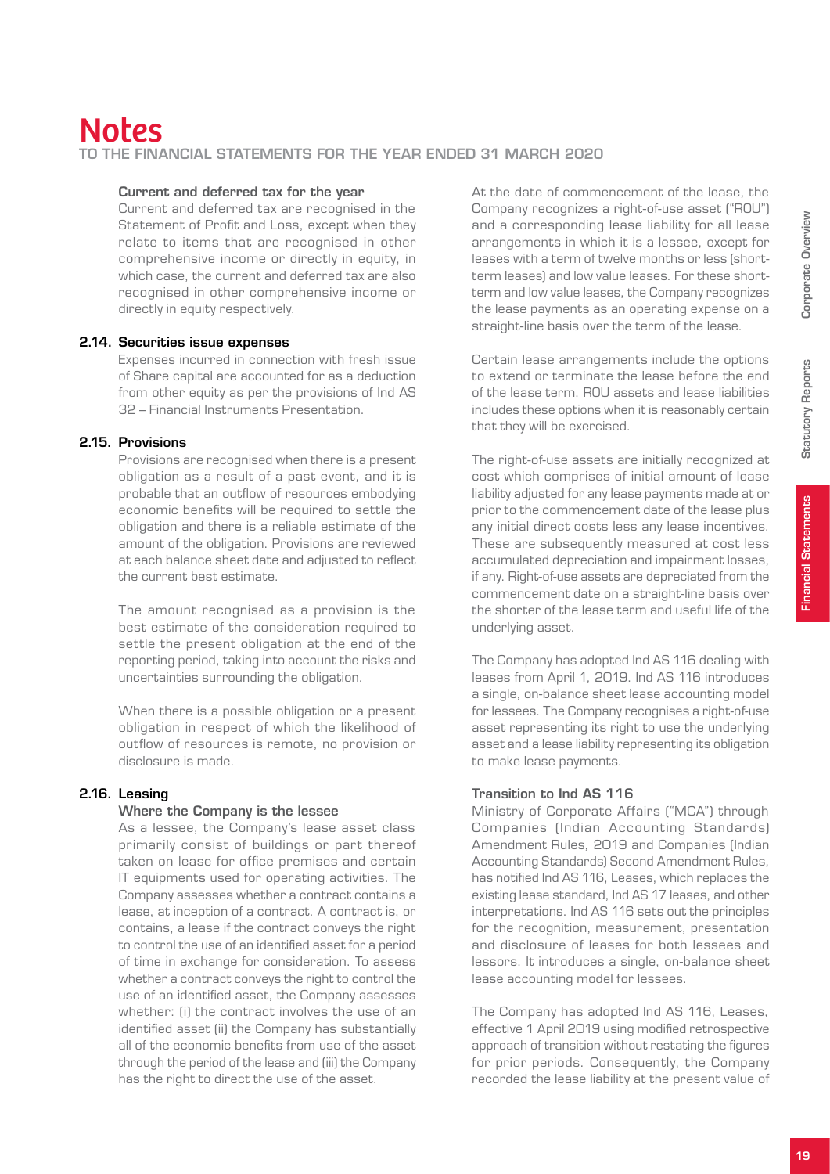# Notes to the Financial Statements for the year ended 31 March 2020

#### Current and deferred tax for the year

Current and deferred tax are recognised in the Statement of Profit and Loss, except when they relate to items that are recognised in other comprehensive income or directly in equity, in which case, the current and deferred tax are also recognised in other comprehensive income or directly in equity respectively.

#### 2.14. Securities issue expenses

Expenses incurred in connection with fresh issue of Share capital are accounted for as a deduction from other equity as per the provisions of Ind AS 32 – Financial Instruments Presentation.

## 2.15. Provisions

Provisions are recognised when there is a present obligation as a result of a past event, and it is probable that an outflow of resources embodying economic benefits will be required to settle the obligation and there is a reliable estimate of the amount of the obligation. Provisions are reviewed at each balance sheet date and adjusted to reflect the current best estimate.

The amount recognised as a provision is the best estimate of the consideration required to settle the present obligation at the end of the reporting period, taking into account the risks and uncertainties surrounding the obligation.

When there is a possible obligation or a present obligation in respect of which the likelihood of outflow of resources is remote, no provision or disclosure is made.

## 2.16. Leasing

#### Where the Company is the lessee

As a lessee, the Company's lease asset class primarily consist of buildings or part thereof taken on lease for office premises and certain IT equipments used for operating activities. The Company assesses whether a contract contains a lease, at inception of a contract. A contract is, or contains, a lease if the contract conveys the right to control the use of an identified asset for a period of time in exchange for consideration. To assess whether a contract conveys the right to control the use of an identified asset, the Company assesses whether: (i) the contract involves the use of an identified asset (ii) the Company has substantially all of the economic benefits from use of the asset through the period of the lease and (iii) the Company has the right to direct the use of the asset.

At the date of commencement of the lease, the Company recognizes a right-of-use asset ("ROU") and a corresponding lease liability for all lease arrangements in which it is a lessee, except for leases with a term of twelve months or less (shortterm leases) and low value leases. For these shortterm and low value leases, the Company recognizes the lease payments as an operating expense on a straight-line basis over the term of the lease.

Certain lease arrangements include the options to extend or terminate the lease before the end of the lease term. ROU assets and lease liabilities includes these options when it is reasonably certain that they will be exercised.

The right-of-use assets are initially recognized at cost which comprises of initial amount of lease liability adjusted for any lease payments made at or prior to the commencement date of the lease plus any initial direct costs less any lease incentives. These are subsequently measured at cost less accumulated depreciation and impairment losses, if any. Right-of-use assets are depreciated from the commencement date on a straight-line basis over the shorter of the lease term and useful life of the underlying asset.

The Company has adopted Ind AS 116 dealing with leases from April 1, 2019. Ind AS 116 introduces a single, on-balance sheet lease accounting model for lessees. The Company recognises a right-of-use asset representing its right to use the underlying asset and a lease liability representing its obligation to make lease payments.

## Transition to Ind AS 116

Ministry of Corporate Affairs ("MCA") through Companies (Indian Accounting Standards) Amendment Rules, 2019 and Companies (Indian Accounting Standards) Second Amendment Rules, has notified Ind AS 116, Leases, which replaces the existing lease standard, Ind AS 17 leases, and other interpretations. Ind AS 116 sets out the principles for the recognition, measurement, presentation and disclosure of leases for both lessees and lessors. It introduces a single, on-balance sheet lease accounting model for lessees.

The Company has adopted Ind AS 116, Leases, effective 1 April 2019 using modified retrospective approach of transition without restating the figures for prior periods. Consequently, the Company recorded the lease liability at the present value of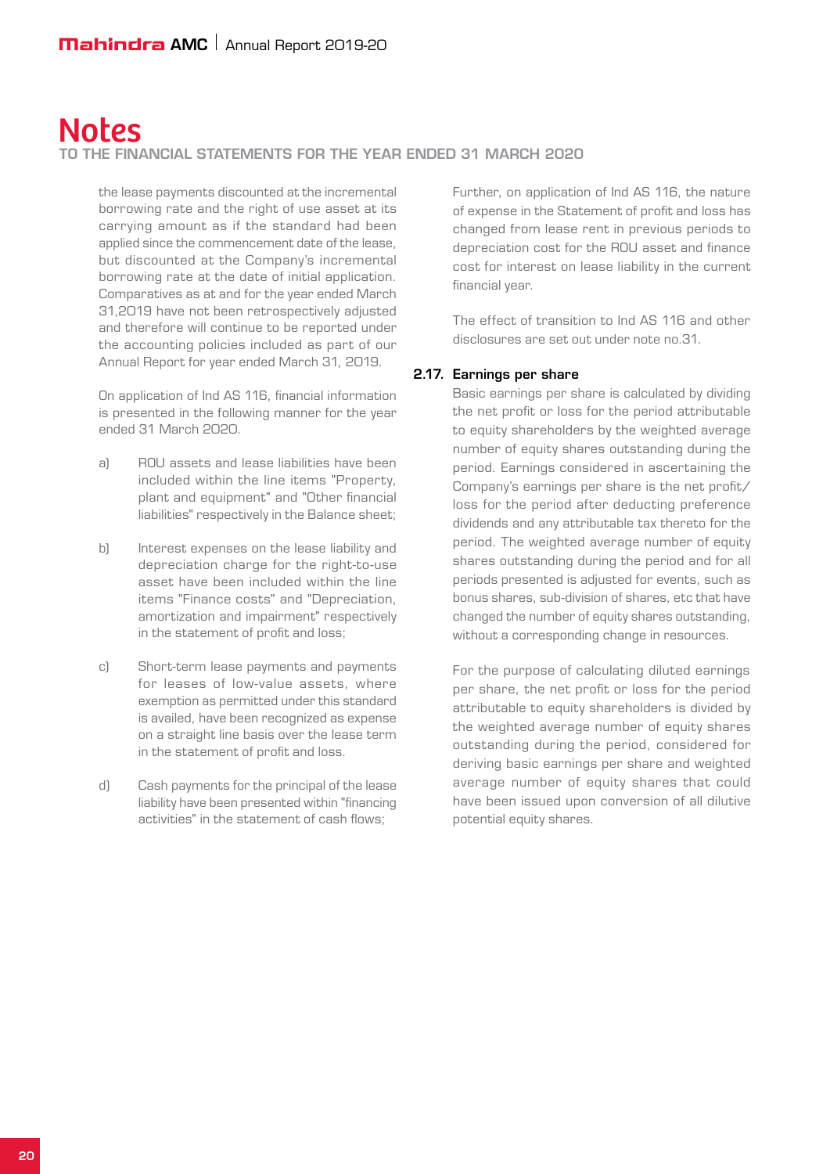#### to the Financial Statements for the year ended 31 March 2020

the lease payments discounted at the incremental borrowing rate and the right of use asset at its carrying amount as if the standard had been applied since the commencement date of the lease, but discounted at the Company's incremental borrowing rate at the date of initial application. Comparatives as at and for the year ended March 31,2019 have not been retrospectively adjusted and therefore will continue to be reported under the accounting policies included as part of our Annual Report for year ended March 31, 2019.

On application of Ind AS 116, financial information is presented in the following manner for the year ended 31 March 2020.

- a) ROU assets and lease liabilities have been included within the line items "Property, plant and equipment" and "Other financial liabilities" respectively in the Balance sheet;
- b) Interest expenses on the lease liability and depreciation charge for the right-to-use asset have been included within the line items "Finance costs" and "Depreciation, amortization and impairment" respectively in the statement of profit and loss;
- c) Short-term lease payments and payments for leases of low-value assets, where exemption as permitted under this standard is availed, have been recognized as expense on a straight line basis over the lease term in the statement of profit and loss.
- d) Cash payments for the principal of the lease liability have been presented within "financing activities" in the statement of cash flows;

Further, on application of Ind AS 116, the nature of expense in the Statement of profit and loss has changed from lease rent in previous periods to depreciation cost for the ROU asset and finance cost for interest on lease liability in the current financial year.

The effect of transition to Ind AS 116 and other disclosures are set out under note no.31.

#### 2.17. Earnings per share

Basic earnings per share is calculated by dividing the net profit or loss for the period attributable to equity shareholders by the weighted average number of equity shares outstanding during the period. Earnings considered in ascertaining the Company's earnings per share is the net profit/ loss for the period after deducting preference dividends and any attributable tax thereto for the period. The weighted average number of equity shares outstanding during the period and for all periods presented is adjusted for events, such as bonus shares, sub-division of shares, etc that have changed the number of equity shares outstanding, without a corresponding change in resources.

For the purpose of calculating diluted earnings per share, the net profit or loss for the period attributable to equity shareholders is divided by the weighted average number of equity shares outstanding during the period, considered for deriving basic earnings per share and weighted average number of equity shares that could have been issued upon conversion of all dilutive potential equity shares.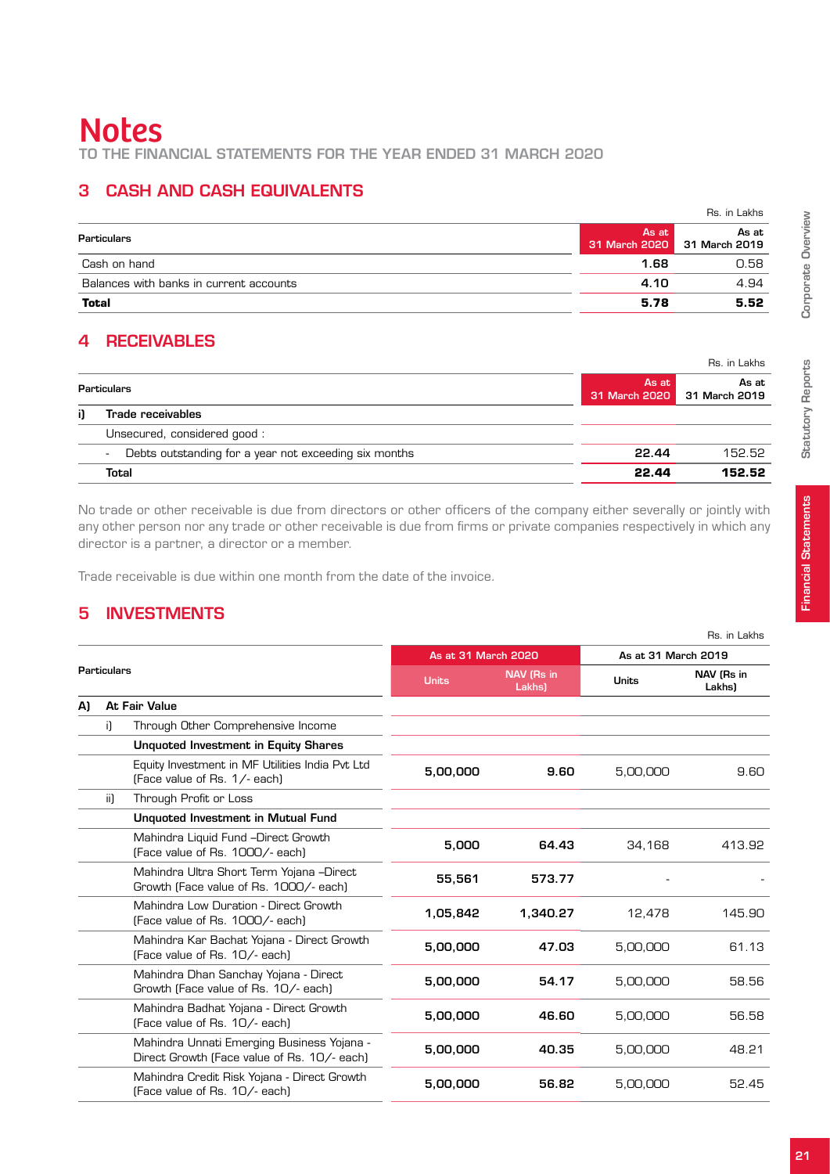to the Financial Statements for the year ended 31 March 2020

# 3 Cash and cash equivalents

|                                         |                        | Rs. in Lakhs           |
|-----------------------------------------|------------------------|------------------------|
| Particulars                             | As at<br>31 March 2020 | As at<br>31 March 2019 |
| Cash on hand                            | 1.68                   | 0.58                   |
| Balances with banks in current accounts | 4.10                   | 4.94                   |
| <b>Total</b>                            | 5.78                   | 5.52                   |

# 4 Receivables

|                        | Rs. in Lakhs           |
|------------------------|------------------------|
| As at<br>31 March 2020 | As at<br>31 March 2019 |
|                        |                        |
|                        |                        |
| 22.44                  | 152.52                 |
| 22.44                  | 152.52                 |
|                        |                        |

No trade or other receivable is due from directors or other officers of the company either severally or jointly with any other person nor any trade or other receivable is due from firms or private companies respectively in which any director is a partner, a director or a member.

Trade receivable is due within one month from the date of the invoice.

# 5 Investments

|                    |     |                                                                                           |                     |                      |                     | Rs. in Lakhs         |
|--------------------|-----|-------------------------------------------------------------------------------------------|---------------------|----------------------|---------------------|----------------------|
|                    |     |                                                                                           | As at 31 March 2020 |                      | As at 31 March 2019 |                      |
| <b>Particulars</b> |     |                                                                                           | <b>Units</b>        | NAV (Rs in<br>Lakhs) | <b>Units</b>        | NAV (Rs in<br>Lakhs) |
| A)                 |     | At Fair Value                                                                             |                     |                      |                     |                      |
|                    | i)  | Through Other Comprehensive Income                                                        |                     |                      |                     |                      |
|                    |     | <b>Unquoted Investment in Equity Shares</b>                                               |                     |                      |                     |                      |
|                    |     | Equity Investment in MF Utilities India Pvt Ltd<br>(Face value of Rs. 1/- each)           | 5,00,000            | 9.60                 | 5,00,000            | 9.60                 |
|                    | ii) | Through Profit or Loss                                                                    |                     |                      |                     |                      |
|                    |     | <b>Unquoted Investment in Mutual Fund</b>                                                 |                     |                      |                     |                      |
|                    |     | Mahindra Liquid Fund -Direct Growth<br>(Face value of Rs. 1000/- each)                    | 5,000               | 64.43                | 34,168              | 413.92               |
|                    |     | Mahindra Ultra Short Term Yojana -Direct<br>Growth (Face value of Rs. 1000/- each)        | 55,561              | 573.77               |                     |                      |
|                    |     | Mahindra Low Duration - Direct Growth<br>(Face value of Rs. 1000/- each)                  | 1,05,842            | 1,340.27             | 12,478              | 145.90               |
|                    |     | Mahindra Kar Bachat Yojana - Direct Growth<br>(Face value of Rs. 10/- each)               | 5,00,000            | 47.03                | 5,00,000            | 61.13                |
|                    |     | Mahindra Dhan Sanchay Yojana - Direct<br>Growth (Face value of Rs. 10/- each)             | 5,00,000            | 54.17                | 5,00,000            | 58.56                |
|                    |     | Mahindra Badhat Yojana - Direct Growth<br>(Face value of Rs. 10/- each)                   | 5,00,000            | 46.60                | 5,00,000            | 56.58                |
|                    |     | Mahindra Unnati Emerging Business Yojana -<br>Direct Growth (Face value of Rs. 10/- each) | 5,00,000            | 40.35                | 5,00,000            | 48.21                |
|                    |     | Mahindra Credit Risk Yojana - Direct Growth<br>(Face value of Rs. 10/- each)              | 5,00,000            | 56.82                | 5,00,000            | 52.45                |
|                    |     |                                                                                           |                     |                      |                     |                      |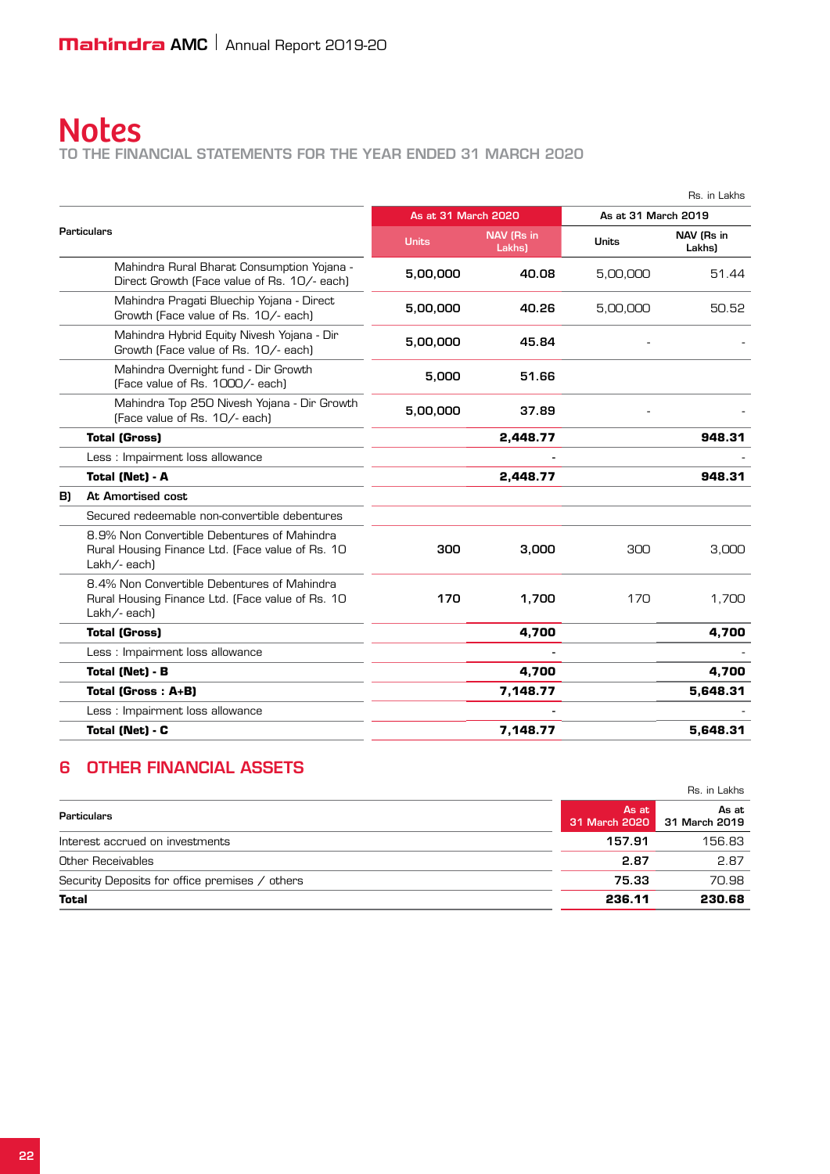to the Financial Statements for the year ended 31 March 2020

|    |                                                                                                                |                     |                      |                                     | Rs. in Lakhs |
|----|----------------------------------------------------------------------------------------------------------------|---------------------|----------------------|-------------------------------------|--------------|
|    |                                                                                                                | As at 31 March 2020 |                      | As at 31 March 2019                 |              |
|    | <b>Particulars</b>                                                                                             | <b>Units</b>        | NAV (Rs in<br>Lakhs) | NAV (Rs in<br>Units<br><b>Lakhs</b> |              |
|    | Mahindra Rural Bharat Consumption Yojana -<br>Direct Growth (Face value of Rs. 10/- each)                      | 5,00,000            | 40.08                | 5,00,000                            | 51.44        |
|    | Mahindra Pragati Bluechip Yojana - Direct<br>Growth (Face value of Rs. 10/- each)                              | 5,00,000            | 40.26                | 5,00,000                            | 50.52        |
|    | Mahindra Hybrid Equity Nivesh Yojana - Dir<br>Growth (Face value of Rs. 10/- each)                             | 5,00,000            | 45.84                |                                     |              |
|    | Mahindra Overnight fund - Dir Growth<br>(Face value of Rs. 1000/- each)                                        | 5.000               | 51.66                |                                     |              |
|    | Mahindra Top 250 Nivesh Yojana - Dir Growth<br>(Face value of Rs. 10/- each)                                   | 5,00,000            | 37.89                |                                     |              |
|    | <b>Total (Gross)</b>                                                                                           |                     | 2,448.77             |                                     | 948.31       |
|    | Less: Impairment loss allowance                                                                                |                     |                      |                                     |              |
|    | Total (Net) - A                                                                                                |                     | 2,448.77             |                                     | 948.31       |
| B) | At Amortised cost                                                                                              |                     |                      |                                     |              |
|    | Secured redeemable non-convertible debentures                                                                  |                     |                      |                                     |              |
|    | 8.9% Non Convertible Debentures of Mahindra<br>Rural Housing Finance Ltd. (Face value of Rs. 10<br>Lakh/-each) | 300                 | 3,000                | 300                                 | 3,000        |
|    | 8.4% Non Convertible Debentures of Mahindra<br>Rural Housing Finance Ltd. (Face value of Rs. 10<br>Lakh/-each) | 170                 | 1,700                | 170                                 | 1.700        |
|    | <b>Total (Gross)</b>                                                                                           |                     | 4,700                |                                     | 4,700        |
|    | Less : Impairment loss allowance                                                                               |                     |                      |                                     |              |
|    | Total (Net) - B                                                                                                |                     | 4,700                |                                     | 4,700        |
|    | Total (Gross: A+B)                                                                                             |                     | 7.148.77             |                                     | 5,648.31     |
|    | Less : Impairment loss allowance                                                                               |                     |                      |                                     |              |
|    | Total (Net) - C                                                                                                |                     | 7,148.77             |                                     | 5,648.31     |
|    |                                                                                                                |                     |                      |                                     |              |

# 6 Other financial assets

| Total                                          | 236.11                 | 230.68                 |
|------------------------------------------------|------------------------|------------------------|
| Security Deposits for office premises / others | 75.33                  | 70.98                  |
| Other Receivables                              | 2.87                   | 2.87                   |
| Interest accrued on investments                | 157.91                 | 156.83                 |
| Particulars                                    | As at<br>31 March 2020 | As at<br>31 March 2019 |
|                                                |                        | Rs. in Lakhs           |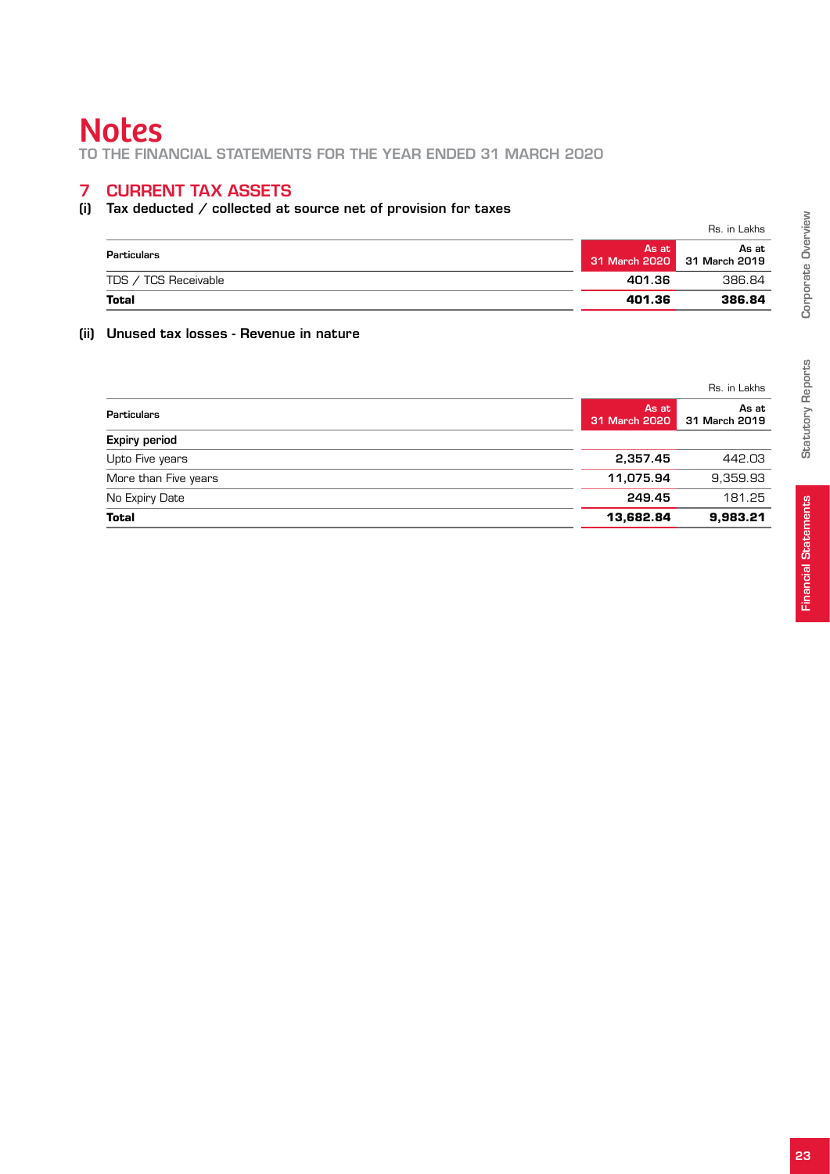to the Financial Statements for the year ended 31 March 2020

#### 7 Current tax assets

#### (i) Tax deducted / collected at source net of provision for taxes

|                      |                        | Rs. in Lakhs           |
|----------------------|------------------------|------------------------|
| Particulars          | As at<br>31 March 2020 | As at<br>31 March 2019 |
| TDS / TCS Receivable | 401.36                 | 386.84                 |
| <b>Total</b>         | 401.36                 | 386.84                 |

#### (ii) Unused tax losses - Revenue in nature

|                      |                        | Rs. in Lakhs           |
|----------------------|------------------------|------------------------|
| <b>Particulars</b>   | As at<br>31 March 2020 | As at<br>31 March 2019 |
| <b>Expiry period</b> |                        |                        |
| Upto Five years      | 2,357.45               | 442.03                 |
| More than Five years | 11,075.94              | 9,359.93               |
| No Expiry Date       | 249.45                 | 181.25                 |
| <b>Total</b>         | 13,682.84              | 9,983.21               |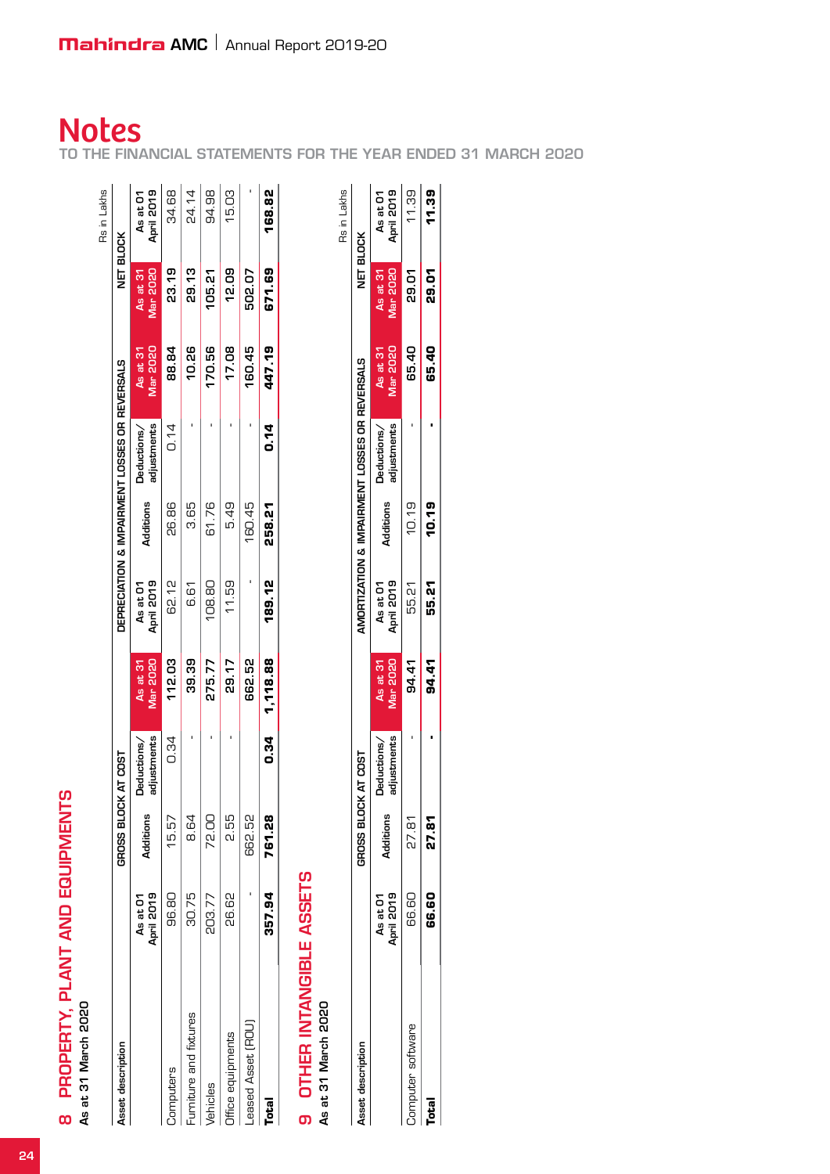As at 31 March 2020

|                                 |           | GROSS BLOCK AT COST        |                             |                        |           | DEPRECIATION & IMPAIRMENT LOSSES OR REVERSALS |                             | NET BLOCK            |                        |
|---------------------------------|-----------|----------------------------|-----------------------------|------------------------|-----------|-----------------------------------------------|-----------------------------|----------------------|------------------------|
| April 2019<br>As at O'l         | Additions | adjustments<br>Deductions/ | <b>Mar 2020</b><br>As at 31 | April 2019<br>As at 01 | Additions | adjustments<br>Deductions/                    | <b>Mar 2020</b><br>As at 31 | Mar 2020<br>As at 31 | April 2019<br>As at 01 |
| 96.80<br>omputers               | 15.57     | 0.34                       | 112.03                      | 62.12                  | 26.86     | 0.14                                          | 88.84                       | 23.19                | 34.68                  |
| 30.75<br>Furniture and fixtures | 8.64      |                            | 39.39                       | 6.61                   | 89<br>8   |                                               | 10.26                       | 29.13                | 24.14                  |
| 203.77<br><b>Jehicles</b>       | 72.00     |                            | 275.77                      | 108.80                 | 61.76     |                                               | 170.56                      | 105.21               | 94.98                  |
| 26.62<br>Office equipments      | 255       |                            | 29.17                       | 11.59                  | 5.49      |                                               | 17.08                       | 12.09                | 15.03                  |
| Leased Asset (ROU)              | 662.52    |                            | 662.52                      |                        | 160.45    |                                               | 160.45                      | 502.07               |                        |
| 357.94<br>Total                 | 761.28    | ០.34                       | 1,118.88                    | 189.12                 | 258.21    | 0.14                                          | 447.19                      | 671.69               | 168.82                 |

|                          |                         |                    |                            |                             |                        |           |                                               |                      |                             | Rs in Lakhs            |
|--------------------------|-------------------------|--------------------|----------------------------|-----------------------------|------------------------|-----------|-----------------------------------------------|----------------------|-----------------------------|------------------------|
| <b>Asset description</b> |                         | <b>GROSS BLOCH</b> | K AT COST                  |                             |                        |           | AMORTIZATION & IMPAIRMENT LOSSES OR REVERSALS |                      | NET BLOCK                   |                        |
|                          | April 2019<br>As at O'l | Additions          | adjustments<br>Deductions/ | <b>Mar 2020</b><br>As at 31 | April 2019<br>As at 01 | Additions | adjustments<br>Deductions/                    | Mar 2020<br>As at 31 | As at 31<br><b>Mar 2020</b> | April 2019<br>As at 01 |
| Computer software        | 66.60                   | 27.81              |                            | 94.41                       | 55.21                  | 10.19     |                                               | 65.40                | <b>29.01</b>                | 11.39                  |
| Total                    | 68.60                   | 27.81              |                            | 94.41                       | 55.21                  | 10.19     |                                               | 65.40                | 29.01<br>29.                | <b>11.39</b>           |
|                          |                         |                    |                            |                             |                        |           |                                               |                      |                             |                        |

# **Notes**

to the Financial Statement for the year ended 31 March 2020 l<br>S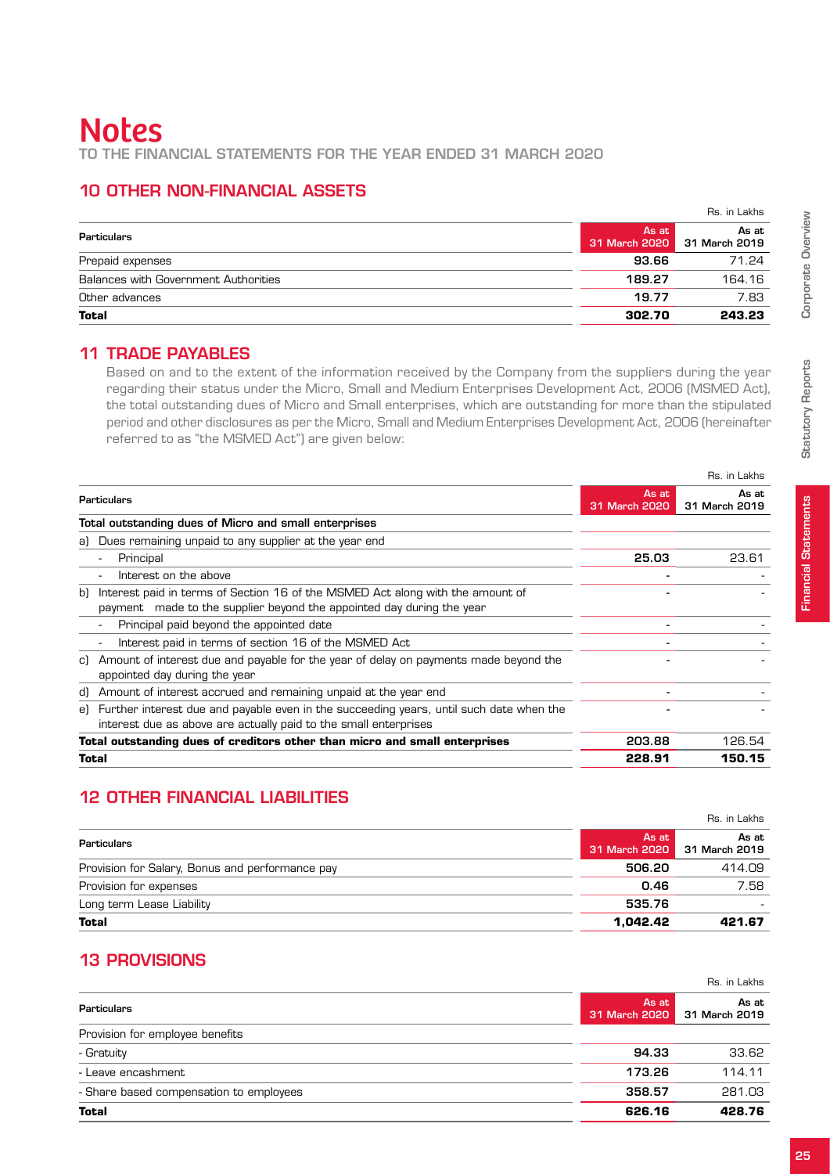## 10 Other non-financial assets

|                                      |                        | Rs. in Lakhs           |
|--------------------------------------|------------------------|------------------------|
| <b>Particulars</b>                   | As at<br>31 March 2020 | As at<br>31 March 2019 |
| Prepaid expenses                     | 93.66                  | 71.24                  |
| Balances with Government Authorities | 189.27                 | 164.16                 |
| Other advances                       | 19.77                  | 7.83                   |
| <b>Total</b>                         | 302.70                 | 243.23                 |

#### 11 Trade Payables

Based on and to the extent of the information received by the Company from the suppliers during the year regarding their status under the Micro, Small and Medium Enterprises Development Act, 2006 (MSMED Act), the total outstanding dues of Micro and Small enterprises, which are outstanding for more than the stipulated period and other disclosures as per the Micro, Small and Medium Enterprises Development Act, 2006 (hereinafter referred to as "the MSMED Act") are given below:

|                          |                                                                                                                                                                |                        | RS. IN LAKNS           |
|--------------------------|----------------------------------------------------------------------------------------------------------------------------------------------------------------|------------------------|------------------------|
|                          | <b>Particulars</b>                                                                                                                                             | As at<br>31 March 2020 | As at<br>31 March 2019 |
|                          | Total outstanding dues of Micro and small enterprises                                                                                                          |                        |                        |
|                          | a) Dues remaining unpaid to any supplier at the year end                                                                                                       |                        |                        |
| $\overline{\phantom{a}}$ | Principal                                                                                                                                                      | 25.03                  | 23.61                  |
| $\overline{\phantom{a}}$ | Interest on the above                                                                                                                                          |                        |                        |
| bl                       | Interest paid in terms of Section 16 of the MSMED Act along with the amount of<br>payment made to the supplier beyond the appointed day during the year        |                        |                        |
|                          | Principal paid beyond the appointed date                                                                                                                       |                        |                        |
| $\overline{\phantom{a}}$ | Interest paid in terms of section 16 of the MSMED Act                                                                                                          |                        |                        |
|                          | c) Amount of interest due and payable for the year of delay on payments made beyond the<br>appointed day during the year                                       |                        |                        |
|                          | d) Amount of interest accrued and remaining unpaid at the year end                                                                                             |                        |                        |
|                          | e) Further interest due and payable even in the succeeding years, until such date when the<br>interest due as above are actually paid to the small enterprises |                        |                        |
|                          | Total outstanding dues of creditors other than micro and small enterprises                                                                                     | 203.88                 | 126.54                 |
| Total                    |                                                                                                                                                                | 228.91                 | 150.15                 |
|                          |                                                                                                                                                                |                        |                        |

# 12 Other financial liabilities

|                                                 |                        | Rs. in Lakhs           |
|-------------------------------------------------|------------------------|------------------------|
| Particulars                                     | As at<br>31 March 2020 | As at<br>31 March 2019 |
| Provision for Salary, Bonus and performance pay | 506.20                 | 414.09                 |
| Provision for expenses                          | 0.46                   | 7.58                   |
| Long term Lease Liability                       | 535.76                 |                        |
| <b>Total</b>                                    | 1.042.42               | 421.67                 |

# 13 Provisions

|                                         |                        | Rs. in Lakhs           |
|-----------------------------------------|------------------------|------------------------|
| Particulars                             | As at<br>31 March 2020 | As at<br>31 March 2019 |
| Provision for employee benefits         |                        |                        |
| - Gratuity                              | 94.33                  | 33.62                  |
| - Leave encashment                      | 173.26                 | 114.11                 |
| - Share based compensation to employees | 358.57                 | 281.03                 |
| <b>Total</b>                            | 626.16                 | 428.76                 |

Rs. in Lakhs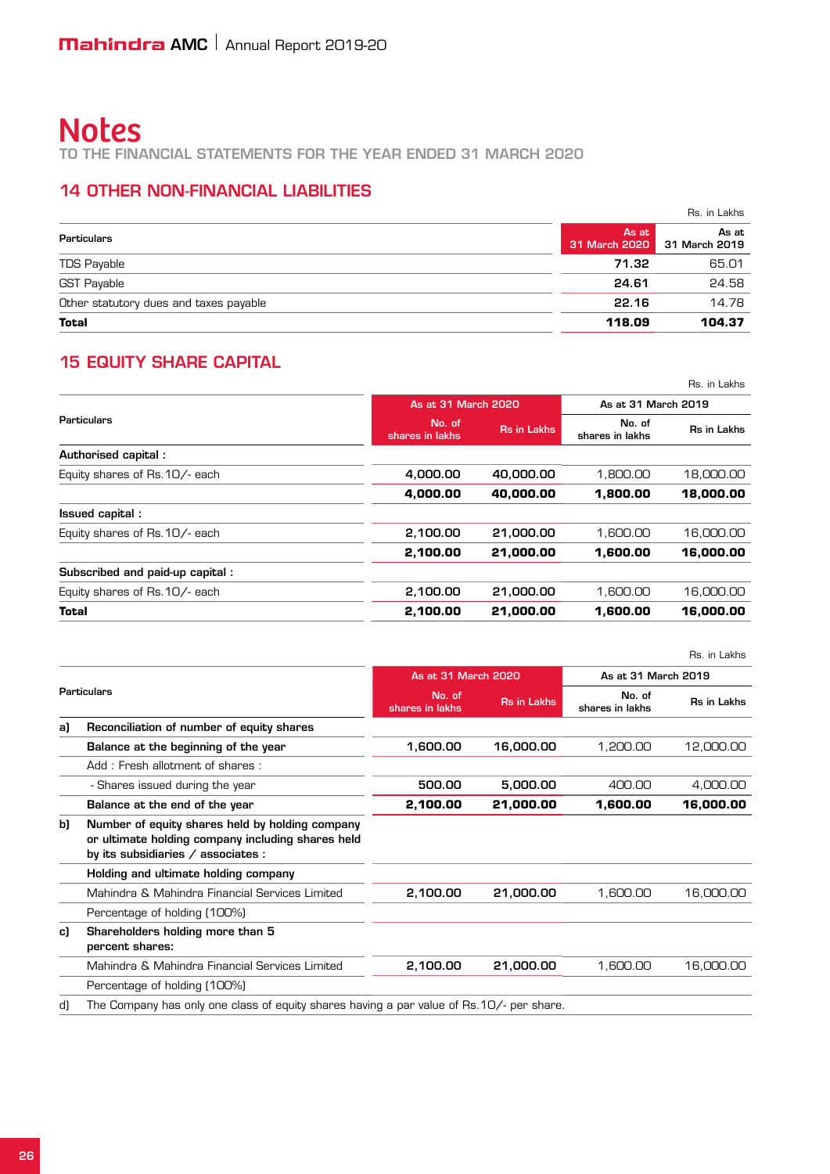to the Financial Statements for the year ended 31 March 2020

## 14 Other non-financial liabilities

|                                        |        | Rs. in Lakhs                         |
|----------------------------------------|--------|--------------------------------------|
| Particulars                            | As at  | As at<br>31 March 2020 31 March 2019 |
| TDS Payable                            | 71.32  | 65.01                                |
| <b>GST Payable</b>                     | 24.61  | 24.58                                |
| Other statutory dues and taxes payable | 22.16  | 14.78                                |
| <b>Total</b>                           | 118.09 | 104.37                               |

# **15 EQUITY SHARE CAPITAL**

|                                 |                           |                    |                           | Rs. in Lakhs |
|---------------------------------|---------------------------|--------------------|---------------------------|--------------|
|                                 | As at 31 March 2020       |                    | As at 31 March 2019       |              |
| Particulars                     | No. of<br>shares in lakhs | <b>Rs in Lakhs</b> | No. of<br>shares in lakhs | Rs in Lakhs  |
| Authorised capital:             |                           |                    |                           |              |
| Equity shares of Rs. 10/- each  | 4.000.00                  | 40,000,00          | 1.800.00                  | 18,000,00    |
|                                 | 4,000.00                  | 40.000.00          | 1.800.00                  | 18,000.00    |
| Issued capital:                 |                           |                    |                           |              |
| Equity shares of Rs. 10/- each  | 2,100.00                  | 21,000.00          | 1.600.00                  | 16,000.00    |
|                                 | 2,100.00                  | 21,000.00          | 1,600.00                  | 16,000.00    |
| Subscribed and paid-up capital: |                           |                    |                           |              |
| Equity shares of Rs. 10/- each  | 2,100.00                  | 21,000.00          | 1.600.00                  | 16,000.00    |
| <b>Total</b>                    | 2,100.00                  | 21,000,00          | 1.600.00                  | 16,000,00    |

|    |                                                                                                                                            |                           |                    |                           | Rs. in Lakhs |
|----|--------------------------------------------------------------------------------------------------------------------------------------------|---------------------------|--------------------|---------------------------|--------------|
|    |                                                                                                                                            | As at 31 March 2020       |                    | As at 31 March 2019       |              |
|    | Particulars                                                                                                                                | No. of<br>shares in lakhs | <b>Rs in Lakhs</b> | No. of<br>shares in lakhs | Rs in Lakhs  |
| a) | Reconciliation of number of equity shares                                                                                                  |                           |                    |                           |              |
|    | Balance at the beginning of the year                                                                                                       | 1,600.00                  | 16,000.00          | 1.200.00                  | 12,000.00    |
|    | Add: Fresh allotment of shares:                                                                                                            |                           |                    |                           |              |
|    | - Shares issued during the year                                                                                                            | 500.00                    | 5,000.00           | 400.00                    | 4,000.00     |
|    | Balance at the end of the year                                                                                                             | 2,100.00                  | 21,000.00          | 1,600.00                  | 16,000.00    |
| b) | Number of equity shares held by holding company<br>or ultimate holding company including shares held<br>by its subsidiaries / associates : |                           |                    |                           |              |
|    | Holding and ultimate holding company                                                                                                       |                           |                    |                           |              |
|    | Mahindra & Mahindra Financial Services Limited                                                                                             | 2,100.00                  | 21,000.00          | 1,600.00                  | 16,000.00    |
|    | Percentage of holding (100%)                                                                                                               |                           |                    |                           |              |
| c) | Shareholders holding more than 5<br>percent shares:                                                                                        |                           |                    |                           |              |
|    | Mahindra & Mahindra Financial Services Limited                                                                                             | 2,100.00                  | 21,000.00          | 1,600.00                  | 16,000.00    |
|    | Percentage of holding (100%)                                                                                                               |                           |                    |                           |              |
| d) | The Company has only one class of equity shares having a par value of Rs.10/- per share.                                                   |                           |                    |                           |              |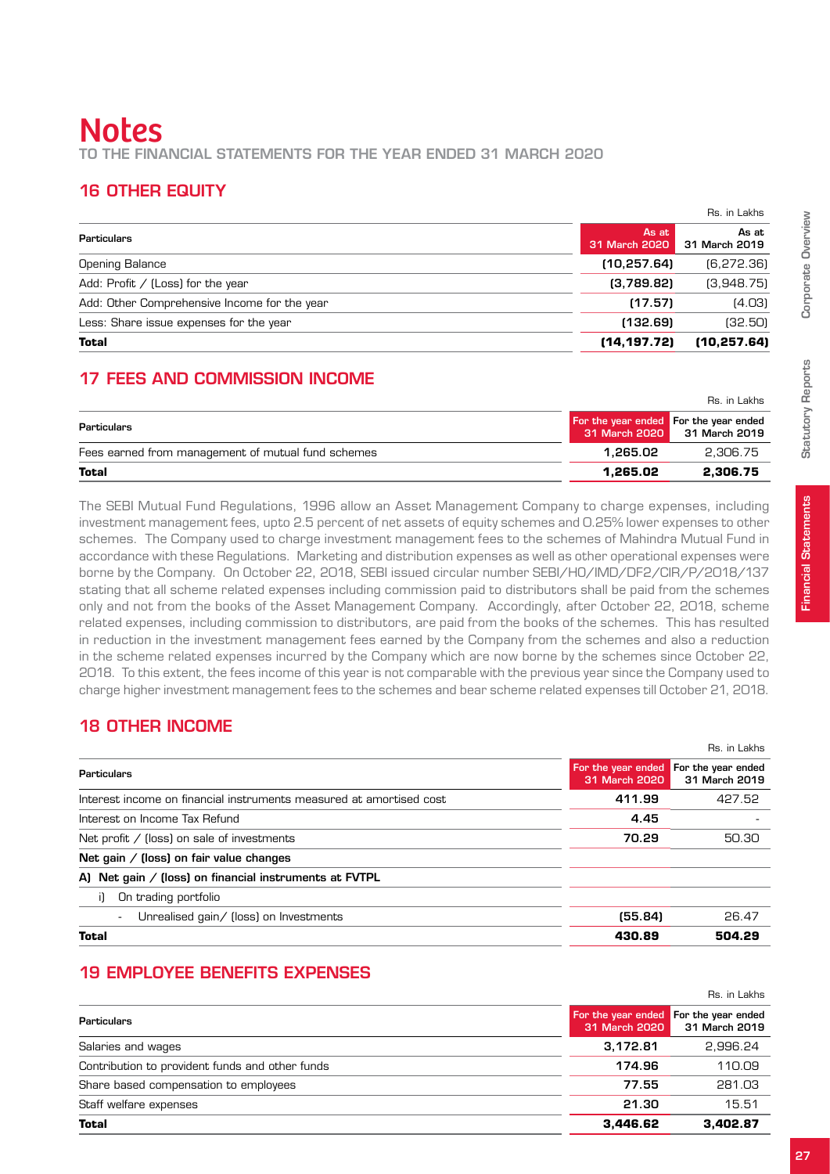# **Notes** to the Financial Statements for the year ended 31 March 2020

## 16 Other Equity

|                                              |                        | Rs. in Lakhs           |
|----------------------------------------------|------------------------|------------------------|
| Particulars                                  | As at<br>31 March 2020 | As at<br>31 March 2019 |
| <b>Opening Balance</b>                       | (10, 257.64)           | (6, 272.36)            |
| Add: Profit $/$ (Loss) for the year          | (3,789.82)             | (3,948.75)             |
| Add: Other Comprehensive Income for the year | (17.57)                | (4.03)                 |
| Less: Share issue expenses for the year      | (132.69)               | (32.50)                |
| Total                                        | (14, 197.72)           | (10, 257.64)           |

# 17 Fees and commission income

|                                                    |                                                        | Rs. in Lakhs  |
|----------------------------------------------------|--------------------------------------------------------|---------------|
| Particulars                                        | For the year ended For the year ended<br>31 March 2020 | 31 March 2019 |
| Fees earned from management of mutual fund schemes | 1.265.02                                               | 2.306.75      |
| Total                                              | 1.265.02                                               | 2.306.75      |

The SEBI Mutual Fund Regulations, 1996 allow an Asset Management Company to charge expenses, including investment management fees, upto 2.5 percent of net assets of equity schemes and 0.25% lower expenses to other schemes. The Company used to charge investment management fees to the schemes of Mahindra Mutual Fund in accordance with these Regulations. Marketing and distribution expenses as well as other operational expenses were borne by the Company. On October 22, 2018, SEBI issued circular number SEBI/HO/IMD/DF2/CIR/P/2018/137 stating that all scheme related expenses including commission paid to distributors shall be paid from the schemes only and not from the books of the Asset Management Company. Accordingly, after October 22, 2018, scheme related expenses, including commission to distributors, are paid from the books of the schemes. This has resulted in reduction in the investment management fees earned by the Company from the schemes and also a reduction in the scheme related expenses incurred by the Company which are now borne by the schemes since October 22, 2018. To this extent, the fees income of this year is not comparable with the previous year since the Company used to charge higher investment management fees to the schemes and bear scheme related expenses till October 21, 2018.

# 18 Other income

|                                                                     |                                                        | Rs. in Lakhs  |
|---------------------------------------------------------------------|--------------------------------------------------------|---------------|
| Particulars                                                         | For the year ended For the year ended<br>31 March 2020 | 31 March 2019 |
| Interest income on financial instruments measured at amortised cost | 411.99                                                 | 427.52        |
| Interest on Income Tax Refund                                       | 4.45                                                   |               |
| Net profit / (loss) on sale of investments                          | 70.29                                                  | 50.30         |
| Net gain / (loss) on fair value changes                             |                                                        |               |
| A) Net gain / (loss) on financial instruments at FVTPL              |                                                        |               |
| On trading portfolio<br>i1                                          |                                                        |               |
| Unrealised gain/ (loss) on Investments<br>$\overline{\phantom{a}}$  | (55.84)                                                | 26.47         |
| <b>Total</b>                                                        | 430.89                                                 | 504.29        |

# 19 EMPLOYEE BENEFITS EXPENSES

|                                                 |               | Rs. in Lakhs                                           |
|-------------------------------------------------|---------------|--------------------------------------------------------|
| Particulars                                     | 31 March 2020 | For the year ended For the year ended<br>31 March 2019 |
| Salaries and wages                              | 3,172.81      | 2,996.24                                               |
| Contribution to provident funds and other funds | 174.96        | 110.09                                                 |
| Share based compensation to employees           | 77.55         | 281.03                                                 |
| Staff welfare expenses                          | 21.30         | 15.51                                                  |
| <b>Total</b>                                    | 3.446.62      | 3.402.87                                               |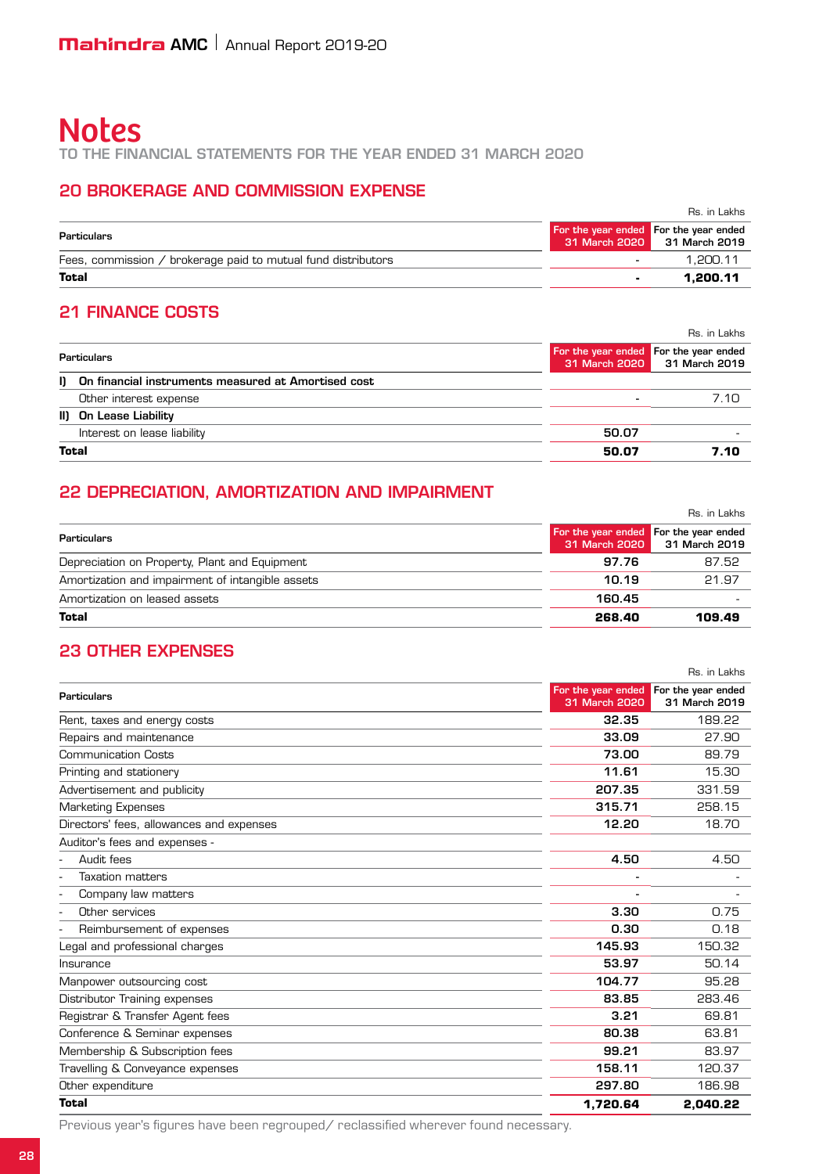to the Financial Statements for the year ended 31 March 2020

## 20 Brokerage and commission expense

|                                                               |                                       | Rs. in Lakhs                |
|---------------------------------------------------------------|---------------------------------------|-----------------------------|
| Particulars                                                   | For the year ended For the year ended | 31 March 2020 31 March 2019 |
| Fees, commission / brokerage paid to mutual fund distributors | $\overline{\phantom{a}}$              | 1.200.11                    |
| Total                                                         |                                       | 1.200.11                    |

## 21 Finance costs

|                                                        |                                       | Rs. in Lakhs                |
|--------------------------------------------------------|---------------------------------------|-----------------------------|
| Particulars                                            | For the year ended For the year ended | 31 March 2020 31 March 2019 |
| I) On financial instruments measured at Amortised cost |                                       |                             |
| Other interest expense                                 |                                       | 7.1O                        |
| II) On Lease Liability                                 |                                       |                             |
| Interest on lease liability                            | 50.07                                 |                             |
| <b>Total</b>                                           | 50.07                                 | 7.10                        |

## 22 Depreciation, amortization and impairment

|                                                  |               | Rs. in Lakhs                                           |
|--------------------------------------------------|---------------|--------------------------------------------------------|
| Particulars                                      | 31 March 2020 | For the year ended For the year ended<br>31 March 2019 |
| Depreciation on Property, Plant and Equipment    | 97.76         | 87.52                                                  |
| Amortization and impairment of intangible assets | 10.19         | 21.97                                                  |
| Amortization on leased assets                    | 160.45        |                                                        |
| Total                                            | 268.40        | 109.49                                                 |

## 23 Other expenses

|                                          |               | Rs. in Lakhs                                           |
|------------------------------------------|---------------|--------------------------------------------------------|
| <b>Particulars</b>                       | 31 March 2020 | For the year ended For the year ended<br>31 March 2019 |
| Rent, taxes and energy costs             | 32.35         | 189.22                                                 |
| Repairs and maintenance                  | 33.09         | 27.90                                                  |
| <b>Communication Costs</b>               | 73.00         | 89.79                                                  |
| Printing and stationery                  | 11.61         | 15.30                                                  |
| Advertisement and publicity              | 207.35        | 331.59                                                 |
| Marketing Expenses                       | 315.71        | 258.15                                                 |
| Directors' fees, allowances and expenses | 12.20         | 18.70                                                  |
| Auditor's fees and expenses -            |               |                                                        |
| Audit fees                               | 4.50          | 4.50                                                   |
| <b>Taxation matters</b>                  |               |                                                        |
| Company law matters                      |               |                                                        |
| Other services                           | 3.30          | 0.75                                                   |
| Reimbursement of expenses                | 0.30          | 0.18                                                   |
| Legal and professional charges           | 145.93        | 150.32                                                 |
| Insurance                                | 53.97         | 50.14                                                  |
| Manpower outsourcing cost                | 104.77        | 95.28                                                  |
| Distributor Training expenses            | 83.85         | 283.46                                                 |
| Registrar & Transfer Agent fees          | 3.21          | 69.81                                                  |
| Conference & Seminar expenses            | 80.38         | 63.81                                                  |
| Membership & Subscription fees           | 99.21         | 83.97                                                  |
| Travelling & Conveyance expenses         | 158.11        | 120.37                                                 |
| Other expenditure                        | 297.80        | 186.98                                                 |
| Total                                    | 1,720.64      | 2.040.22                                               |

Previous year's figures have been regrouped/ reclassified wherever found necessary.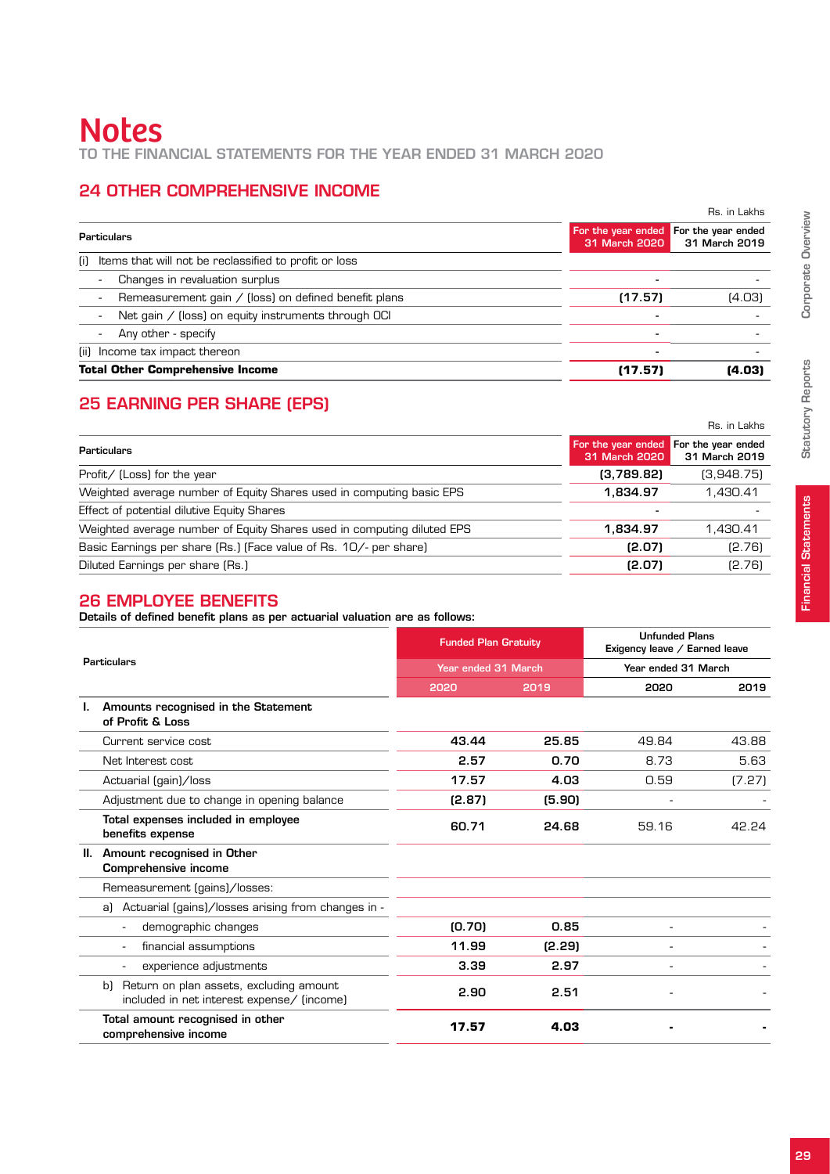# **Notes** to the Financial Statements for the year ended 31 March 2020

# 24 Other Comprehensive Income

|                                                                                  |                                                        | Rs. in Lakhs  |
|----------------------------------------------------------------------------------|--------------------------------------------------------|---------------|
| Particulars                                                                      | For the year ended For the year ended<br>31 March 2020 | 31 March 2019 |
| Items that will not be reclassified to profit or loss<br>(i)                     |                                                        |               |
| Changes in revaluation surplus<br>٠                                              |                                                        |               |
| Remeasurement gain / (loss) on defined benefit plans<br>$\overline{\phantom{a}}$ | (17.57)                                                | (4.03)        |
| Net gain / (loss) on equity instruments through OCI<br>$\overline{a}$            |                                                        |               |
| Any other - specify<br>$\overline{\phantom{a}}$                                  |                                                        |               |
| (ii) Income tax impact thereon                                                   |                                                        |               |
| <b>Total Other Comprehensive Income</b>                                          | (17.57)                                                | (4.03)        |

## 25 Earning Per Share (EPS)

|                                                                        |                                                        | Rs. in Lakhs  |
|------------------------------------------------------------------------|--------------------------------------------------------|---------------|
| Particulars                                                            | For the year ended For the year ended<br>31 March 2020 | 31 March 2019 |
| Profit/ (Loss) for the year                                            | (3,789.82)                                             | (3,948.75)    |
| Weighted average number of Equity Shares used in computing basic EPS   | 1.834.97                                               | 1.430.41      |
| Effect of potential dilutive Equity Shares                             |                                                        |               |
| Weighted average number of Equity Shares used in computing diluted EPS | 1.834.97                                               | 1.430.41      |
| Basic Earnings per share (Rs.) (Face value of Rs. 10/- per share)      | (2.07)                                                 | [2.76]        |
| Diluted Earnings per share (Rs.)                                       | (2.07)                                                 | [2.76]        |

## 26 Employee benefits

Details of defined benefit plans as per actuarial valuation are as follows:

|    |                                                                                             | <b>Funded Plan Gratuity</b><br>Year ended 31 March |        | <b>Unfunded Plans</b><br>Exigency leave / Earned leave<br>Year ended 31 March |        |
|----|---------------------------------------------------------------------------------------------|----------------------------------------------------|--------|-------------------------------------------------------------------------------|--------|
|    | <b>Particulars</b>                                                                          |                                                    |        |                                                                               |        |
|    |                                                                                             | 2020                                               | 2019   | 2020                                                                          | 2019   |
|    | Amounts recognised in the Statement<br>of Profit & Loss                                     |                                                    |        |                                                                               |        |
|    | Current service cost                                                                        | 43.44                                              | 25.85  | 49.84                                                                         | 43.88  |
|    | Net Interest cost                                                                           | 2.57                                               | 0.70   | 8.73                                                                          | 5.63   |
|    | Actuarial (gain)/loss                                                                       | 17.57                                              | 4.03   | 0.59                                                                          | (7.27) |
|    | Adjustment due to change in opening balance                                                 | (2.87)                                             | (5.90) |                                                                               |        |
|    | Total expenses included in employee<br>benefits expense                                     | 60.71                                              | 24.68  | 59.16                                                                         | 42.24  |
| Ш. | Amount recognised in Other<br>Comprehensive income                                          |                                                    |        |                                                                               |        |
|    | Remeasurement (gains)/losses:                                                               |                                                    |        |                                                                               |        |
|    | Actuarial (gains)/losses arising from changes in -<br>al                                    |                                                    |        |                                                                               |        |
|    | demographic changes                                                                         | [0.70]                                             | 0.85   |                                                                               |        |
|    | financial assumptions                                                                       | 11.99                                              | (2.29) |                                                                               |        |
|    | experience adjustments                                                                      | 3.39                                               | 2.97   |                                                                               |        |
|    | Return on plan assets, excluding amount<br>bì<br>included in net interest expense/ (income) | 2.90                                               | 2.51   |                                                                               |        |
|    | Total amount recognised in other<br>comprehensive income                                    | 17.57                                              | 4.03   |                                                                               |        |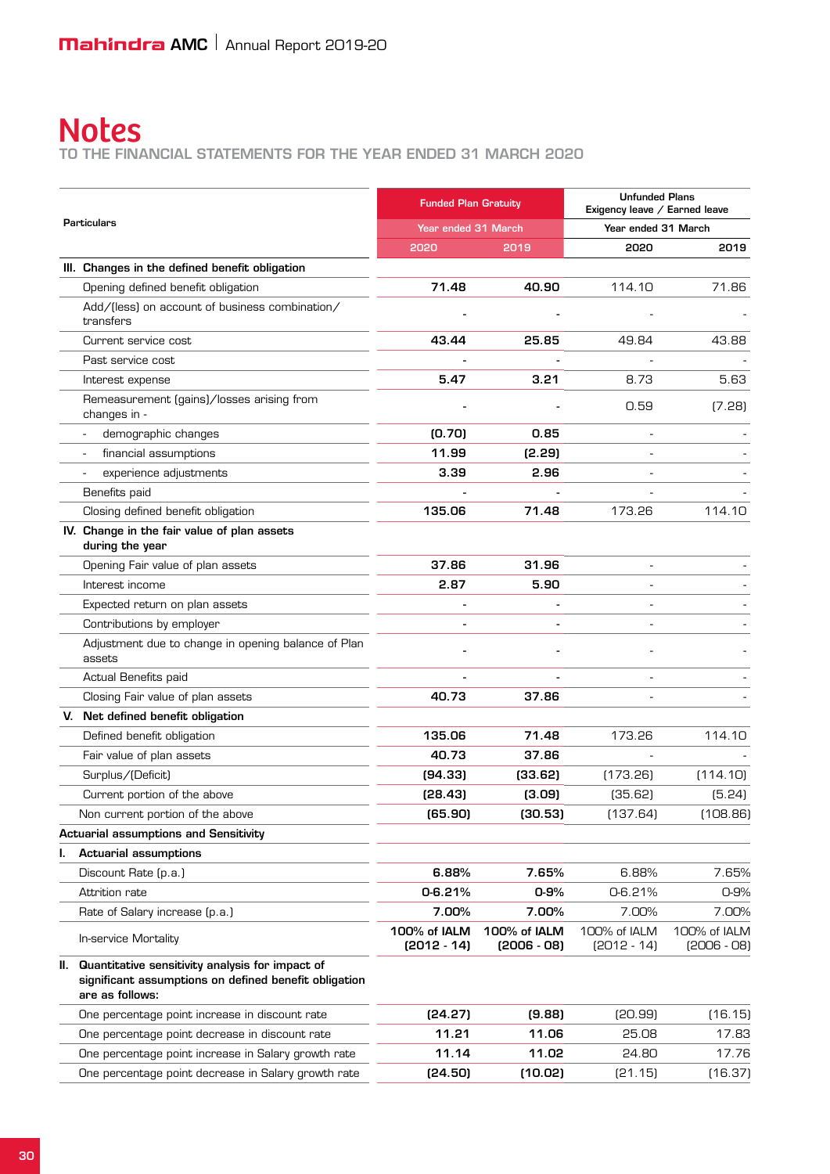to the Financial Statements for the year ended 31 March 2020

|    |                                                                                                                                 | <b>Funded Plan Gratuity</b>   |                               | <b>Unfunded Plans</b><br>Exigency leave / Earned leave |                               |
|----|---------------------------------------------------------------------------------------------------------------------------------|-------------------------------|-------------------------------|--------------------------------------------------------|-------------------------------|
|    | <b>Particulars</b>                                                                                                              | Year ended 31 March           |                               | Year ended 31 March                                    |                               |
|    |                                                                                                                                 | 2020                          | 2019                          | 2020                                                   | 2019                          |
|    | III. Changes in the defined benefit obligation                                                                                  |                               |                               |                                                        |                               |
|    | Opening defined benefit obligation                                                                                              | 71.48                         | 40.90                         | 114.10                                                 | 71.86                         |
|    | Add/(less) on account of business combination/<br>transfers                                                                     |                               |                               |                                                        |                               |
|    | Current service cost                                                                                                            | 43.44                         | 25.85                         | 49.84                                                  | 43.88                         |
|    | Past service cost                                                                                                               |                               |                               |                                                        |                               |
|    | Interest expense                                                                                                                | 5.47                          | 3.21                          | 8.73                                                   | 5.63                          |
|    | Remeasurement (gains)/losses arising from<br>changes in -                                                                       |                               |                               | 0.59                                                   | (7.28)                        |
|    | demographic changes                                                                                                             | (0.70)                        | 0.85                          |                                                        |                               |
|    | financial assumptions                                                                                                           | 11.99                         | (2.29)                        |                                                        |                               |
|    | experience adjustments                                                                                                          | 3.39                          | 2.96                          |                                                        |                               |
|    | Benefits paid                                                                                                                   |                               |                               |                                                        |                               |
|    | Closing defined benefit obligation                                                                                              | 135.06                        | 71.48                         | 173.26                                                 | 114.10                        |
|    | IV. Change in the fair value of plan assets<br>during the year                                                                  |                               |                               |                                                        |                               |
|    | Opening Fair value of plan assets                                                                                               | 37.86                         | 31.96                         |                                                        |                               |
|    | Interest income                                                                                                                 | 2.87                          | 5.90                          |                                                        |                               |
|    | Expected return on plan assets                                                                                                  |                               |                               |                                                        |                               |
|    | Contributions by employer                                                                                                       |                               |                               |                                                        |                               |
|    | Adjustment due to change in opening balance of Plan<br>assets                                                                   |                               |                               |                                                        |                               |
|    | Actual Benefits paid                                                                                                            |                               |                               |                                                        |                               |
|    | Closing Fair value of plan assets                                                                                               | 40.73                         | 37.86                         |                                                        |                               |
| V. | Net defined benefit obligation                                                                                                  |                               |                               |                                                        |                               |
|    | Defined benefit obligation                                                                                                      | 135.06                        | 71.48                         | 173.26                                                 | 114.10                        |
|    | Fair value of plan assets                                                                                                       | 40.73                         | 37.86                         |                                                        |                               |
|    | Surplus/(Deficit)                                                                                                               | (94.33)                       | (33.62)                       | (173.26)                                               | (114.10)                      |
|    | Current portion of the above                                                                                                    | (28.43)                       | (3.09)                        | (35.62)                                                | (5.24)                        |
|    | Non current portion of the above                                                                                                | (65.90)                       | (30.53)                       | (137.64)                                               | (108.86)                      |
|    | <b>Actuarial assumptions and Sensitivity</b>                                                                                    |                               |                               |                                                        |                               |
| ı. | <b>Actuarial assumptions</b>                                                                                                    |                               |                               |                                                        |                               |
|    | Discount Rate (p.a.)                                                                                                            | 6.88%                         | 7.65%                         | 6.88%                                                  | 7.65%                         |
|    | Attrition rate                                                                                                                  | 0-6.21%                       | $0 - 9%$                      | 0-6.21%                                                | 0-9%                          |
|    | Rate of Salary increase (p.a.)                                                                                                  | 7.00%                         | 7.00%                         | 7.00%                                                  | 7.00%                         |
|    | In-service Mortality                                                                                                            | 100% of IALM<br>$[2012 - 14]$ | 100% of IALM<br>$[2006 - 08]$ | 100% of IALM<br>$[2012 - 14]$                          | 100% of IALM<br>$[2006 - 08]$ |
|    | II. Quantitative sensitivity analysis for impact of<br>significant assumptions on defined benefit obligation<br>are as follows: |                               |                               |                                                        |                               |
|    | One percentage point increase in discount rate                                                                                  | [24.27]                       | (9.88)                        | [20.99]                                                | (16.15)                       |
|    | One percentage point decrease in discount rate                                                                                  | 11.21                         | 11.06                         | 25.08                                                  | 17.83                         |
|    | One percentage point increase in Salary growth rate                                                                             | 11.14                         | 11.02                         | 24.80                                                  | 17.76                         |
|    | One percentage point decrease in Salary growth rate                                                                             | (24.50)                       | (10.02)                       | [21.15]                                                | (16.37)                       |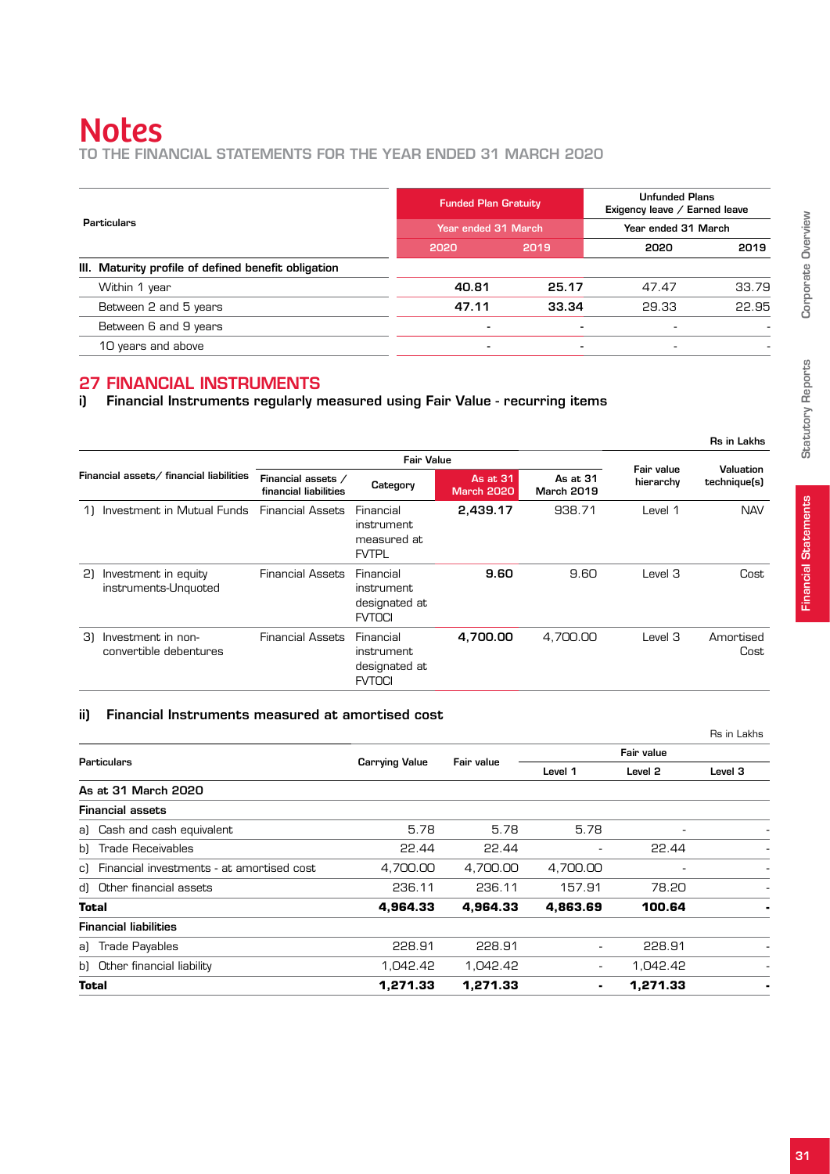to the Financial Statements for the year ended 31 March 2020

|                                                     | <b>Funded Plan Gratuity</b> |                | <b>Unfunded Plans</b><br>Exigency leave / Earned leave |       |
|-----------------------------------------------------|-----------------------------|----------------|--------------------------------------------------------|-------|
| Particulars                                         | Year ended 31 March         |                | Year ended 31 March                                    |       |
|                                                     | 2020                        | 2019           | 2020                                                   | 2019  |
| III. Maturity profile of defined benefit obligation |                             |                |                                                        |       |
| Within 1 year                                       | 40.81                       | 25.17          | 47.47                                                  | 33.79 |
| Between 2 and 5 years                               | 47.11                       | 33.34          | 29.33                                                  | 22.95 |
| Between 6 and 9 years                               |                             |                |                                                        |       |
| 10 years and above                                  | -                           | $\blacksquare$ | $\overline{\phantom{a}}$                               |       |
|                                                     |                             |                |                                                        |       |

## 27 Financial Instruments

i) Financial Instruments regularly measured using Fair Value - recurring items

|    |                                              |                                             |                                                               |                               |                               |                         | Rs in Lakhs               |
|----|----------------------------------------------|---------------------------------------------|---------------------------------------------------------------|-------------------------------|-------------------------------|-------------------------|---------------------------|
|    |                                              |                                             | <b>Fair Value</b>                                             |                               |                               |                         |                           |
|    | Financial assets/ financial liabilities      | Financial assets /<br>financial liabilities | Category                                                      | As at 31<br><b>March 2020</b> | As at 31<br><b>March 2019</b> | Fair value<br>hierarchy | Valuation<br>technique(s) |
|    | Investment in Mutual Funds                   | <b>Financial Assets</b>                     | Financial<br><i>instrument</i><br>measured at<br><b>FVTPL</b> | 2,439.17                      | 938.71                        | Level 1                 | <b>NAV</b>                |
| 21 | Investment in equity<br>instruments-Unquoted | <b>Financial Assets</b>                     | Financial<br>instrument<br>designated at<br><b>FVTOCI</b>     | 9.60                          | 9.60                          | Level 3                 | Cost                      |
| 31 | Investment in non-<br>convertible debentures | <b>Financial Assets</b>                     | Financial<br>instrument<br>designated at<br><b>FVTOCI</b>     | 4.700.00                      | 4.700.00                      | Level 3                 | Amortised<br>Cost         |

#### ii) Financial Instruments measured at amortised cost

|                                              |                                     |          |                          |          | Rs in Lakhs |
|----------------------------------------------|-------------------------------------|----------|--------------------------|----------|-------------|
| <b>Particulars</b>                           | <b>Carrying Value</b><br>Fair value |          | Fair value               |          |             |
|                                              |                                     | Level 1  | Level 2                  | Level 3  |             |
| As at 31 March 2020                          |                                     |          |                          |          |             |
| <b>Financial assets</b>                      |                                     |          |                          |          |             |
| a) Cash and cash equivalent                  | 5.78                                | 5.78     | 5.78                     | ٠        |             |
| b) Trade Receivables                         | 22.44                               | 22.44    |                          | 22.44    |             |
| c) Financial investments - at amortised cost | 4,700.00                            | 4,700.00 | 4,700.00                 |          |             |
| d) Other financial assets                    | 236.11                              | 236.11   | 157.91                   | 78.20    |             |
| <b>Total</b>                                 | 4,964.33                            | 4,964.33 | 4.863.69                 | 100.64   |             |
| <b>Financial liabilities</b>                 |                                     |          |                          |          |             |
| a) Trade Payables                            | 228.91                              | 228.91   | $\overline{\phantom{a}}$ | 228.91   |             |
| b) Other financial liability                 | 1.042.42                            | 1.042.42 | $\overline{\phantom{a}}$ | 1,042.42 |             |
| Total                                        | 1.271.33                            | 1.271.33 | ٠                        | 1.271.33 |             |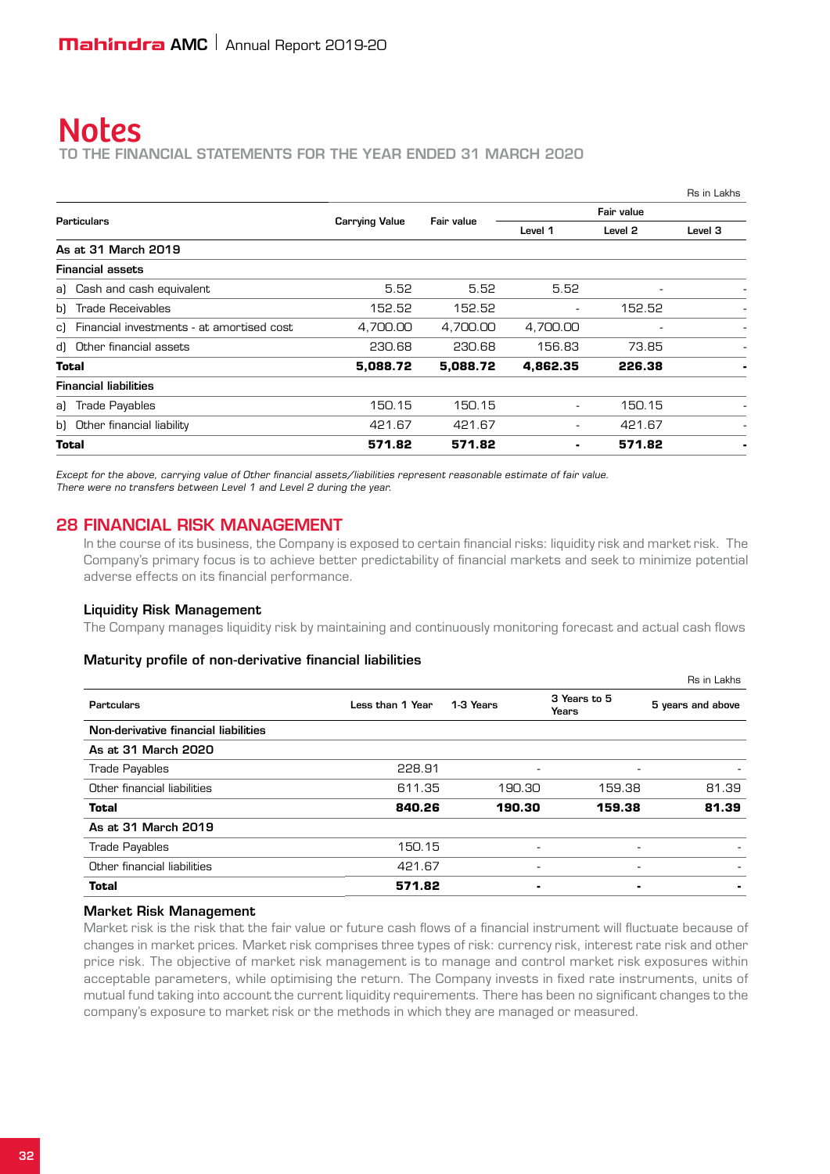to the Financial Statements for the year ended 31 March 2020

|                                              |                       |          |                          |                          | Rs in Lakhs |
|----------------------------------------------|-----------------------|----------|--------------------------|--------------------------|-------------|
|                                              | Fair value            |          | Fair value               |                          |             |
| Particulars                                  | <b>Carrying Value</b> |          | Level 1                  | Level <sub>2</sub>       | Level 3     |
| As at 31 March 2019                          |                       |          |                          |                          |             |
| <b>Financial assets</b>                      |                       |          |                          |                          |             |
| a) Cash and cash equivalent                  | 5.52                  | 5.52     | 5.52                     | $\overline{\phantom{a}}$ |             |
| b) Trade Receivables                         | 152.52                | 152.52   | $\overline{\phantom{a}}$ | 152.52                   |             |
| c) Financial investments - at amortised cost | 4,700.00              | 4,700.00 | 4,700.00                 |                          |             |
| d) Other financial assets                    | 230.68                | 230.68   | 156.83                   | 73.85                    |             |
| Total                                        | 5,088.72              | 5,088.72 | 4,862.35                 | 226.38                   |             |
| <b>Financial liabilities</b>                 |                       |          |                          |                          |             |
| a) Trade Payables                            | 150.15                | 150.15   | $\overline{\phantom{a}}$ | 150.15                   |             |
| b) Other financial liability                 | 421.67                | 421.67   | $\overline{\phantom{a}}$ | 421.67                   |             |
| Total                                        | 571.82                | 571.82   | ٠                        | 571.82                   |             |

Except for the above, carrying value of Other financial assets/liabilities represent reasonable estimate of fair value. There were no transfers between Level 1 and Level 2 during the year.

#### 28 Financial Risk Management

In the course of its business, the Company is exposed to certain financial risks: liquidity risk and market risk. The Company's primary focus is to achieve better predictability of financial markets and seek to minimize potential adverse effects on its financial performance.

#### Liquidity Risk Management

The Company manages liquidity risk by maintaining and continuously monitoring forecast and actual cash flows

#### Maturity profile of non-derivative financial liabilities

|                  |           |                          | Rs in Lakhs       |
|------------------|-----------|--------------------------|-------------------|
| Less than 1 Year | 1-3 Years | 3 Years to 5<br>Years    | 5 years and above |
|                  |           |                          |                   |
|                  |           |                          |                   |
| 228.91           | ۰         | $\overline{\phantom{a}}$ |                   |
| 611.35           | 190.30    | 159.38                   | 81.39             |
| 840.26           | 190.30    | 159.38                   | 81.39             |
|                  |           |                          |                   |
| 150.15           |           | ٠.                       |                   |
| 421.67           | ٠         | -                        |                   |
| 571.82           |           | ٠                        |                   |
|                  |           |                          |                   |

#### Market Risk Management

Market risk is the risk that the fair value or future cash flows of a financial instrument will fluctuate because of changes in market prices. Market risk comprises three types of risk: currency risk, interest rate risk and other price risk. The objective of market risk management is to manage and control market risk exposures within acceptable parameters, while optimising the return. The Company invests in fixed rate instruments, units of mutual fund taking into account the current liquidity requirements. There has been no significant changes to the company's exposure to market risk or the methods in which they are managed or measured.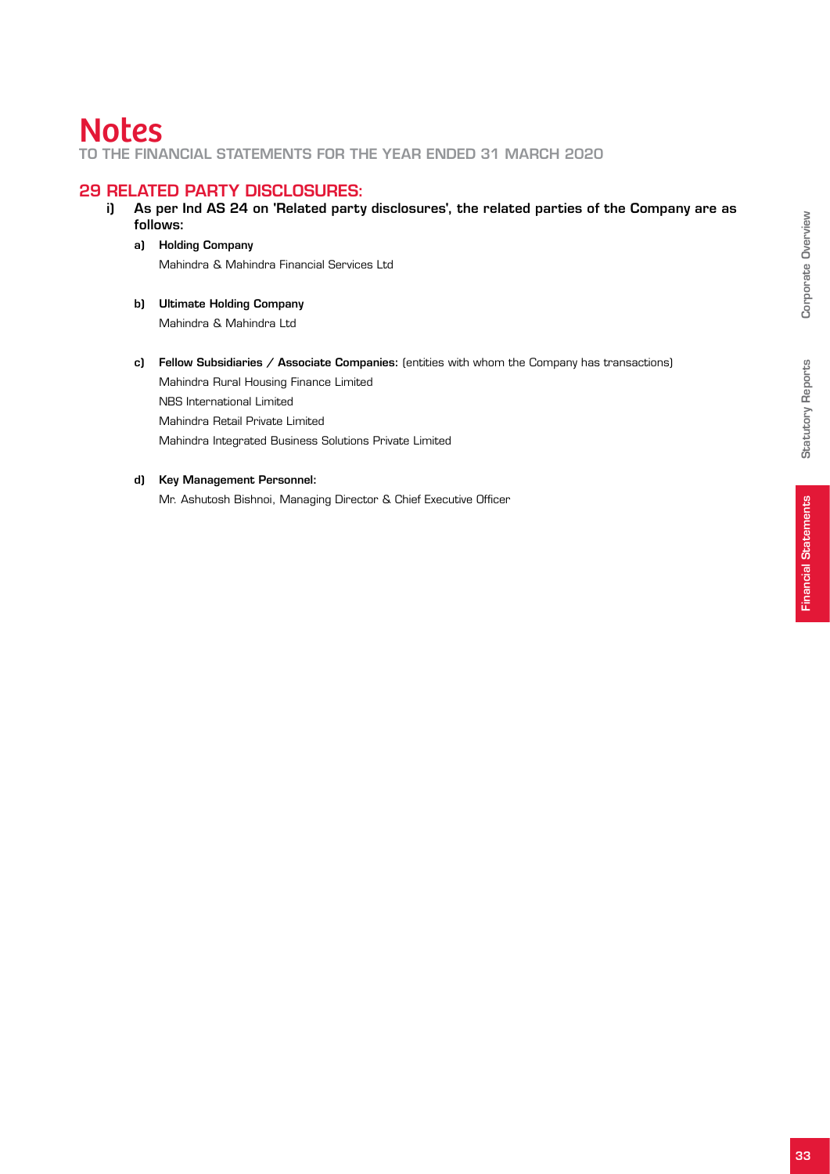to the Financial Statements for the year ended 31 March 2020

#### 29 Related party disclosures:

- i) As per Ind AS 24 on 'Related party disclosures', the related parties of the Company are as follows:
	- a) Holding Company Mahindra & Mahindra Financial Services Ltd
	- b) Ultimate Holding Company Mahindra & Mahindra Ltd
	- c) Fellow Subsidiaries / Associate Companies: (entities with whom the Company has transactions) Mahindra Rural Housing Finance Limited NBS International Limited Mahindra Retail Private Limited Mahindra Integrated Business Solutions Private Limited

#### d) Key Management Personnel:

Mr. Ashutosh Bishnoi, Managing Director & Chief Executive Officer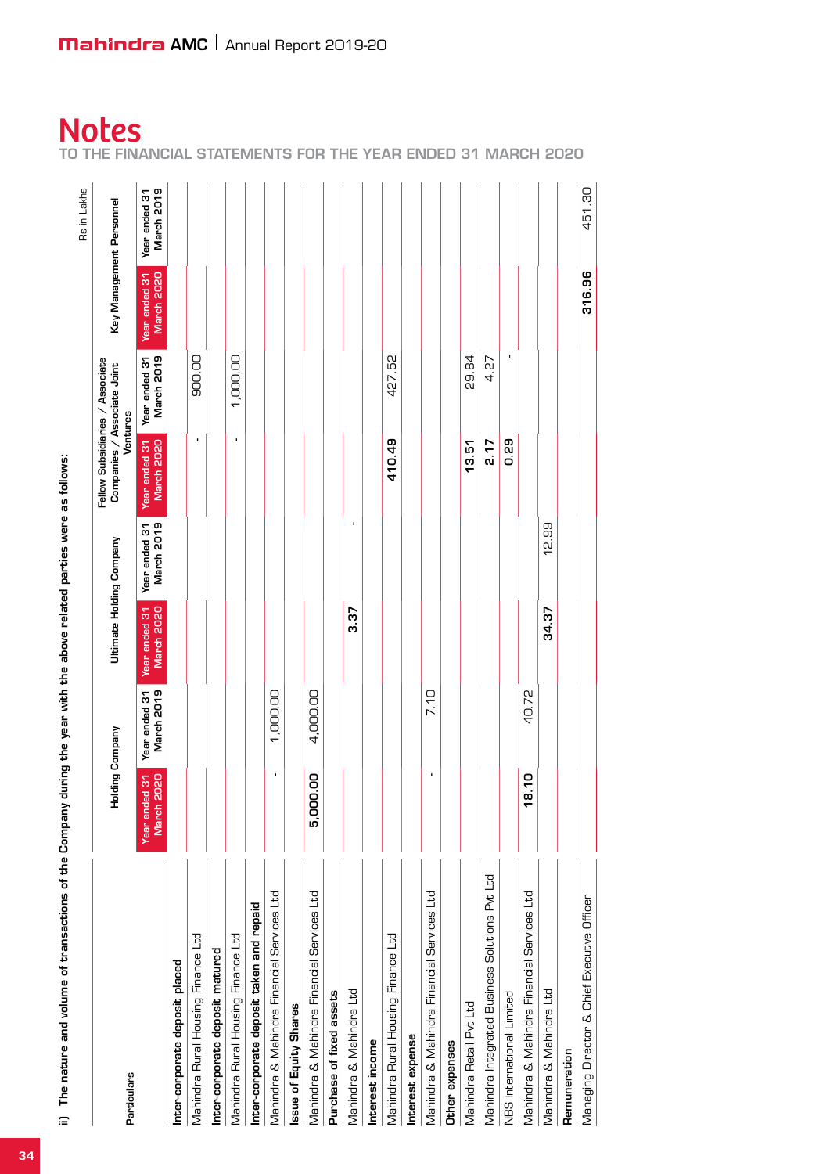ii) The nature and volume of transactions of the Company during the year with the above related parties were as follows: ii) The nature and volume of transactions of the Company during the year with the above related parties were as follows:

| ii) The nature and volume of transactions of the Company during the year with the above related parties were as follows: |                            |                             |                             |                             |                                                                            |                             |                          | Rs in Lakhs                 |
|--------------------------------------------------------------------------------------------------------------------------|----------------------------|-----------------------------|-----------------------------|-----------------------------|----------------------------------------------------------------------------|-----------------------------|--------------------------|-----------------------------|
| Particulars                                                                                                              | Holding                    | Company                     | Ultimate Holding Company    |                             | Fellow Subsidiaries / Associate<br>Companies / Associate Joint<br>Ventures |                             | Key Management Personnel |                             |
|                                                                                                                          | March 2020<br>Year ended 3 | March 2019<br>Year ended 31 | March 2020<br>Year ended 31 | March 2019<br>Year ended 31 | Year ended 31<br>March 2020                                                | March 2019<br>Year ended 31 | Year ended 31            | March 2019<br>Year ended 31 |
| Inter-corporate deposit placed                                                                                           |                            |                             |                             |                             |                                                                            |                             |                          |                             |
| Mahindra Rural Housing Finance Ltd                                                                                       |                            |                             |                             |                             | $\blacksquare$                                                             | 900.00                      |                          |                             |
| Inter-corporate deposit matured                                                                                          |                            |                             |                             |                             |                                                                            |                             |                          |                             |
| Mahindra Rural Housing Finance Ltd                                                                                       |                            |                             |                             |                             | $\mathbf{I}$                                                               | 1,000.00                    |                          |                             |
| Inter-corporate deposit taken and repaid                                                                                 |                            |                             |                             |                             |                                                                            |                             |                          |                             |
| Mahindra & Mahindra Financial Services Ltd                                                                               |                            | 1,000.00                    |                             |                             |                                                                            |                             |                          |                             |
| Issue of Equity Shares                                                                                                   |                            |                             |                             |                             |                                                                            |                             |                          |                             |
| Mahindra & Mahindra Financial Services Ltd                                                                               | 5,000.00                   | 4,000.00                    |                             |                             |                                                                            |                             |                          |                             |
| Purchase of fixed assets                                                                                                 |                            |                             |                             |                             |                                                                            |                             |                          |                             |
| Mahindra & Mahindra Ltd                                                                                                  |                            |                             | 3.37                        | $\mathbf{I}$                |                                                                            |                             |                          |                             |
| Interest income                                                                                                          |                            |                             |                             |                             |                                                                            |                             |                          |                             |
| Mahindra Rural Housing Finance Ltd                                                                                       |                            |                             |                             |                             | 410.49                                                                     | 427.52                      |                          |                             |
| Interest expense                                                                                                         |                            |                             |                             |                             |                                                                            |                             |                          |                             |
| Mahindra & Mahindra Financial Services Ltd                                                                               |                            | 7.10                        |                             |                             |                                                                            |                             |                          |                             |
| Other expenses                                                                                                           |                            |                             |                             |                             |                                                                            |                             |                          |                             |
| Mahindra Retail Pvt Ltd                                                                                                  |                            |                             |                             |                             | 13.51                                                                      | 29.84                       |                          |                             |
| Mahindra Integrated Business Solutions Pvt Ltd                                                                           |                            |                             |                             |                             | 2.17                                                                       | 4.27                        |                          |                             |
| NBS International Limited                                                                                                |                            |                             |                             |                             | 0.29                                                                       | $\blacksquare$              |                          |                             |
| Mahindra & Mahindra Financial Services Ltd                                                                               | 18.10                      | 40.72                       |                             |                             |                                                                            |                             |                          |                             |
| Mahindra & Mahindra Ltd                                                                                                  |                            |                             | 34.37                       | 12.99                       |                                                                            |                             |                          |                             |
| Remuneration                                                                                                             |                            |                             |                             |                             |                                                                            |                             |                          |                             |
| Managing Director & Chief Executive Officer                                                                              |                            |                             |                             |                             |                                                                            |                             | 316.96                   | 451.30                      |
|                                                                                                                          |                            |                             |                             |                             |                                                                            |                             |                          |                             |

**Notes**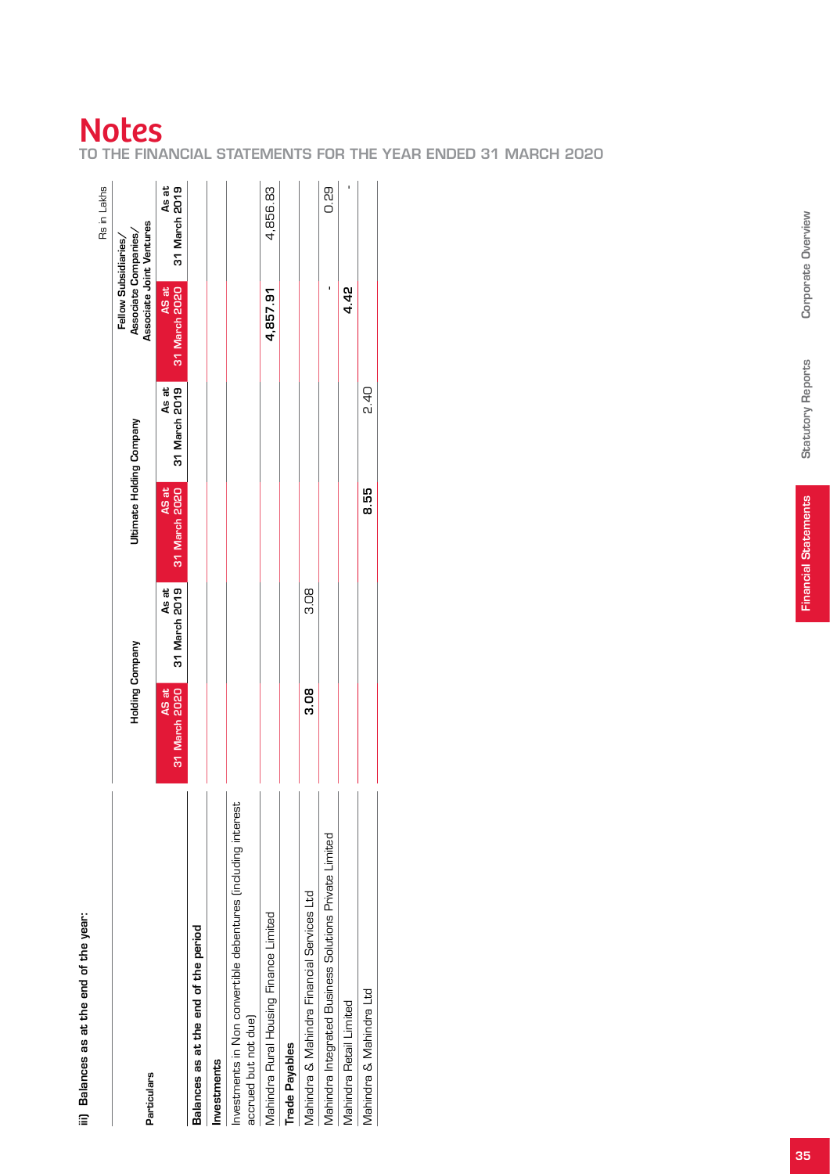# iii) Balances as at the end of the year: iii) Balances as at the end of the year:

|                                                                                       |                        |                        |                          |                        |                                                                          | Rs in Lakhs            |
|---------------------------------------------------------------------------------------|------------------------|------------------------|--------------------------|------------------------|--------------------------------------------------------------------------|------------------------|
| Particulars                                                                           | <b>Holding Company</b> |                        | Ultimate Holding Company |                        | Associate Joint Ventures<br>Associate Companies/<br>Fellow Subsidiaries/ |                        |
|                                                                                       | 31 March 2020<br>AS at | As at<br>31 March 2019 | 31 March 2020<br>AS at   | As at<br>31 March 2019 | 31 March 2020<br>AS at                                                   | As at<br>31 March 2019 |
| Balances as at the end of the period                                                  |                        |                        |                          |                        |                                                                          |                        |
| Investments                                                                           |                        |                        |                          |                        |                                                                          |                        |
| Investments in Non convertible debentures (including interest<br>accrued but not due) |                        |                        |                          |                        |                                                                          |                        |
| Mahindra Rural Housing Finance Limited                                                |                        |                        |                          |                        | 4,857.91                                                                 | 4,856.83               |
| <b>Trade Payables</b>                                                                 |                        |                        |                          |                        |                                                                          |                        |
| Mahindra & Mahindra Financial Services Ltd                                            | 3.08                   | 80<br>3.0              |                          |                        |                                                                          |                        |
| Mahindra Integrated Business Solutions Private Limited                                |                        |                        |                          |                        |                                                                          | 0.29                   |
| Mahindra Retail Limited                                                               |                        |                        |                          |                        | 4.42                                                                     |                        |
| Mahindra & Mahindra Ltd                                                               |                        |                        | 8.55                     | d<br>Si                |                                                                          |                        |

# Notes

to the Financial Statement l<br>S for the year ended 31 March 2020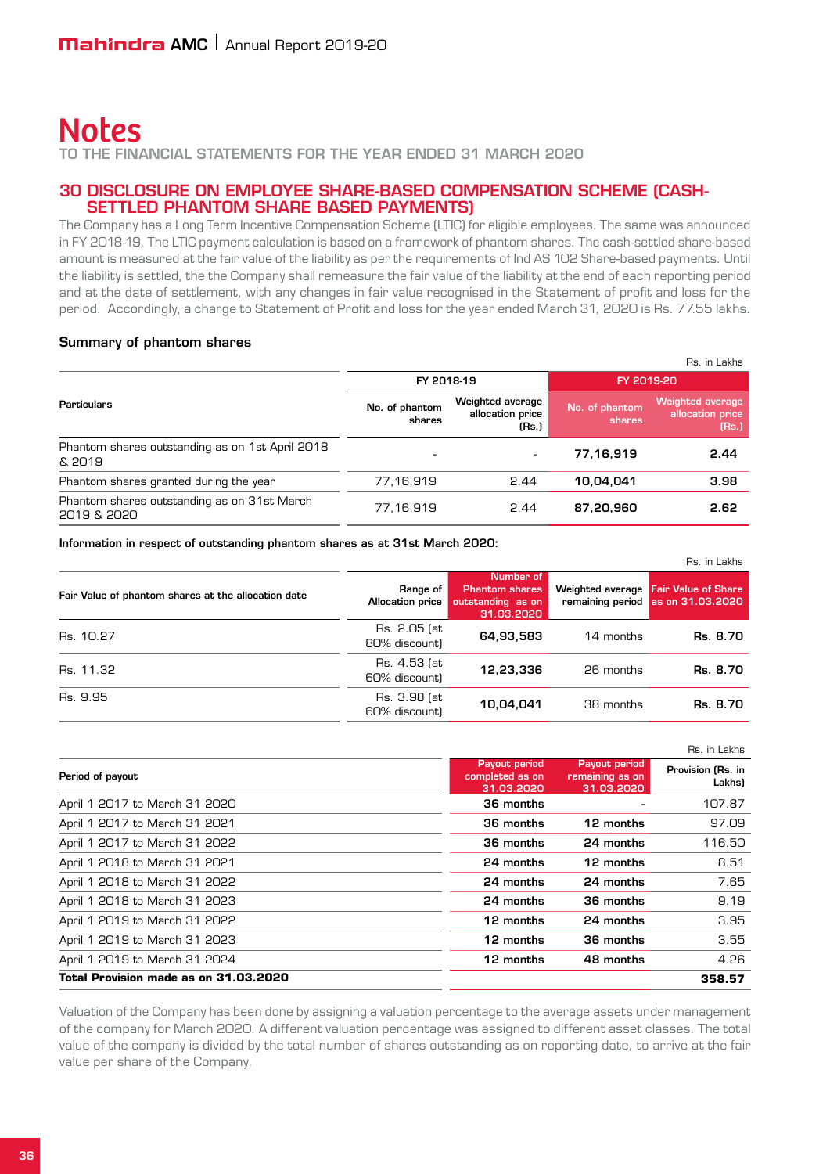to the Financial Statements for the year ended 31 March 2020

#### 30 Disclosure on Employee Share-based Compensation Scheme (Cashsettled phantom share based payments)

The Company has a Long Term Incentive Compensation Scheme (LTIC) for eligible employees. The same was announced in FY 2018-19. The LTIC payment calculation is based on a framework of phantom shares. The cash-settled share-based amount is measured at the fair value of the liability as per the requirements of Ind AS 102 Share-based payments. Until the liability is settled, the the Company shall remeasure the fair value of the liability at the end of each reporting period and at the date of settlement, with any changes in fair value recognised in the Statement of profit and loss for the period. Accordingly, a charge to Statement of Profit and loss for the year ended March 31, 2020 is Rs. 77.55 lakhs.

#### Summary of phantom shares

|                                                            |                          |                                               |                          | Rs. in Lakhs                                  |
|------------------------------------------------------------|--------------------------|-----------------------------------------------|--------------------------|-----------------------------------------------|
|                                                            | FY 2018-19               |                                               | FY 2019-20               |                                               |
| <b>Particulars</b>                                         | No. of phantom<br>shares | Weighted average<br>allocation price<br>(Rs.) | No. of phantom<br>shares | Weighted average<br>allocation price<br>(Rs.) |
| Phantom shares outstanding as on 1st April 2018<br>& 2019  |                          | $\overline{\phantom{a}}$                      | 77,16,919                | 2.44                                          |
| Phantom shares granted during the year                     | 77.16.919                | 2.44                                          | 10.04.041                | 3.98                                          |
| Phantom shares outstanding as on 31st March<br>2019 & 2020 | 77.16.919                | 2.44                                          | 87,20,960                | 2.62                                          |

Information in respect of outstanding phantom shares as at 31st March 2020:

|                                                     |                               |                                                                       |           | Rs. in Lakhs                                                              |
|-----------------------------------------------------|-------------------------------|-----------------------------------------------------------------------|-----------|---------------------------------------------------------------------------|
| Fair Value of phantom shares at the allocation date | Range of<br>Allocation price  | Number of<br><b>Phantom shares</b><br>outstanding as on<br>31.03.2020 |           | Weighted average Fair Value of Share<br>remaining period as on 31.03.2020 |
| Rs. 10.27                                           | Rs. 2.05 (at<br>80% discount) | 64,93,583                                                             | 14 months | Rs. 8.70                                                                  |
| Rs. 11.32                                           | Rs. 4.53 (at<br>60% discount) | 12.23.336                                                             | 26 months | Rs. 8.70                                                                  |
| Rs. 9.95                                            | Rs. 3.98 (at<br>60% discount) | 10,04,041                                                             | 38 months | Rs. 8.70                                                                  |

|                                       |                                                |                                                | Rs. in Lakhs                |
|---------------------------------------|------------------------------------------------|------------------------------------------------|-----------------------------|
| Period of payout                      | Payout period<br>completed as on<br>31.03.2020 | Payout period<br>remaining as on<br>31.03.2020 | Provision (Rs. in<br>Lakhs) |
| April 1 2017 to March 31 2020         | 36 months                                      |                                                | 107.87                      |
| April 1 2017 to March 31 2021         | 36 months                                      | 12 months                                      | 97.09                       |
| April 1 2017 to March 31 2022         | 36 months                                      | 24 months                                      | 116.50                      |
| April 1 2018 to March 31 2021         | 24 months                                      | 12 months                                      | 8.51                        |
| April 1 2018 to March 31 2022         | 24 months                                      | 24 months                                      | 7.65                        |
| April 1 2018 to March 31 2023         | 24 months                                      | 36 months                                      | 9.19                        |
| April 1 2019 to March 31 2022         | 12 months                                      | 24 months                                      | 3.95                        |
| April 1 2019 to March 31 2023         | 12 months                                      | 36 months                                      | 3.55                        |
| April 1 2019 to March 31 2024         | 12 months                                      | 48 months                                      | 4.26                        |
| Total Provision made as on 31.03.2020 |                                                |                                                | 358.57                      |

Valuation of the Company has been done by assigning a valuation percentage to the average assets under management of the company for March 2020. A different valuation percentage was assigned to different asset classes. The total value of the company is divided by the total number of shares outstanding as on reporting date, to arrive at the fair value per share of the Company.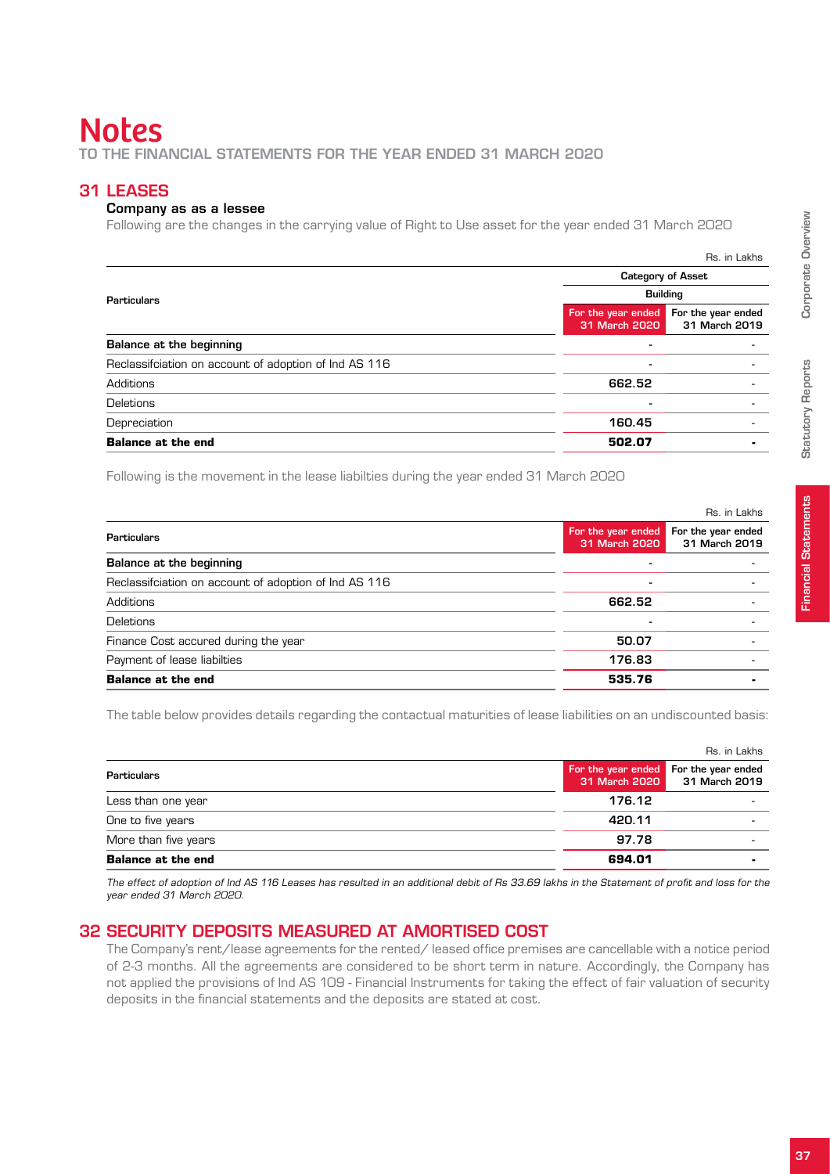# **Notes** to the Financial Statements for the year ended 31 March 2020

## 31 Leases

#### Company as as a lessee

Following are the changes in the carrying value of Right to Use asset for the year ended 31 March 2020

|                                                       |                                     | Rs. in Lakhs                        |
|-------------------------------------------------------|-------------------------------------|-------------------------------------|
|                                                       | <b>Category of Asset</b>            |                                     |
| <b>Particulars</b>                                    | <b>Building</b>                     |                                     |
|                                                       | For the year ended<br>31 March 2020 | For the year ended<br>31 March 2019 |
| Balance at the beginning                              |                                     |                                     |
| Reclassification on account of adoption of Ind AS 116 | ٠                                   |                                     |
| Additions                                             | 662.52                              |                                     |
| Deletions                                             | ۰                                   |                                     |
| Depreciation                                          | 160.45                              |                                     |
| <b>Balance at the end</b>                             | 502.07                              |                                     |

Following is the movement in the lease liabilties during the year ended 31 March 2020

|                                                       |                                     | Rs. in Lakhs                        |
|-------------------------------------------------------|-------------------------------------|-------------------------------------|
| Particulars                                           | For the year ended<br>31 March 2020 | For the year ended<br>31 March 2019 |
| <b>Balance at the beginning</b>                       | -                                   |                                     |
| Reclassification on account of adoption of Ind AS 116 | $\overline{\phantom{a}}$            |                                     |
| Additions                                             | 662.52                              |                                     |
| Deletions                                             |                                     |                                     |
| Finance Cost accured during the year                  | 50.07                               |                                     |
| Payment of lease liabilties                           | 176.83                              |                                     |
| <b>Balance at the end</b>                             | 535.76                              |                                     |
|                                                       |                                     |                                     |

The table below provides details regarding the contactual maturities of lease liabilities on an undiscounted basis:

| <b>Balance at the end</b> | 694.01       |                                                                      |
|---------------------------|--------------|----------------------------------------------------------------------|
| More than five years      | 97.78        | -                                                                    |
| One to five years         | 420.11       |                                                                      |
| Less than one year        | 176.12       |                                                                      |
| <b>Particulars</b>        |              | For the year ended For the year ended<br>31 March 2020 31 March 2019 |
|                           | Rs. in Lakhs |                                                                      |
|                           |              |                                                                      |

 The effect of adoption of Ind AS 116 Leases has resulted in an additional debit of Rs 33.69 lakhs in the Statement of profit and loss for the year ended 31 March 2020.

## 32 Security deposits measured at amortised cost

The Company's rent/lease agreements for the rented/ leased office premises are cancellable with a notice period of 2-3 months. All the agreements are considered to be short term in nature. Accordingly, the Company has not applied the provisions of Ind AS 109 - Financial Instruments for taking the effect of fair valuation of security deposits in the financial statements and the deposits are stated at cost.